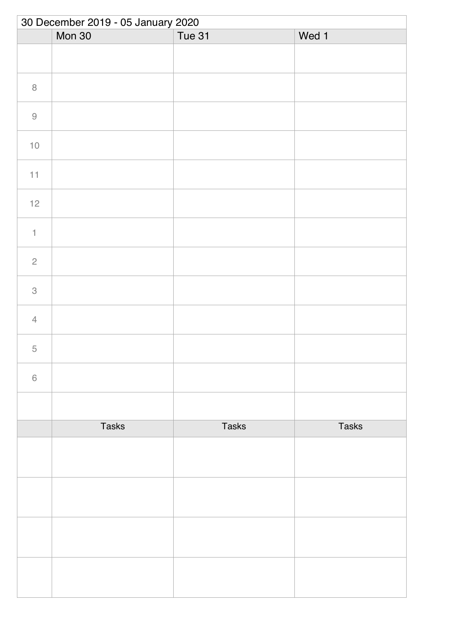|                           | 30 December 2019 - 05 January 2020 |              |              |  |  |
|---------------------------|------------------------------------|--------------|--------------|--|--|
|                           | Mon 30                             | Tue 31       | Wed 1        |  |  |
|                           |                                    |              |              |  |  |
| $\, 8$                    |                                    |              |              |  |  |
| $\hbox{9}$                |                                    |              |              |  |  |
| $10$                      |                                    |              |              |  |  |
| 11                        |                                    |              |              |  |  |
| 12                        |                                    |              |              |  |  |
| $\mathbf{1}$              |                                    |              |              |  |  |
| $\overline{c}$            |                                    |              |              |  |  |
| $\ensuremath{\mathsf{3}}$ |                                    |              |              |  |  |
| $\overline{4}$            |                                    |              |              |  |  |
| $\mathbf 5$               |                                    |              |              |  |  |
| $\,$ $\,$ $\,$            |                                    |              |              |  |  |
|                           |                                    |              |              |  |  |
|                           | <b>Tasks</b>                       | <b>Tasks</b> | <b>Tasks</b> |  |  |
|                           |                                    |              |              |  |  |
|                           |                                    |              |              |  |  |
|                           |                                    |              |              |  |  |
|                           |                                    |              |              |  |  |
|                           |                                    |              |              |  |  |
|                           |                                    |              |              |  |  |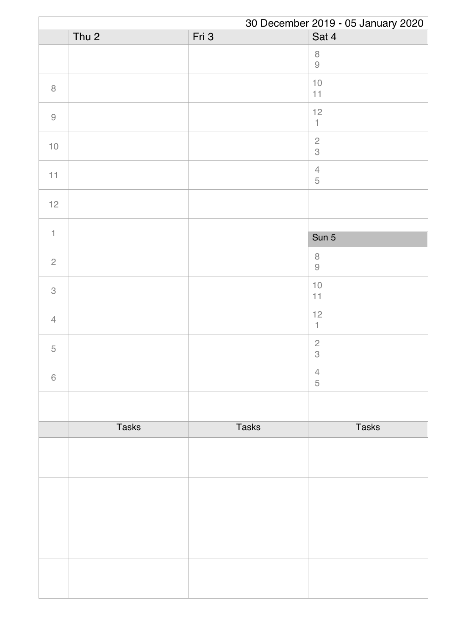|                |                  |              | 30 December 2019 - 05 January 2020 |
|----------------|------------------|--------------|------------------------------------|
|                | Thu <sub>2</sub> | Fri 3        | Sat 4                              |
|                |                  |              | $\,8\,$<br>$\Theta$                |
| $\, 8$         |                  |              | $10$<br>11                         |
| $\hbox{9}$     |                  |              | 12<br>$\mathbbm{1}$                |
| $10$           |                  |              | $\frac{2}{3}$                      |
| 11             |                  |              | $\overline{4}$<br>$\mathbf 5$      |
| 12             |                  |              |                                    |
| $\mathbf{1}$   |                  |              |                                    |
|                |                  |              | Sun 5                              |
| $\sqrt{2}$     |                  |              | $\,8\,$<br>$\Theta$                |
| 3              |                  |              | $10$<br>11                         |
| $\overline{4}$ |                  |              | 12<br>$\mathbf{1}$                 |
| $\mathbf 5$    |                  |              | $\overline{c}$<br>$\,3$            |
| $\,$ 6 $\,$    |                  |              | $\overline{4}$<br>$\sqrt{5}$       |
|                |                  |              |                                    |
|                | <b>Tasks</b>     | <b>Tasks</b> | <b>Tasks</b>                       |
|                |                  |              |                                    |
|                |                  |              |                                    |
|                |                  |              |                                    |
|                |                  |              |                                    |
|                |                  |              |                                    |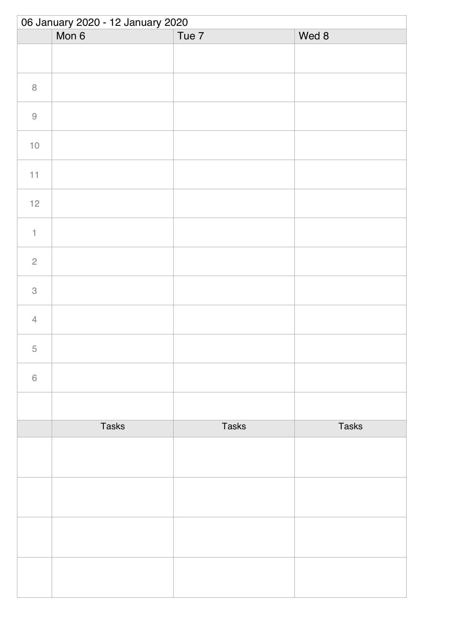| 06 January 2020 - 12 January 2020 |              |              |              |  |
|-----------------------------------|--------------|--------------|--------------|--|
|                                   | Mon 6        | Tue 7        | Wed 8        |  |
|                                   |              |              |              |  |
| $\, 8$                            |              |              |              |  |
| $\hbox{9}$                        |              |              |              |  |
| $10$                              |              |              |              |  |
| 11                                |              |              |              |  |
| $12$                              |              |              |              |  |
| $\uparrow$                        |              |              |              |  |
| $\sqrt{2}$                        |              |              |              |  |
| $\ensuremath{\mathsf{3}}$         |              |              |              |  |
| $\overline{4}$                    |              |              |              |  |
| 5                                 |              |              |              |  |
| $\,$ $\,$ $\,$                    |              |              |              |  |
|                                   |              |              |              |  |
|                                   | <b>Tasks</b> | <b>Tasks</b> | <b>Tasks</b> |  |
|                                   |              |              |              |  |
|                                   |              |              |              |  |
|                                   |              |              |              |  |
|                                   |              |              |              |  |
|                                   |              |              |              |  |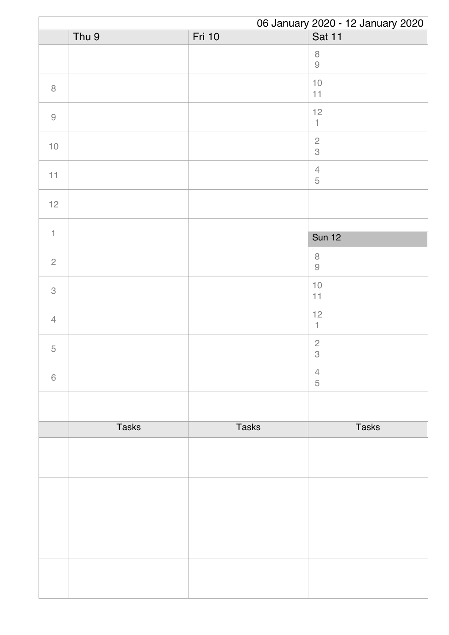|                |              |              | 06 January 2020 - 12 January 2020 |
|----------------|--------------|--------------|-----------------------------------|
|                | Thu 9        | Fri 10       | Sat 11                            |
|                |              |              | $\,8\,$<br>$\Theta$               |
| $\, 8$         |              |              | $10$<br>11                        |
| $\hbox{9}$     |              |              | 12<br>$\mathbbm{1}$               |
| $10$           |              |              | $\frac{2}{3}$                     |
| 11             |              |              | $\overline{4}$<br>$\mathbf 5$     |
| 12             |              |              |                                   |
| $\mathbf{1}$   |              |              |                                   |
|                |              |              | <b>Sun 12</b>                     |
| $\sqrt{2}$     |              |              | $\,8\,$<br>$\Theta$               |
| 3              |              |              | $10$<br>11                        |
| $\overline{4}$ |              |              | 12<br>$\mathbf{1}$                |
| $\mathbf 5$    |              |              | $\overline{c}$<br>$\,3$           |
| $\,$ 6 $\,$    |              |              | $\overline{4}$<br>$\sqrt{5}$      |
|                |              |              |                                   |
|                | <b>Tasks</b> | <b>Tasks</b> | <b>Tasks</b>                      |
|                |              |              |                                   |
|                |              |              |                                   |
|                |              |              |                                   |
|                |              |              |                                   |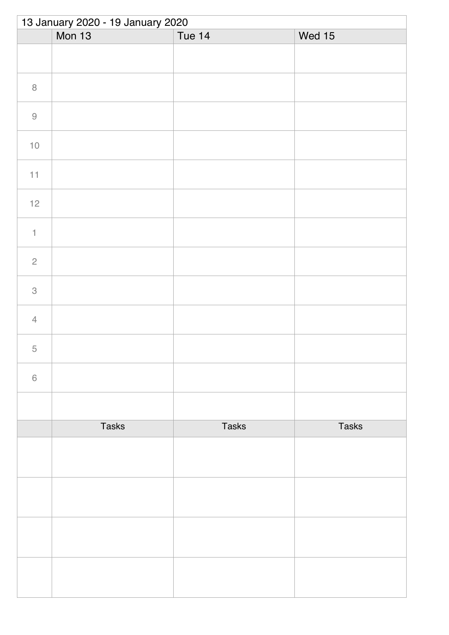| 13 January 2020 - 19 January 2020 |               |              |              |  |
|-----------------------------------|---------------|--------------|--------------|--|
|                                   | <b>Mon 13</b> | Tue 14       | Wed 15       |  |
|                                   |               |              |              |  |
| $\, 8$                            |               |              |              |  |
| $\hbox{9}$                        |               |              |              |  |
| $10$                              |               |              |              |  |
| 11                                |               |              |              |  |
| $12$                              |               |              |              |  |
| $\uparrow$                        |               |              |              |  |
| $\sqrt{2}$                        |               |              |              |  |
| $\ensuremath{\mathsf{3}}$         |               |              |              |  |
| $\overline{4}$                    |               |              |              |  |
| 5                                 |               |              |              |  |
| $\,$ $\,$ $\,$                    |               |              |              |  |
|                                   |               |              |              |  |
|                                   | <b>Tasks</b>  | <b>Tasks</b> | <b>Tasks</b> |  |
|                                   |               |              |              |  |
|                                   |               |              |              |  |
|                                   |               |              |              |  |
|                                   |               |              |              |  |
|                                   |               |              |              |  |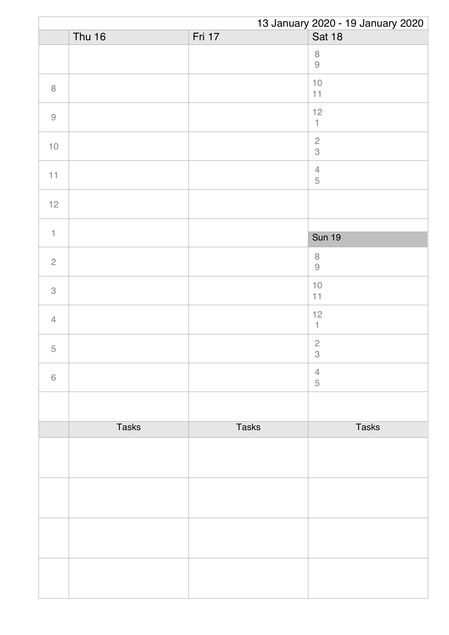|                                                           | 13 January 2020 - 19 January 2020 |              |                                                                      |  |
|-----------------------------------------------------------|-----------------------------------|--------------|----------------------------------------------------------------------|--|
|                                                           | <b>Thu 16</b>                     | Fri 17       | <b>Sat 18</b>                                                        |  |
|                                                           |                                   |              | $\,8\,$<br>$\mathcal{G}% _{M_{1},M_{2}}^{\alpha,\beta}(\mathcal{A})$ |  |
| $\, 8$                                                    |                                   |              | $10$<br>11                                                           |  |
| $\mathcal{G}% _{M_{1},M_{2}}^{\alpha,\beta}(\mathcal{A})$ |                                   |              | 12<br>$\ensuremath{\mathsf{1}}$                                      |  |
| $10$                                                      |                                   |              | $\sqrt{2}$<br>3                                                      |  |
| 11                                                        |                                   |              | $\sqrt{4}$<br>$\mathbf 5$                                            |  |
| $12$                                                      |                                   |              |                                                                      |  |
| $\mathbf{1}$                                              |                                   |              |                                                                      |  |
|                                                           |                                   |              | <b>Sun 19</b>                                                        |  |
| $\overline{2}$                                            |                                   |              | $\,8\,$<br>$\Theta$                                                  |  |
| 3                                                         |                                   |              | $10$<br>11                                                           |  |
| $\overline{4}$                                            |                                   |              | 12<br>$\mathbf{1}$                                                   |  |
| $\mathbf 5$                                               |                                   |              | $\sqrt{2}$<br>$\,$ 3 $\,$                                            |  |
| $\,6\,$                                                   |                                   |              | $\overline{4}$<br>5                                                  |  |
|                                                           |                                   |              |                                                                      |  |
|                                                           | <b>Tasks</b>                      | <b>Tasks</b> | <b>Tasks</b>                                                         |  |
|                                                           |                                   |              |                                                                      |  |
|                                                           |                                   |              |                                                                      |  |
|                                                           |                                   |              |                                                                      |  |
|                                                           |                                   |              |                                                                      |  |
|                                                           |                                   |              |                                                                      |  |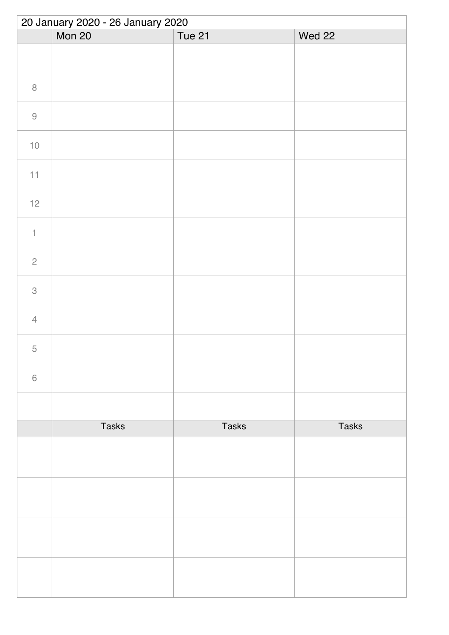| 20 January 2020 - 26 January 2020 |              |              |              |  |
|-----------------------------------|--------------|--------------|--------------|--|
|                                   | Mon 20       | Tue 21       | Wed 22       |  |
|                                   |              |              |              |  |
| $\, 8$                            |              |              |              |  |
| $\hbox{9}$                        |              |              |              |  |
| $10$                              |              |              |              |  |
| $11\,$                            |              |              |              |  |
| $12$                              |              |              |              |  |
| $\uparrow$                        |              |              |              |  |
| $\overline{c}$                    |              |              |              |  |
| $\,3$                             |              |              |              |  |
| $\overline{4}$                    |              |              |              |  |
| 5                                 |              |              |              |  |
| $\,6\,$                           |              |              |              |  |
|                                   |              |              |              |  |
|                                   | <b>Tasks</b> | <b>Tasks</b> | <b>Tasks</b> |  |
|                                   |              |              |              |  |
|                                   |              |              |              |  |
|                                   |              |              |              |  |
|                                   |              |              |              |  |
|                                   |              |              |              |  |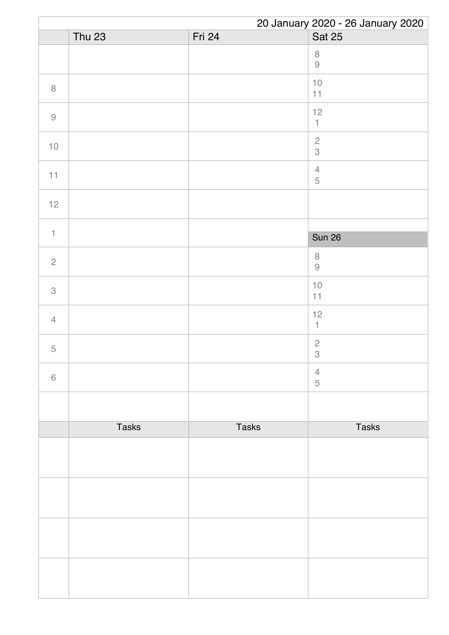|                |               |              | 20 January 2020 - 26 January 2020        |
|----------------|---------------|--------------|------------------------------------------|
|                | <b>Thu 23</b> | Fri 24       | <b>Sat 25</b>                            |
|                |               |              | $\,8\,$<br>$\Theta$                      |
| $\, 8$         |               |              | $10$<br>11                               |
| $\hbox{9}$     |               |              | 12<br>$\mathbbm{1}$                      |
| $10$           |               |              | $\overline{c}$<br>3                      |
| 11             |               |              | $\ensuremath{\mathsf{4}}$<br>$\mathbf 5$ |
| $12$           |               |              |                                          |
| $\mathbf{1}$   |               |              |                                          |
|                |               |              | <b>Sun 26</b>                            |
| $\overline{c}$ |               |              | $\,8\,$<br>$\Theta$                      |
| $\,$ 3 $\,$    |               |              | $10$<br>11                               |
| $\overline{4}$ |               |              | $12$<br>$\mathbf{1}$                     |
| $\mathbf 5$    |               |              | $\overline{c}$<br>$\,3$                  |
| $\,6\,$        |               |              | $\overline{4}$<br>$\overline{5}$         |
|                |               |              |                                          |
|                | <b>Tasks</b>  | <b>Tasks</b> | <b>Tasks</b>                             |
|                |               |              |                                          |
|                |               |              |                                          |
|                |               |              |                                          |
|                |               |              |                                          |
|                |               |              |                                          |
|                |               |              |                                          |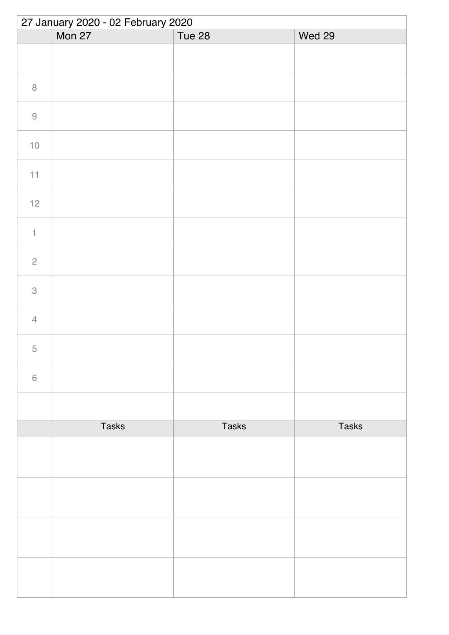| 27 January 2020 - 02 February 2020 |              |              |              |  |
|------------------------------------|--------------|--------------|--------------|--|
|                                    | Mon 27       | Tue 28       | Wed 29       |  |
|                                    |              |              |              |  |
| $\, 8$                             |              |              |              |  |
| $\hbox{9}$                         |              |              |              |  |
| $10$                               |              |              |              |  |
| $11\,$                             |              |              |              |  |
| $12$                               |              |              |              |  |
| $\uparrow$                         |              |              |              |  |
| $\sqrt{2}$                         |              |              |              |  |
| $\,3$                              |              |              |              |  |
| $\overline{4}$                     |              |              |              |  |
| 5                                  |              |              |              |  |
| $\,6\,$                            |              |              |              |  |
|                                    |              |              |              |  |
|                                    | <b>Tasks</b> | <b>Tasks</b> | <b>Tasks</b> |  |
|                                    |              |              |              |  |
|                                    |              |              |              |  |
|                                    |              |              |              |  |
|                                    |              |              |              |  |
|                                    |              |              |              |  |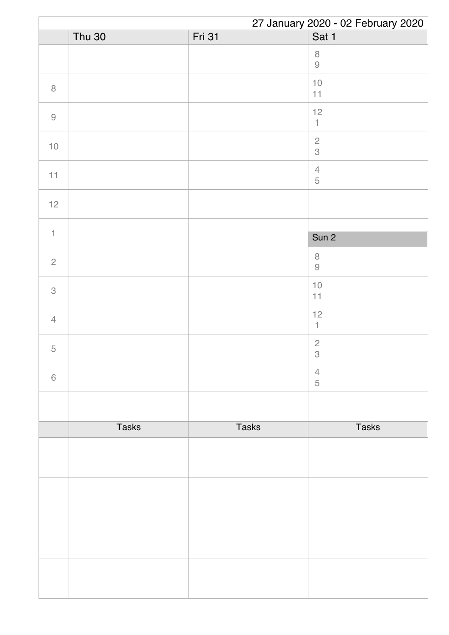|                | 27 January 2020 - 02 February 2020 |               |                                          |  |
|----------------|------------------------------------|---------------|------------------------------------------|--|
|                | <b>Thu 30</b>                      | <b>Fri 31</b> | Sat 1                                    |  |
|                |                                    |               | $\,8\,$<br>$\Theta$                      |  |
| $\, 8$         |                                    |               | $10$<br>11                               |  |
| $\hbox{9}$     |                                    |               | 12<br>$\ensuremath{\mathsf{1}}$          |  |
| $10$           |                                    |               | $\frac{2}{3}$                            |  |
| 11             |                                    |               | $\ensuremath{\mathsf{4}}$<br>$\mathbf 5$ |  |
| 12             |                                    |               |                                          |  |
|                |                                    |               |                                          |  |
| $\mathbf{1}$   |                                    |               | Sun 2                                    |  |
| $\overline{c}$ |                                    |               | $\,8\,$<br>$\Theta$                      |  |
| 3              |                                    |               | $10$<br>11                               |  |
| $\overline{4}$ |                                    |               | 12<br>$\mathbf{1}$                       |  |
| $\mathbf 5$    |                                    |               | $\overline{c}$<br>$\,3$                  |  |
| $\,$ 6 $\,$    |                                    |               | $\overline{4}$<br>$\sqrt{5}$             |  |
|                |                                    |               |                                          |  |
|                | <b>Tasks</b>                       | <b>Tasks</b>  | <b>Tasks</b>                             |  |
|                |                                    |               |                                          |  |
|                |                                    |               |                                          |  |
|                |                                    |               |                                          |  |
|                |                                    |               |                                          |  |
|                |                                    |               |                                          |  |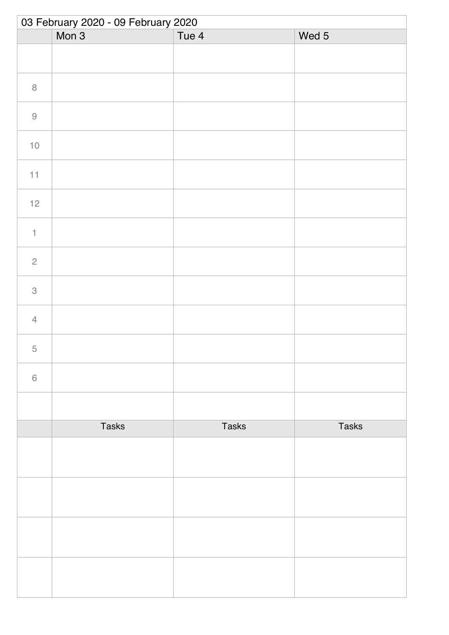| 03 February 2020 - 09 February 2020 |              |              |              |  |
|-------------------------------------|--------------|--------------|--------------|--|
|                                     | Mon 3        | Tue 4        | Wed 5        |  |
|                                     |              |              |              |  |
| $\,8\,$                             |              |              |              |  |
| $\hbox{9}$                          |              |              |              |  |
| $10$                                |              |              |              |  |
| 11                                  |              |              |              |  |
| $12$                                |              |              |              |  |
| $\uparrow$                          |              |              |              |  |
| $\sqrt{2}$                          |              |              |              |  |
| $\ensuremath{\mathsf{3}}$           |              |              |              |  |
| $\overline{4}$                      |              |              |              |  |
| 5                                   |              |              |              |  |
| $\,$ $\,$ $\,$                      |              |              |              |  |
|                                     |              |              |              |  |
|                                     | <b>Tasks</b> | <b>Tasks</b> | <b>Tasks</b> |  |
|                                     |              |              |              |  |
|                                     |              |              |              |  |
|                                     |              |              |              |  |
|                                     |              |              |              |  |
|                                     |              |              |              |  |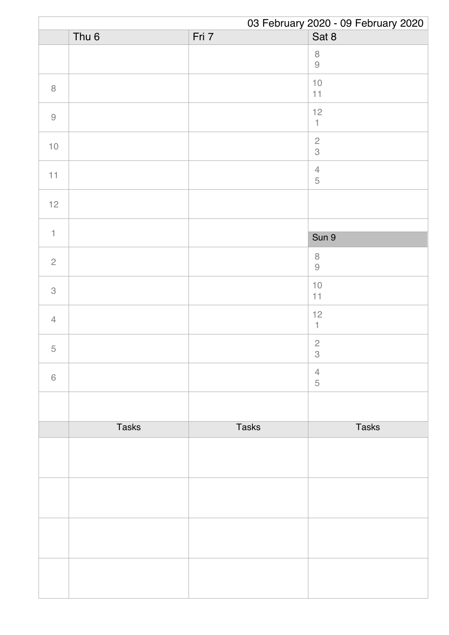|                | 03 February 2020 - 09 February 2020 |              |                                             |  |
|----------------|-------------------------------------|--------------|---------------------------------------------|--|
|                | Thu <sub>6</sub>                    | Fri 7        | Sat 8                                       |  |
|                |                                     |              | $\,8\,$<br>$\Theta$                         |  |
| $\, 8$         |                                     |              | $10$<br>11                                  |  |
| $\hbox{9}$     |                                     |              | 12<br>$\mathbbm{1}$                         |  |
| $10$           |                                     |              | $\frac{2}{3}$                               |  |
| 11             |                                     |              | $\overline{4}$<br>$\overline{5}$            |  |
| 12             |                                     |              |                                             |  |
|                |                                     |              |                                             |  |
| $\mathbf{1}$   |                                     |              | Sun 9                                       |  |
| $\sqrt{2}$     |                                     |              | $\,8\,$<br>$\Theta$                         |  |
| 3              |                                     |              | $10$<br>11                                  |  |
| $\overline{4}$ |                                     |              | 12<br>1                                     |  |
| $\mathbf 5$    |                                     |              | $\overline{c}$<br>$\ensuremath{\mathsf{3}}$ |  |
| 6              |                                     |              | $\overline{4}$<br>5                         |  |
|                |                                     |              |                                             |  |
|                | <b>Tasks</b>                        | <b>Tasks</b> | <b>Tasks</b>                                |  |
|                |                                     |              |                                             |  |
|                |                                     |              |                                             |  |
|                |                                     |              |                                             |  |
|                |                                     |              |                                             |  |
|                |                                     |              |                                             |  |
|                |                                     |              |                                             |  |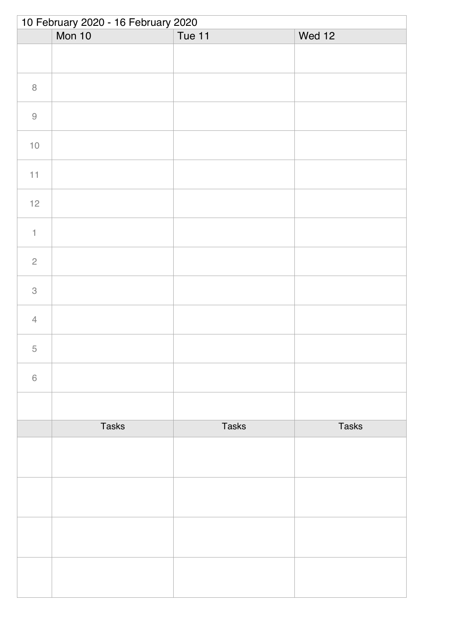| 10 February 2020 - 16 February 2020 |              |              |              |  |
|-------------------------------------|--------------|--------------|--------------|--|
|                                     | Mon 10       | Tue 11       | Wed 12       |  |
|                                     |              |              |              |  |
| $\, 8$                              |              |              |              |  |
| $\hbox{9}$                          |              |              |              |  |
| $10$                                |              |              |              |  |
| $11\,$                              |              |              |              |  |
| $12$                                |              |              |              |  |
| $\uparrow$                          |              |              |              |  |
| $\overline{c}$                      |              |              |              |  |
| $\,3$                               |              |              |              |  |
| $\overline{4}$                      |              |              |              |  |
| 5                                   |              |              |              |  |
| $\,6\,$                             |              |              |              |  |
|                                     |              |              |              |  |
|                                     | <b>Tasks</b> | <b>Tasks</b> | <b>Tasks</b> |  |
|                                     |              |              |              |  |
|                                     |              |              |              |  |
|                                     |              |              |              |  |
|                                     |              |              |              |  |
|                                     |              |              |              |  |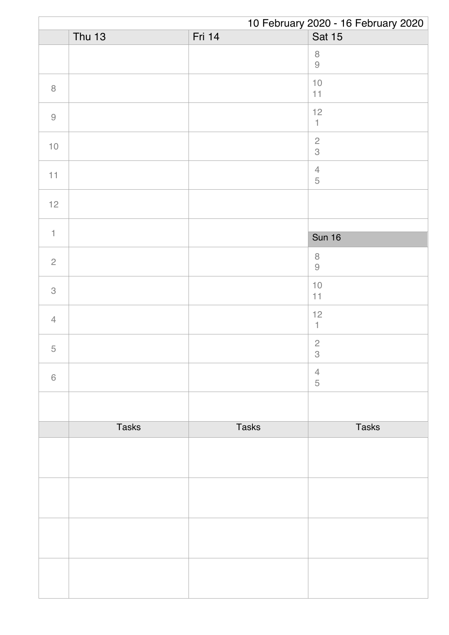|                | 10 February 2020 - 16 February 2020 |              |                                             |
|----------------|-------------------------------------|--------------|---------------------------------------------|
|                | <b>Thu 13</b>                       | Fri 14       | Sat 15                                      |
|                |                                     |              | $\,8\,$<br>$\Theta$                         |
| $\, 8$         |                                     |              | $10$<br>11                                  |
| $\hbox{9}$     |                                     |              | 12<br>$\mathbbm{1}$                         |
| $10$           |                                     |              | $\frac{2}{3}$                               |
| 11             |                                     |              | $\ensuremath{\mathsf{4}}$<br>$\overline{5}$ |
| 12             |                                     |              |                                             |
|                |                                     |              |                                             |
| $\mathbf{1}$   |                                     |              | <b>Sun 16</b>                               |
| $\mathbf{2}$   |                                     |              | $\,8\,$<br>$\Theta$                         |
| 3              |                                     |              | $10$<br>11                                  |
| $\overline{4}$ |                                     |              | 12<br>1                                     |
| $\mathbf 5$    |                                     |              | $\overline{c}$<br>$\,3$                     |
| $\,$ 6 $\,$    |                                     |              | $\overline{4}$<br>$\sqrt{5}$                |
|                |                                     |              |                                             |
|                | <b>Tasks</b>                        | <b>Tasks</b> | <b>Tasks</b>                                |
|                |                                     |              |                                             |
|                |                                     |              |                                             |
|                |                                     |              |                                             |
|                |                                     |              |                                             |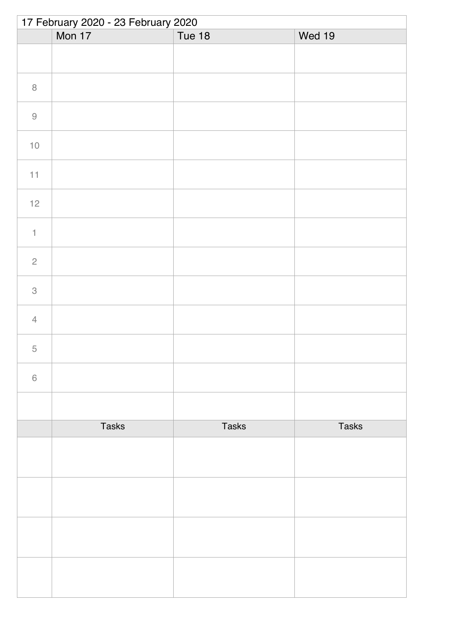| 17 February 2020 - 23 February 2020 |              |               |              |  |
|-------------------------------------|--------------|---------------|--------------|--|
|                                     | Mon 17       | <b>Tue 18</b> | Wed 19       |  |
|                                     |              |               |              |  |
| $\, 8$                              |              |               |              |  |
| $\Theta$                            |              |               |              |  |
| $10$                                |              |               |              |  |
| 11                                  |              |               |              |  |
| $12$                                |              |               |              |  |
| $\ensuremath{\mathsf{1}}$           |              |               |              |  |
| $\sqrt{2}$                          |              |               |              |  |
| $\ensuremath{\mathsf{3}}$           |              |               |              |  |
| $\overline{4}$                      |              |               |              |  |
| 5                                   |              |               |              |  |
| $\,$ $\,$ $\,$                      |              |               |              |  |
|                                     |              |               |              |  |
|                                     | <b>Tasks</b> | <b>Tasks</b>  | <b>Tasks</b> |  |
|                                     |              |               |              |  |
|                                     |              |               |              |  |
|                                     |              |               |              |  |
|                                     |              |               |              |  |
|                                     |              |               |              |  |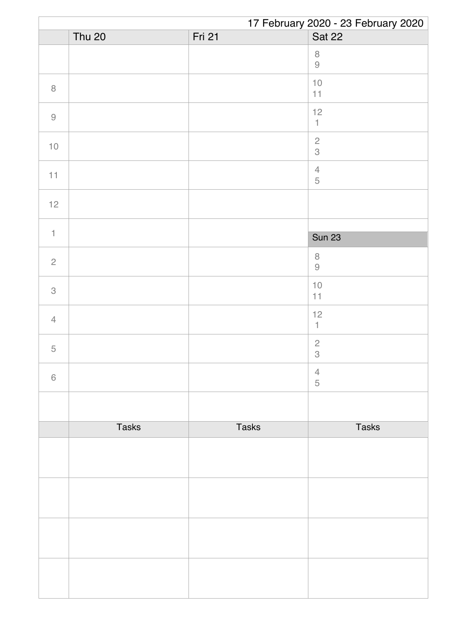|                | 17 February 2020 - 23 February 2020 |              |                               |  |
|----------------|-------------------------------------|--------------|-------------------------------|--|
|                | <b>Thu 20</b>                       | Fri 21       | <b>Sat 22</b>                 |  |
|                |                                     |              | $\, 8$<br>$\Theta$            |  |
| $\, 8$         |                                     |              | $10$<br>11                    |  |
| $\hbox{9}$     |                                     |              | 12<br>$\uparrow$              |  |
| $10$           |                                     |              | $\frac{2}{3}$                 |  |
| 11             |                                     |              | $\overline{4}$<br>$\mathbf 5$ |  |
| 12             |                                     |              |                               |  |
|                |                                     |              |                               |  |
| $\mathbf{1}$   |                                     |              | <b>Sun 23</b>                 |  |
| $\overline{c}$ |                                     |              | $\,8\,$<br>$\Theta$           |  |
| 3              |                                     |              | $10$<br>11                    |  |
| $\overline{4}$ |                                     |              | 12<br>1                       |  |
| $\mathbf 5$    |                                     |              | $\overline{c}$<br>$\,$ 3 $\,$ |  |
| $\,$ 6 $\,$    |                                     |              | $\overline{4}$<br>5           |  |
|                |                                     |              |                               |  |
|                | <b>Tasks</b>                        | <b>Tasks</b> | <b>Tasks</b>                  |  |
|                |                                     |              |                               |  |
|                |                                     |              |                               |  |
|                |                                     |              |                               |  |
|                |                                     |              |                               |  |
|                |                                     |              |                               |  |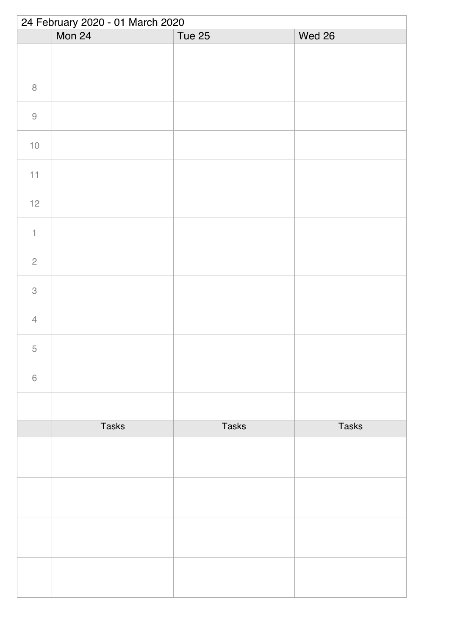| 24 February 2020 - 01 March 2020 |              |              |              |  |
|----------------------------------|--------------|--------------|--------------|--|
|                                  | Mon 24       | Tue 25       | Wed 26       |  |
|                                  |              |              |              |  |
| $\, 8$                           |              |              |              |  |
| $\hbox{9}$                       |              |              |              |  |
| $10$                             |              |              |              |  |
| 11                               |              |              |              |  |
| $12$                             |              |              |              |  |
| $\uparrow$                       |              |              |              |  |
| $\sqrt{2}$                       |              |              |              |  |
| $\ensuremath{\mathsf{3}}$        |              |              |              |  |
| $\overline{4}$                   |              |              |              |  |
| 5                                |              |              |              |  |
| $\,$ $\,$ $\,$                   |              |              |              |  |
|                                  |              |              |              |  |
|                                  | <b>Tasks</b> | <b>Tasks</b> | <b>Tasks</b> |  |
|                                  |              |              |              |  |
|                                  |              |              |              |  |
|                                  |              |              |              |  |
|                                  |              |              |              |  |
|                                  |              |              |              |  |
|                                  |              |              |              |  |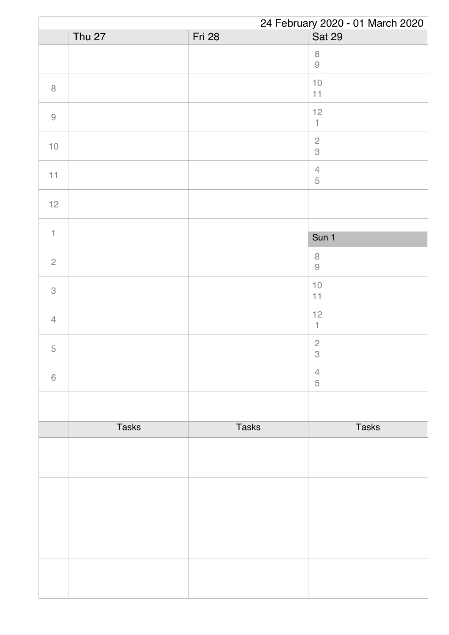|                | 24 February 2020 - 01 March 2020 |              |                                                                      |  |
|----------------|----------------------------------|--------------|----------------------------------------------------------------------|--|
|                | Thu $27$                         | Fri 28       | Sat 29                                                               |  |
|                |                                  |              | $\,8\,$<br>$\mathcal{G}% _{M_{1},M_{2}}^{\alpha,\beta}(\mathcal{A})$ |  |
| $\, 8$         |                                  |              | $10$<br>11                                                           |  |
| $\hbox{9}$     |                                  |              | 12<br>$\ensuremath{\mathsf{1}}$                                      |  |
| $10$           |                                  |              | $\sqrt{2}$<br>3                                                      |  |
| 11             |                                  |              | $\sqrt{4}$<br>$\mathbf 5$                                            |  |
| $12$           |                                  |              |                                                                      |  |
| $\mathbf{1}$   |                                  |              |                                                                      |  |
|                |                                  |              | Sun 1                                                                |  |
| $\overline{c}$ |                                  |              | $\, 8$<br>$\hbox{9}$                                                 |  |
| 3              |                                  |              | $10$<br>$11$                                                         |  |
| $\overline{4}$ |                                  |              | 12<br>$\mathbf{1}$                                                   |  |
| $\mathbf 5$    |                                  |              | $\sqrt{2}$<br>$\,$ 3 $\,$                                            |  |
| $\,6\,$        |                                  |              | $\overline{4}$<br>5                                                  |  |
|                |                                  |              |                                                                      |  |
|                | <b>Tasks</b>                     | <b>Tasks</b> | <b>Tasks</b>                                                         |  |
|                |                                  |              |                                                                      |  |
|                |                                  |              |                                                                      |  |
|                |                                  |              |                                                                      |  |
|                |                                  |              |                                                                      |  |
|                |                                  |              |                                                                      |  |
|                |                                  |              |                                                                      |  |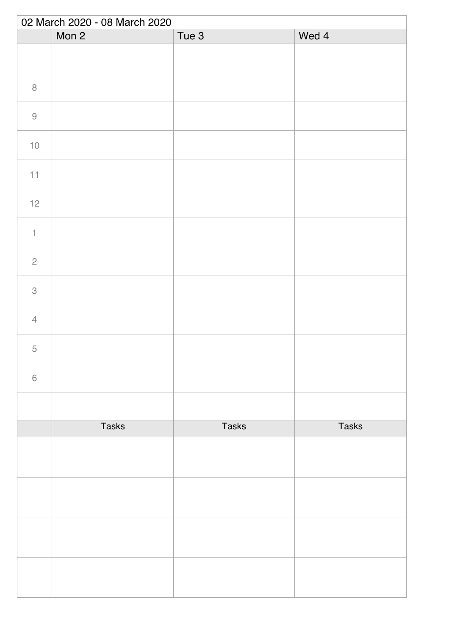| 02 March 2020 - 08 March 2020 |              |                  |              |
|-------------------------------|--------------|------------------|--------------|
|                               | Mon 2        | Tue <sub>3</sub> | Wed 4        |
|                               |              |                  |              |
| $\, 8$                        |              |                  |              |
| $\Theta$                      |              |                  |              |
| $10$                          |              |                  |              |
| 11                            |              |                  |              |
| $12$                          |              |                  |              |
| $\uparrow$                    |              |                  |              |
| $\sqrt{2}$                    |              |                  |              |
| $\ensuremath{\mathsf{3}}$     |              |                  |              |
| $\overline{4}$                |              |                  |              |
| 5                             |              |                  |              |
| $\,$ $\,$ $\,$                |              |                  |              |
|                               |              |                  |              |
|                               | <b>Tasks</b> | <b>Tasks</b>     | <b>Tasks</b> |
|                               |              |                  |              |
|                               |              |                  |              |
|                               |              |                  |              |
|                               |              |                  |              |
|                               |              |                  |              |
|                               |              |                  |              |
|                               |              |                  |              |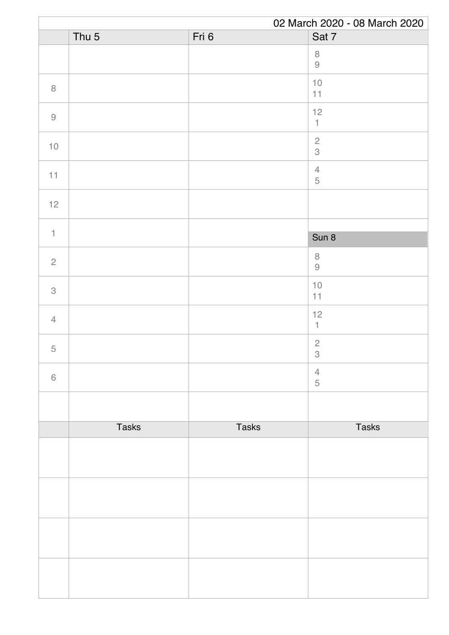|                |                  |              | 02 March 2020 - 08 March 2020 |
|----------------|------------------|--------------|-------------------------------|
|                | Thu <sub>5</sub> | Fri 6        | Sat 7                         |
|                |                  |              | $\, 8$<br>$\hbox{9}$          |
| $\, 8$         |                  |              | $10$<br>11                    |
| $\hbox{9}$     |                  |              | 12<br>$\mathbbm{1}$           |
| $10$           |                  |              | $\frac{2}{3}$                 |
| 11             |                  |              | $\sqrt{4}$<br>$\mathbf 5$     |
| $12$           |                  |              |                               |
| $\mathbf{1}$   |                  |              | Sun 8                         |
| $\overline{c}$ |                  |              | $\, 8$<br>$\hbox{9}$          |
| 3              |                  |              | $10$<br>11                    |
| $\overline{4}$ |                  |              | 12<br>$\mathbf{1}$            |
| $\mathbf 5$    |                  |              | $\overline{c}$<br>$\,3$       |
| $\,$ 6 $\,$    |                  |              | $\overline{4}$<br>5           |
|                |                  |              |                               |
|                | <b>Tasks</b>     | <b>Tasks</b> | <b>Tasks</b>                  |
|                |                  |              |                               |
|                |                  |              |                               |
|                |                  |              |                               |
|                |                  |              |                               |
|                |                  |              |                               |
|                |                  |              |                               |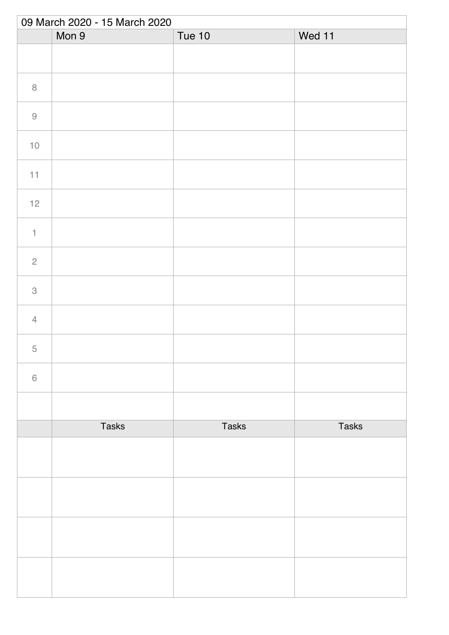|                           | 09 March 2020 - 15 March 2020 |              |              |  |
|---------------------------|-------------------------------|--------------|--------------|--|
|                           | Mon 9                         | Tue 10       | Wed 11       |  |
|                           |                               |              |              |  |
| $\, 8$                    |                               |              |              |  |
| $\Theta$                  |                               |              |              |  |
| $10$                      |                               |              |              |  |
| $11\,$                    |                               |              |              |  |
| $12$                      |                               |              |              |  |
| $\ensuremath{\mathsf{1}}$ |                               |              |              |  |
| $\sqrt{2}$                |                               |              |              |  |
| $\ensuremath{\mathsf{3}}$ |                               |              |              |  |
| $\overline{4}$            |                               |              |              |  |
| 5                         |                               |              |              |  |
| $\,$ $\,$ $\,$            |                               |              |              |  |
|                           |                               |              |              |  |
|                           | <b>Tasks</b>                  | <b>Tasks</b> | <b>Tasks</b> |  |
|                           |                               |              |              |  |
|                           |                               |              |              |  |
|                           |                               |              |              |  |
|                           |                               |              |              |  |
|                           |                               |              |              |  |
|                           |                               |              |              |  |
|                           |                               |              |              |  |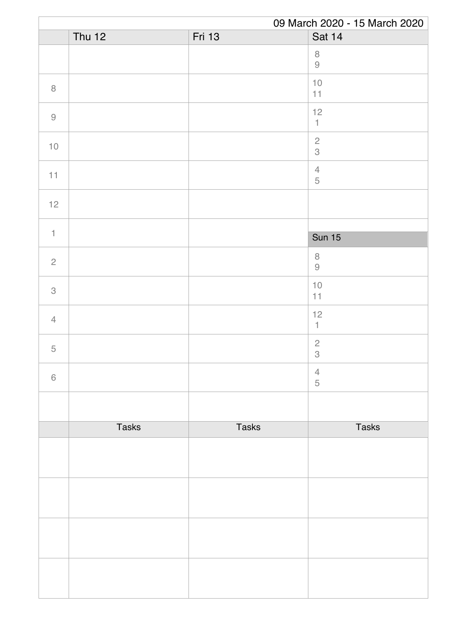|                                                           | 09 March 2020 - 15 March 2020 |               |                                         |  |
|-----------------------------------------------------------|-------------------------------|---------------|-----------------------------------------|--|
|                                                           | Thu $12$                      | <b>Fri 13</b> | Sat 14                                  |  |
|                                                           |                               |               | $\, 8$<br>$\hbox{9}$                    |  |
| $\, 8$                                                    |                               |               | $10$<br>11                              |  |
| $\mathcal{G}% _{M_{1},M_{2}}^{\alpha,\beta}(\mathcal{A})$ |                               |               | 12<br>$\mathbf{1}$                      |  |
| $10$                                                      |                               |               | $\sqrt{2}$<br>$\mathcal S$              |  |
| 11                                                        |                               |               | $\sqrt{4}$<br>$\mathbf 5$               |  |
| $12$                                                      |                               |               |                                         |  |
| $\mathbf{1}$                                              |                               |               |                                         |  |
|                                                           |                               |               | <b>Sun 15</b>                           |  |
| $\overline{c}$                                            |                               |               | $\, 8$<br>$\hbox{9}$                    |  |
| 3                                                         |                               |               | $10$<br>11                              |  |
| $\overline{4}$                                            |                               |               | 12<br>$\mathbf{1}$                      |  |
| $\mathbf 5$                                               |                               |               | $\sqrt{2}$<br>$\ensuremath{\mathsf{3}}$ |  |
| $\,6\,$                                                   |                               |               | $\overline{4}$<br>5                     |  |
|                                                           |                               |               |                                         |  |
|                                                           | <b>Tasks</b>                  | <b>Tasks</b>  | <b>Tasks</b>                            |  |
|                                                           |                               |               |                                         |  |
|                                                           |                               |               |                                         |  |
|                                                           |                               |               |                                         |  |
|                                                           |                               |               |                                         |  |
|                                                           |                               |               |                                         |  |
|                                                           |                               |               |                                         |  |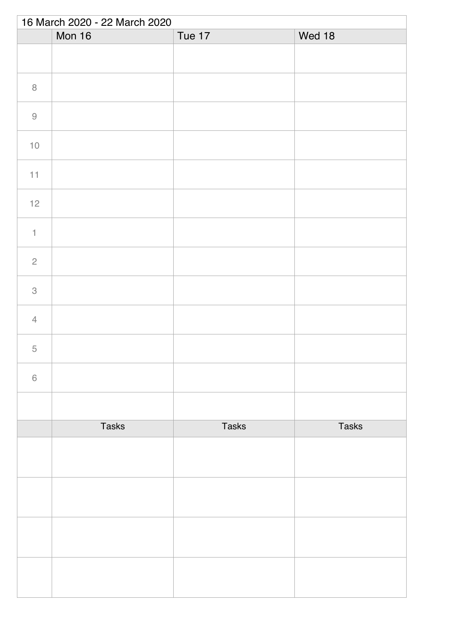| 16 March 2020 - 22 March 2020 |              |              |              |  |
|-------------------------------|--------------|--------------|--------------|--|
|                               | Mon 16       | Tue 17       | Wed 18       |  |
|                               |              |              |              |  |
| $\, 8$                        |              |              |              |  |
| $\hbox{9}$                    |              |              |              |  |
| $10$                          |              |              |              |  |
| $11\,$                        |              |              |              |  |
| $12$                          |              |              |              |  |
| $\uparrow$                    |              |              |              |  |
| $\overline{c}$                |              |              |              |  |
| $\,3$                         |              |              |              |  |
| $\overline{4}$                |              |              |              |  |
| 5                             |              |              |              |  |
| $\,6\,$                       |              |              |              |  |
|                               |              |              |              |  |
|                               | <b>Tasks</b> | <b>Tasks</b> | <b>Tasks</b> |  |
|                               |              |              |              |  |
|                               |              |              |              |  |
|                               |              |              |              |  |
|                               |              |              |              |  |
|                               |              |              |              |  |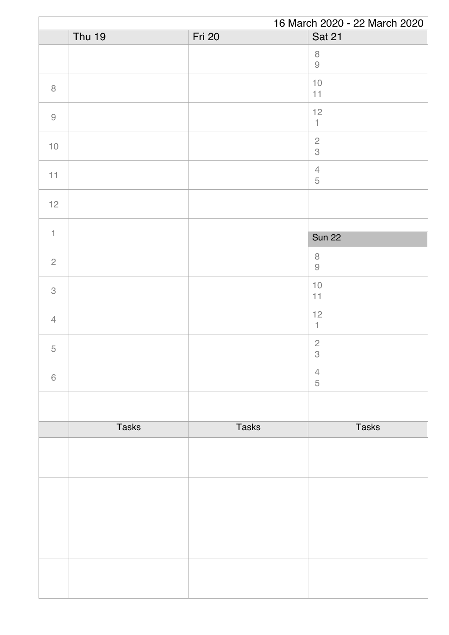|                |               |               | 16 March 2020 - 22 March 2020                                       |
|----------------|---------------|---------------|---------------------------------------------------------------------|
|                | <b>Thu 19</b> | <b>Fri 20</b> | Sat 21                                                              |
|                |               |               | $\, 8$<br>$\mathcal{G}% _{M_{1},M_{2}}^{\alpha,\beta}(\mathcal{A})$ |
| $\, 8$         |               |               | $10$<br>11                                                          |
| $\hbox{9}$     |               |               | 12<br>$\mathbbm{1}$                                                 |
| $10$           |               |               | $\overline{c}$<br>$\mathcal S$                                      |
| 11             |               |               | $\sqrt{4}$<br>$\mathbf 5$                                           |
| 12             |               |               |                                                                     |
| $\mathbf{1}$   |               |               | <b>Sun 22</b>                                                       |
| $\overline{c}$ |               |               | $\, 8$<br>$\mathcal{G}% _{M_{1},M_{2}}^{\alpha,\beta}(\mathcal{A})$ |
| 3              |               |               | $10$<br>11                                                          |
| $\overline{4}$ |               |               | 12<br>$\mathbf{1}$                                                  |
| $\mathbf 5$    |               |               | $\sqrt{2}$<br>$\ensuremath{\mathsf{3}}$                             |
| $\,6\,$        |               |               | $\overline{4}$<br>5                                                 |
|                |               |               |                                                                     |
|                | <b>Tasks</b>  | <b>Tasks</b>  | <b>Tasks</b>                                                        |
|                |               |               |                                                                     |
|                |               |               |                                                                     |
|                |               |               |                                                                     |
|                |               |               |                                                                     |
|                |               |               |                                                                     |
|                |               |               |                                                                     |
|                |               |               |                                                                     |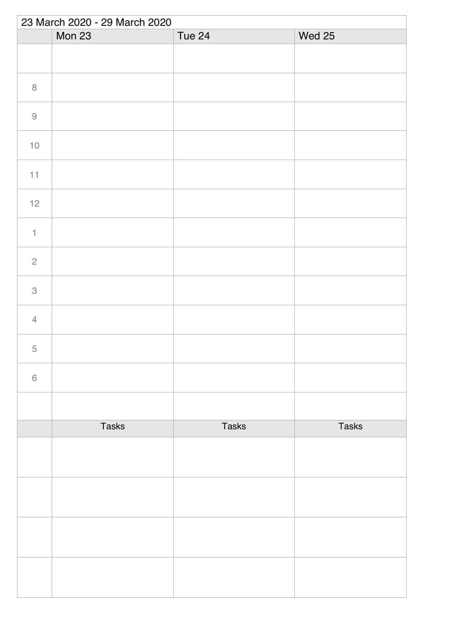| 23 March 2020 - 29 March 2020 |              |              |               |  |
|-------------------------------|--------------|--------------|---------------|--|
|                               | Mon 23       | Tue 24       | <b>Wed 25</b> |  |
|                               |              |              |               |  |
| $\,8\,$                       |              |              |               |  |
| $\hbox{9}$                    |              |              |               |  |
| $10$                          |              |              |               |  |
| 11                            |              |              |               |  |
| $12$                          |              |              |               |  |
| $\mathbf{1}$                  |              |              |               |  |
| $\overline{c}$                |              |              |               |  |
| $\ensuremath{\mathsf{3}}$     |              |              |               |  |
| $\overline{4}$                |              |              |               |  |
| $\mathbf 5$                   |              |              |               |  |
| $\,$ $\,$ $\,$                |              |              |               |  |
|                               |              |              |               |  |
|                               | <b>Tasks</b> | <b>Tasks</b> | <b>Tasks</b>  |  |
|                               |              |              |               |  |
|                               |              |              |               |  |
|                               |              |              |               |  |
|                               |              |              |               |  |
|                               |              |              |               |  |
|                               |              |              |               |  |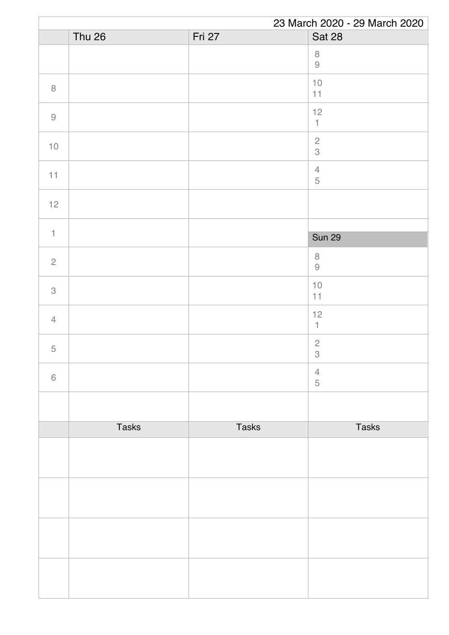|                | 23 March 2020 - 29 March 2020 |              |                                                                     |
|----------------|-------------------------------|--------------|---------------------------------------------------------------------|
|                | Thu 26                        | Fri 27       | <b>Sat 28</b>                                                       |
|                |                               |              | $\, 8$<br>$\mathcal{G}% _{M_{1},M_{2}}^{\alpha,\beta}(\mathcal{A})$ |
| $\, 8$         |                               |              | $10$<br>11                                                          |
| $\hbox{9}$     |                               |              | 12<br>$\mathbbm{1}$                                                 |
| $10$           |                               |              | $\overline{c}$<br>$\,$ 3 $\,$                                       |
| 11             |                               |              | $\sqrt{4}$<br>$\mathbf 5$                                           |
| 12             |                               |              |                                                                     |
| $\mathbf{1}$   |                               |              | <b>Sun 29</b>                                                       |
|                |                               |              | $\, 8$                                                              |
| $\overline{c}$ |                               |              | $\mathcal{G}% _{M_{1},M_{2}}^{\alpha,\beta}(\mathcal{A})$           |
| 3              |                               |              | $10$<br>11                                                          |
| $\overline{4}$ |                               |              | 12<br>$\mathbf{1}$                                                  |
| $\mathbf 5$    |                               |              | $\sqrt{2}$<br>$\ensuremath{\mathsf{3}}$                             |
| $\,6\,$        |                               |              | $\overline{4}$<br>5                                                 |
|                |                               |              |                                                                     |
|                | <b>Tasks</b>                  | <b>Tasks</b> | <b>Tasks</b>                                                        |
|                |                               |              |                                                                     |
|                |                               |              |                                                                     |
|                |                               |              |                                                                     |
|                |                               |              |                                                                     |
|                |                               |              |                                                                     |
|                |                               |              |                                                                     |
|                |                               |              |                                                                     |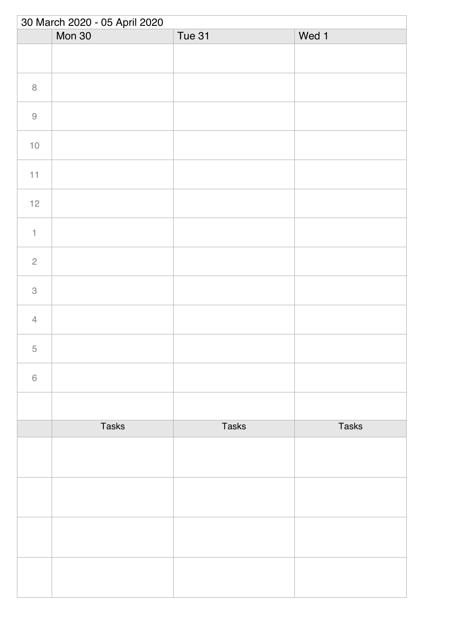| 30 March 2020 - 05 April 2020 |              |        |              |  |
|-------------------------------|--------------|--------|--------------|--|
|                               | Mon 30       | Tue 31 | Wed 1        |  |
|                               |              |        |              |  |
| $\, 8$                        |              |        |              |  |
| $\hbox{9}$                    |              |        |              |  |
| $10$                          |              |        |              |  |
| $11\,$                        |              |        |              |  |
| $12$                          |              |        |              |  |
| $\uparrow$                    |              |        |              |  |
| $\overline{c}$                |              |        |              |  |
| $\,3$                         |              |        |              |  |
| $\overline{4}$                |              |        |              |  |
| $\overline{5}$                |              |        |              |  |
| $\,6\,$                       |              |        |              |  |
|                               |              |        |              |  |
|                               | <b>Tasks</b> | Tasks  | <b>Tasks</b> |  |
|                               |              |        |              |  |
|                               |              |        |              |  |
|                               |              |        |              |  |
|                               |              |        |              |  |
|                               |              |        |              |  |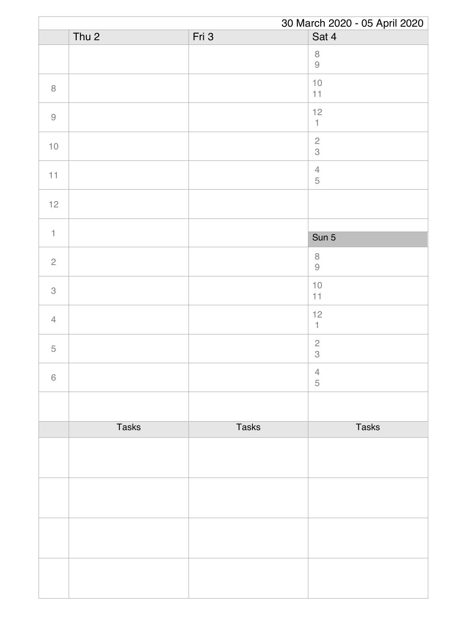|                | 30 March 2020 - 05 April 2020 |              |                                                                     |
|----------------|-------------------------------|--------------|---------------------------------------------------------------------|
|                | Thu <sub>2</sub>              | Fri 3        | Sat 4                                                               |
|                |                               |              | $\, 8$<br>$\mathcal{G}% _{M_{1},M_{2}}^{\alpha,\beta}(\mathcal{A})$ |
| $\, 8$         |                               |              | $10$<br>11                                                          |
| $\hbox{9}$     |                               |              | 12<br>$\ensuremath{\mathsf{1}}$                                     |
| $10$           |                               |              | $\sqrt{2}$<br>3                                                     |
| 11             |                               |              | $\sqrt{4}$<br>$\mathbf 5$                                           |
| $12$           |                               |              |                                                                     |
| $\mathbf{1}$   |                               |              |                                                                     |
|                |                               |              | Sun 5                                                               |
| $\overline{c}$ |                               |              | $\, 8$<br>$\Theta$                                                  |
| 3              |                               |              | $10$<br>$11$                                                        |
| $\overline{4}$ |                               |              | 12<br>$\uparrow$                                                    |
| 5              |                               |              | $\sqrt{2}$<br>$\,3$                                                 |
| $6\,$          |                               |              | $\overline{4}$<br>5                                                 |
|                |                               |              |                                                                     |
|                | <b>Tasks</b>                  | <b>Tasks</b> | <b>Tasks</b>                                                        |
|                |                               |              |                                                                     |
|                |                               |              |                                                                     |
|                |                               |              |                                                                     |
|                |                               |              |                                                                     |
|                |                               |              |                                                                     |
|                |                               |              |                                                                     |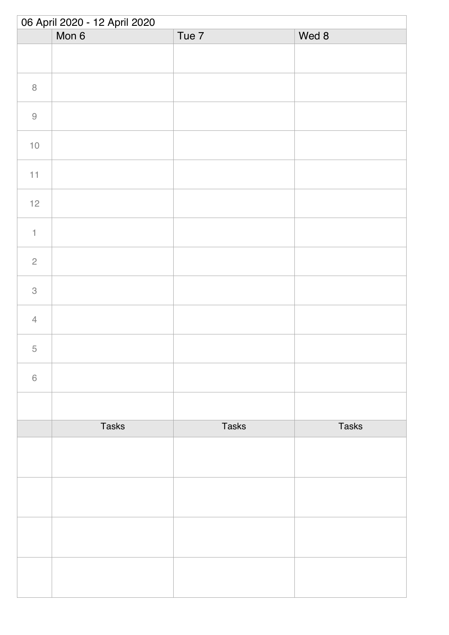| 06 April 2020 - 12 April 2020 |              |              |              |
|-------------------------------|--------------|--------------|--------------|
|                               | Mon 6        | Tue 7        | Wed 8        |
|                               |              |              |              |
| $\, 8$                        |              |              |              |
| $\Theta$                      |              |              |              |
| $10$                          |              |              |              |
| 11                            |              |              |              |
| $12$                          |              |              |              |
| $\ensuremath{\mathsf{1}}$     |              |              |              |
| $\sqrt{2}$                    |              |              |              |
| $\ensuremath{\mathsf{3}}$     |              |              |              |
| $\sqrt{4}$                    |              |              |              |
| 5                             |              |              |              |
| $\,$ $\,$ $\,$                |              |              |              |
|                               |              |              |              |
|                               | <b>Tasks</b> | <b>Tasks</b> | <b>Tasks</b> |
|                               |              |              |              |
|                               |              |              |              |
|                               |              |              |              |
|                               |              |              |              |
|                               |              |              |              |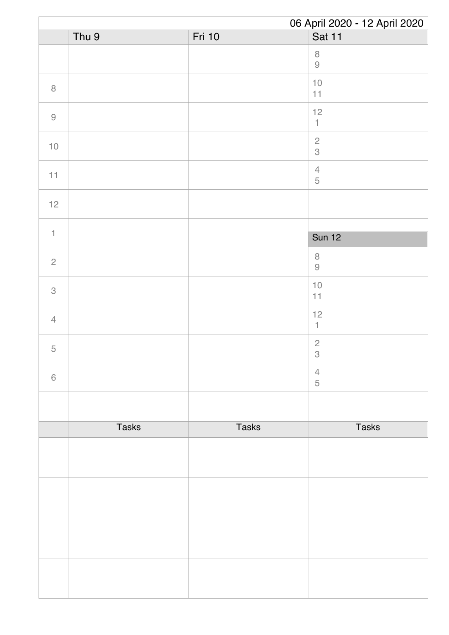|                | 06 April 2020 - 12 April 2020 |              |                                         |
|----------------|-------------------------------|--------------|-----------------------------------------|
|                | Thu 9                         | Fri 10       | Sat 11                                  |
|                |                               |              | $\, 8$<br>$\hbox{9}$                    |
| $\, 8$         |                               |              | $10$<br>11                              |
| $\hbox{9}$     |                               |              | 12<br>$\mathbbm{1}$                     |
| $10\,$         |                               |              | $\sqrt{2}$<br>$\mathcal S$              |
| 11             |                               |              | $\overline{4}$<br>$\sqrt{5}$            |
| $12$           |                               |              |                                         |
| $\mathbf{1}$   |                               |              | <b>Sun 12</b>                           |
|                |                               |              |                                         |
| $\mathbf{2}$   |                               |              | $\, 8$<br>$\Theta$                      |
| 3              |                               |              | $10$<br>11                              |
| $\overline{4}$ |                               |              | 12<br>$\mathbf{1}$                      |
| $\mathbf 5$    |                               |              | $\sqrt{2}$<br>$\ensuremath{\mathsf{3}}$ |
| $\,6\,$        |                               |              | $\overline{4}$<br>5                     |
|                |                               |              |                                         |
|                | <b>Tasks</b>                  | <b>Tasks</b> | <b>Tasks</b>                            |
|                |                               |              |                                         |
|                |                               |              |                                         |
|                |                               |              |                                         |
|                |                               |              |                                         |
|                |                               |              |                                         |
|                |                               |              |                                         |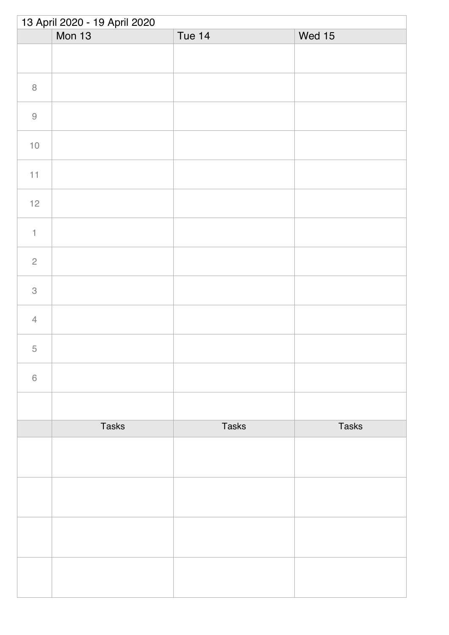| 13 April 2020 - 19 April 2020 |               |               |              |  |
|-------------------------------|---------------|---------------|--------------|--|
|                               | <b>Mon 13</b> | <b>Tue 14</b> | Wed 15       |  |
|                               |               |               |              |  |
| $\, 8$                        |               |               |              |  |
| $\hbox{9}$                    |               |               |              |  |
| $10$                          |               |               |              |  |
| 11                            |               |               |              |  |
| $12$                          |               |               |              |  |
| $\ensuremath{\mathsf{1}}$     |               |               |              |  |
| $\overline{c}$                |               |               |              |  |
| $\ensuremath{\mathsf{3}}$     |               |               |              |  |
| $\overline{4}$                |               |               |              |  |
| $\overline{5}$                |               |               |              |  |
| $\,$ $\,$ $\,$                |               |               |              |  |
|                               |               |               |              |  |
|                               | <b>Tasks</b>  | <b>Tasks</b>  | <b>Tasks</b> |  |
|                               |               |               |              |  |
|                               |               |               |              |  |
|                               |               |               |              |  |
|                               |               |               |              |  |
|                               |               |               |              |  |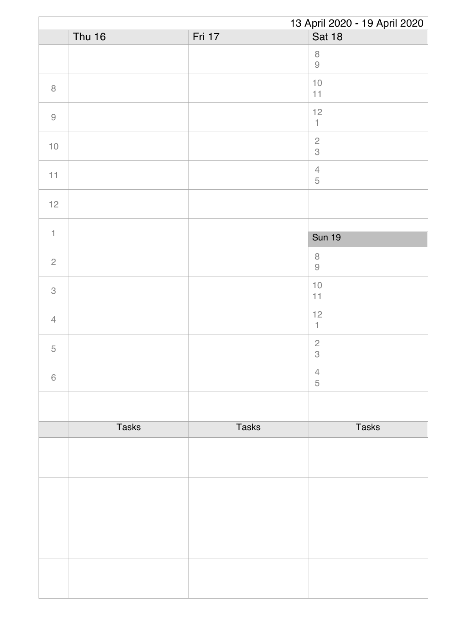|                                                           | 13 April 2020 - 19 April 2020 |              |                                                                      |
|-----------------------------------------------------------|-------------------------------|--------------|----------------------------------------------------------------------|
|                                                           | <b>Thu 16</b>                 | Fri 17       | <b>Sat 18</b>                                                        |
|                                                           |                               |              | $\,8\,$<br>$\mathcal{G}% _{M_{1},M_{2}}^{\alpha,\beta}(\mathcal{A})$ |
| $\, 8$                                                    |                               |              | $10$<br>11                                                           |
| $\mathcal{G}% _{M_{1},M_{2}}^{\alpha,\beta}(\mathcal{A})$ |                               |              | 12<br>$\mathbbm{1}$                                                  |
| $10$                                                      |                               |              | $\overline{c}$<br>$\mathcal S$                                       |
| 11                                                        |                               |              | $\overline{4}$<br>$\sqrt{5}$                                         |
| $12$                                                      |                               |              |                                                                      |
| $\mathbf{1}$                                              |                               |              |                                                                      |
|                                                           |                               |              | <b>Sun 19</b>                                                        |
| $\mathbf{2}$                                              |                               |              | $\, 8$<br>$\Theta$                                                   |
| 3                                                         |                               |              | $10$<br>11                                                           |
| $\overline{4}$                                            |                               |              | 12<br>$\mathbf{1}$                                                   |
| $\mathbf 5$                                               |                               |              | $\sqrt{2}$<br>$\ensuremath{\mathsf{3}}$                              |
| $\,6\,$                                                   |                               |              | $\overline{4}$<br>5                                                  |
|                                                           |                               |              |                                                                      |
|                                                           | <b>Tasks</b>                  | <b>Tasks</b> | <b>Tasks</b>                                                         |
|                                                           |                               |              |                                                                      |
|                                                           |                               |              |                                                                      |
|                                                           |                               |              |                                                                      |
|                                                           |                               |              |                                                                      |
|                                                           |                               |              |                                                                      |
|                                                           |                               |              |                                                                      |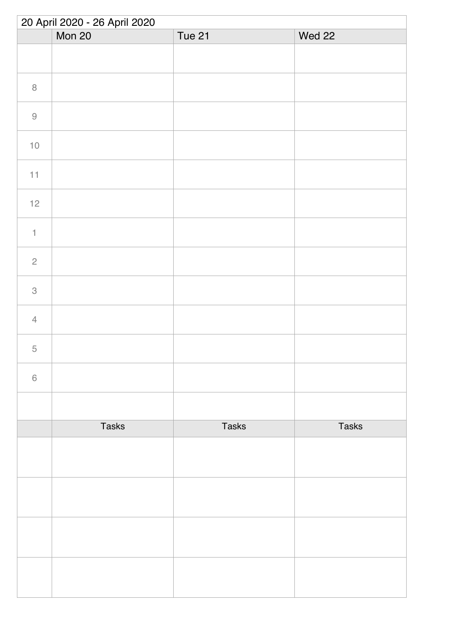| 20 April 2020 - 26 April 2020 |              |              |              |
|-------------------------------|--------------|--------------|--------------|
|                               | Mon 20       | Tue 21       | Wed 22       |
|                               |              |              |              |
| $\, 8$                        |              |              |              |
| $\hbox{9}$                    |              |              |              |
| $10$                          |              |              |              |
| 11                            |              |              |              |
| $12$                          |              |              |              |
| $\uparrow$                    |              |              |              |
| $\sqrt{2}$                    |              |              |              |
| $\ensuremath{\mathsf{3}}$     |              |              |              |
| $\sqrt{4}$                    |              |              |              |
| 5                             |              |              |              |
| $\,$ $\,$ $\,$                |              |              |              |
|                               |              |              |              |
|                               | <b>Tasks</b> | <b>Tasks</b> | <b>Tasks</b> |
|                               |              |              |              |
|                               |              |              |              |
|                               |              |              |              |
|                               |              |              |              |
|                               |              |              |              |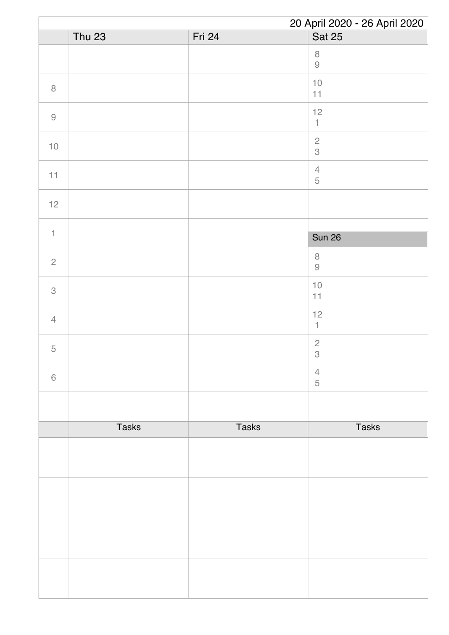|                           | 20 April 2020 - 26 April 2020 |              |                                                                      |  |
|---------------------------|-------------------------------|--------------|----------------------------------------------------------------------|--|
|                           | <b>Thu 23</b>                 | Fri 24       | <b>Sat 25</b>                                                        |  |
|                           |                               |              | $\,8\,$<br>$\mathcal{G}% _{M_{1},M_{2}}^{\alpha,\beta}(\mathcal{A})$ |  |
| $\, 8$                    |                               |              | $10$<br>11                                                           |  |
| $\hbox{9}$                |                               |              | 12<br>$\mathbbm{1}$                                                  |  |
| $10$                      |                               |              | $\overline{c}$<br>$\mathcal S$                                       |  |
| 11                        |                               |              | $\sqrt{4}$<br>$\sqrt{5}$                                             |  |
| $12$                      |                               |              |                                                                      |  |
| $\uparrow$                |                               |              |                                                                      |  |
|                           |                               |              | <b>Sun 26</b>                                                        |  |
| $\sqrt{2}$                |                               |              | $\,8\,$<br>$\Theta$                                                  |  |
| $\ensuremath{\mathsf{3}}$ |                               |              | $10$<br>11                                                           |  |
| $\overline{4}$            |                               |              | 12<br>$\mathbf{1}$                                                   |  |
| $\mathbf 5$               |                               |              | $\sqrt{2}$<br>$\ensuremath{\mathsf{3}}$                              |  |
| $\,$ $\,$ $\,$            |                               |              | $\overline{4}$<br>5                                                  |  |
|                           |                               |              |                                                                      |  |
|                           | <b>Tasks</b>                  | <b>Tasks</b> | <b>Tasks</b>                                                         |  |
|                           |                               |              |                                                                      |  |
|                           |                               |              |                                                                      |  |
|                           |                               |              |                                                                      |  |
|                           |                               |              |                                                                      |  |
|                           |                               |              |                                                                      |  |
|                           |                               |              |                                                                      |  |
|                           |                               |              |                                                                      |  |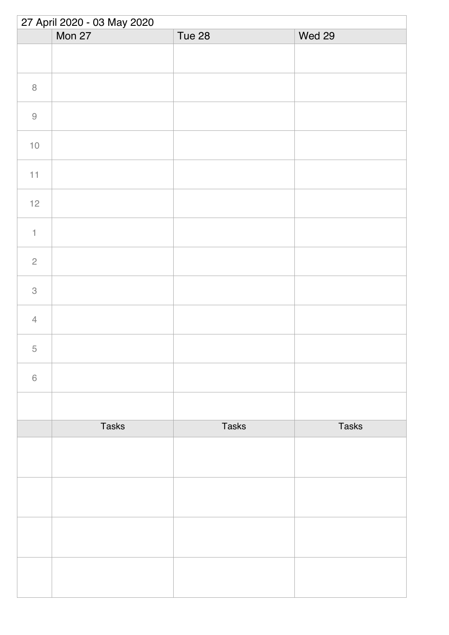| 27 April 2020 - 03 May 2020 |              |              |              |  |
|-----------------------------|--------------|--------------|--------------|--|
|                             | Mon 27       | Tue 28       | Wed 29       |  |
|                             |              |              |              |  |
| $\, 8$                      |              |              |              |  |
| $\Theta$                    |              |              |              |  |
| $10$                        |              |              |              |  |
| 11                          |              |              |              |  |
| $12$                        |              |              |              |  |
| $\ensuremath{\mathsf{1}}$   |              |              |              |  |
| $\overline{c}$              |              |              |              |  |
| $\ensuremath{\mathsf{3}}$   |              |              |              |  |
| $\overline{4}$              |              |              |              |  |
| 5                           |              |              |              |  |
| $\,$ $\,$ $\,$              |              |              |              |  |
|                             |              |              |              |  |
|                             | <b>Tasks</b> | <b>Tasks</b> | <b>Tasks</b> |  |
|                             |              |              |              |  |
|                             |              |              |              |  |
|                             |              |              |              |  |
|                             |              |              |              |  |
|                             |              |              |              |  |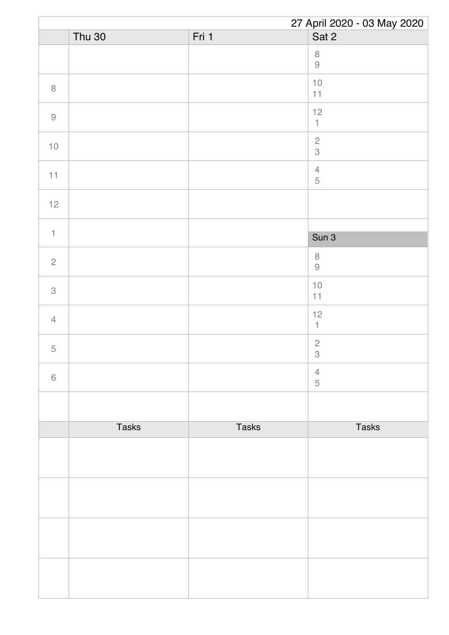|                           |               |              | 27 April 2020 - 03 May 2020                 |
|---------------------------|---------------|--------------|---------------------------------------------|
|                           | <b>Thu 30</b> | Fri 1        | Sat 2                                       |
|                           |               |              | $\,8\,$<br>$\Theta$                         |
| $\, 8$                    |               |              | $10$<br>$11$                                |
| $\hbox{9}$                |               |              | 12<br>$\mathbbm{1}$                         |
| $10$                      |               |              | $\frac{2}{3}$                               |
| 11                        |               |              | $\ensuremath{\mathsf{4}}$<br>$\mathbf 5$    |
| $12$                      |               |              |                                             |
| $\uparrow$                |               |              | Sun 3                                       |
| $\overline{c}$            |               |              | $\, 8$                                      |
|                           |               |              | $\Theta$                                    |
| $\ensuremath{\mathsf{3}}$ |               |              | $10$<br>$11$                                |
| $\overline{4}$            |               |              | 12<br>$\mathbf{1}$                          |
| $\mathbf 5$               |               |              | $\overline{c}$<br>$\ensuremath{\mathsf{3}}$ |
| $\,$ $\,$ $\,$            |               |              | $\overline{4}$<br>5                         |
|                           |               |              |                                             |
|                           | <b>Tasks</b>  | <b>Tasks</b> | <b>Tasks</b>                                |
|                           |               |              |                                             |
|                           |               |              |                                             |
|                           |               |              |                                             |
|                           |               |              |                                             |
|                           |               |              |                                             |
|                           |               |              |                                             |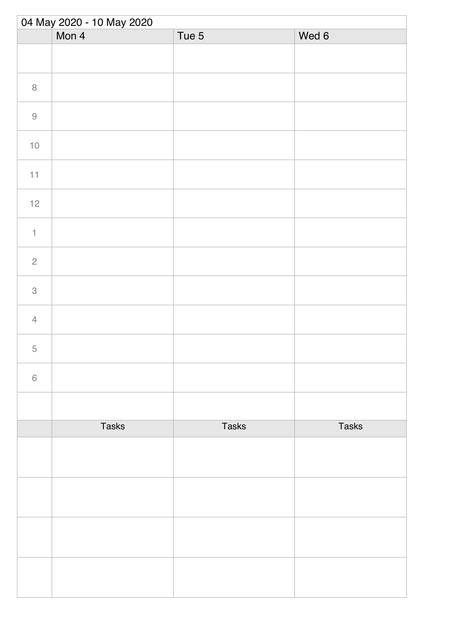| 04 May 2020 - 10 May 2020 |              |              |              |  |
|---------------------------|--------------|--------------|--------------|--|
|                           | Mon 4        | Tue 5        | Wed 6        |  |
|                           |              |              |              |  |
| $\,8\,$                   |              |              |              |  |
| $\Theta$                  |              |              |              |  |
| $10\,$                    |              |              |              |  |
| 11                        |              |              |              |  |
| $12$                      |              |              |              |  |
| $\ensuremath{\mathsf{1}}$ |              |              |              |  |
| $\sqrt{2}$                |              |              |              |  |
| $\ensuremath{\mathsf{3}}$ |              |              |              |  |
| $\overline{4}$            |              |              |              |  |
| 5                         |              |              |              |  |
| $\,$ $\,$ $\,$            |              |              |              |  |
|                           |              |              |              |  |
|                           | <b>Tasks</b> | <b>Tasks</b> | <b>Tasks</b> |  |
|                           |              |              |              |  |
|                           |              |              |              |  |
|                           |              |              |              |  |
|                           |              |              |              |  |
|                           |              |              |              |  |
|                           |              |              |              |  |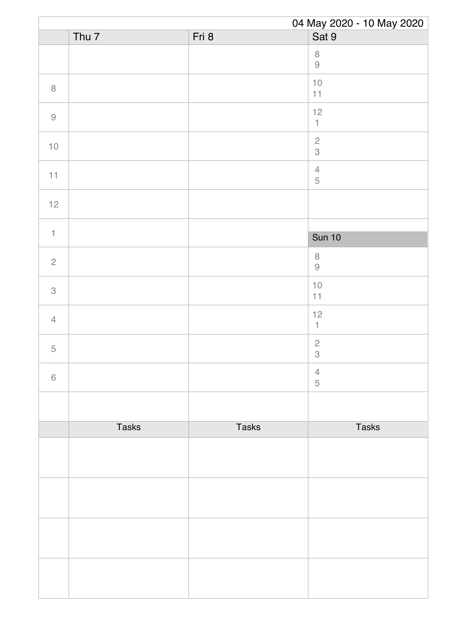|                |                  |              | 04 May 2020 - 10 May 2020                                           |
|----------------|------------------|--------------|---------------------------------------------------------------------|
|                | Thu <sub>7</sub> | Fri 8        | Sat 9                                                               |
|                |                  |              | $\, 8$<br>$\mathcal{G}% _{M_{1},M_{2}}^{\alpha,\beta}(\mathcal{A})$ |
| $\, 8$         |                  |              | $10$<br>$11$                                                        |
| $\hbox{9}$     |                  |              | 12<br>$\uparrow$                                                    |
| $10$           |                  |              | $\sqrt{2}$<br>3                                                     |
| 11             |                  |              | $\ensuremath{\mathsf{4}}$<br>$\mathbf 5$                            |
| $12$           |                  |              |                                                                     |
| $\mathbf{1}$   |                  |              |                                                                     |
|                |                  |              | <b>Sun 10</b>                                                       |
| $\overline{c}$ |                  |              | $\, 8$<br>$\hbox{9}$                                                |
| 3              |                  |              | $10$<br>11                                                          |
| $\overline{4}$ |                  |              | $12$<br>$\mathbb{1}$                                                |
| 5              |                  |              | $\sqrt{2}$<br>$\,3$                                                 |
| $\,6\,$        |                  |              | $\overline{4}$<br>5                                                 |
|                |                  |              |                                                                     |
|                | <b>Tasks</b>     | <b>Tasks</b> | <b>Tasks</b>                                                        |
|                |                  |              |                                                                     |
|                |                  |              |                                                                     |
|                |                  |              |                                                                     |
|                |                  |              |                                                                     |
|                |                  |              |                                                                     |
|                |                  |              |                                                                     |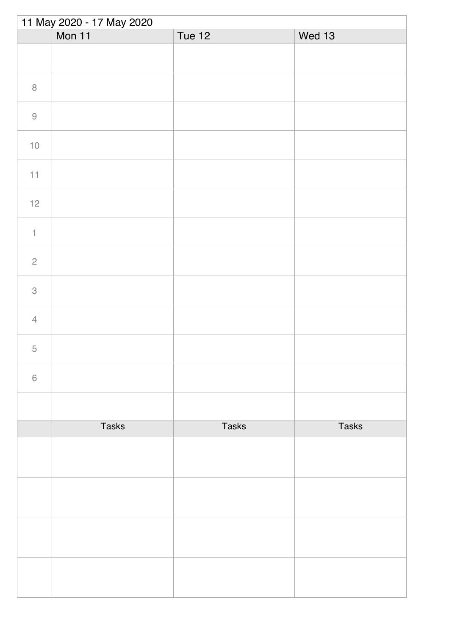| 11 May 2020 - 17 May 2020 |              |               |              |  |
|---------------------------|--------------|---------------|--------------|--|
|                           | Mon 11       | <b>Tue 12</b> | Wed 13       |  |
|                           |              |               |              |  |
| $\, 8$                    |              |               |              |  |
| $\hbox{9}$                |              |               |              |  |
| $10$                      |              |               |              |  |
| $11\,$                    |              |               |              |  |
| $12$                      |              |               |              |  |
| $\uparrow$                |              |               |              |  |
| $\sqrt{2}$                |              |               |              |  |
| $\,3$                     |              |               |              |  |
| $\overline{4}$            |              |               |              |  |
| $\overline{5}$            |              |               |              |  |
| $\,$ $\,$ $\,$            |              |               |              |  |
|                           |              |               |              |  |
|                           | <b>Tasks</b> | Tasks         | <b>Tasks</b> |  |
|                           |              |               |              |  |
|                           |              |               |              |  |
|                           |              |               |              |  |
|                           |              |               |              |  |
|                           |              |               |              |  |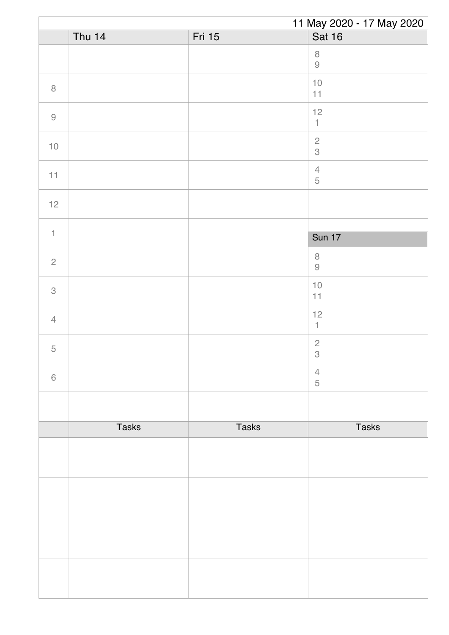|                |               |              | 11 May 2020 - 17 May 2020               |
|----------------|---------------|--------------|-----------------------------------------|
|                | <b>Thu 14</b> | Fri 15       | Sat 16                                  |
|                |               |              | $\, 8$<br>$\hbox{9}$                    |
| $\, 8$         |               |              | $10$<br>11                              |
| $\hbox{9}$     |               |              | 12<br>$\mathbbm{1}$                     |
| $10$           |               |              | $\sqrt{2}$<br>$\mathcal S$              |
| 11             |               |              | $\overline{4}$<br>$\sqrt{5}$            |
| $12$           |               |              |                                         |
| $\mathbf{1}$   |               |              |                                         |
|                |               |              | <b>Sun 17</b>                           |
| $\sqrt{2}$     |               |              | $\, 8$<br>$\Theta$                      |
| 3              |               |              | $10$<br>11                              |
| $\overline{4}$ |               |              | $12$<br>$\mathbf{1}$                    |
| $\mathbf 5$    |               |              | $\sqrt{2}$<br>$\ensuremath{\mathsf{3}}$ |
| $\,6\,$        |               |              | $\overline{4}$<br>5                     |
|                |               |              |                                         |
|                | <b>Tasks</b>  | <b>Tasks</b> | <b>Tasks</b>                            |
|                |               |              |                                         |
|                |               |              |                                         |
|                |               |              |                                         |
|                |               |              |                                         |
|                |               |              |                                         |
|                |               |              |                                         |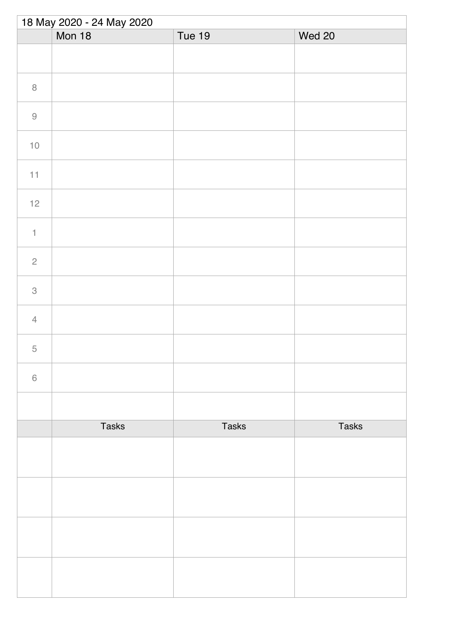| 18 May 2020 - 24 May 2020 |               |               |              |  |
|---------------------------|---------------|---------------|--------------|--|
|                           | <b>Mon 18</b> | <b>Tue 19</b> | Wed 20       |  |
|                           |               |               |              |  |
| $\, 8$                    |               |               |              |  |
| $\hbox{9}$                |               |               |              |  |
| $10$                      |               |               |              |  |
| $11\,$                    |               |               |              |  |
| $12$                      |               |               |              |  |
| $\uparrow$                |               |               |              |  |
| $\overline{c}$            |               |               |              |  |
| $\,3$                     |               |               |              |  |
| $\overline{4}$            |               |               |              |  |
| 5                         |               |               |              |  |
| $\,$ $\,$ $\,$            |               |               |              |  |
|                           |               |               |              |  |
|                           | <b>Tasks</b>  | <b>Tasks</b>  | <b>Tasks</b> |  |
|                           |               |               |              |  |
|                           |               |               |              |  |
|                           |               |               |              |  |
|                           |               |               |              |  |
|                           |               |               |              |  |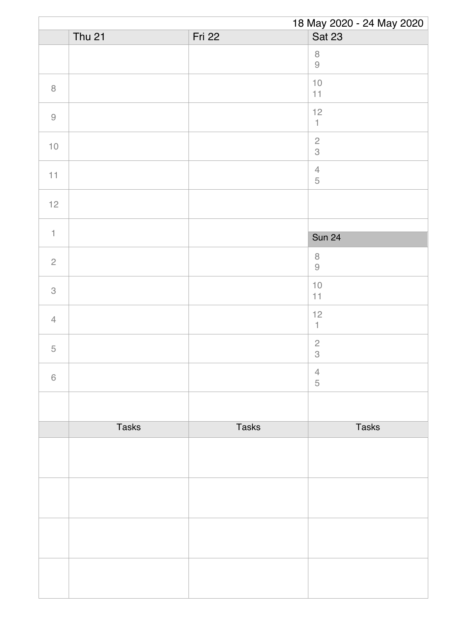| 18 May 2020 - 24 May 2020 |               |              |                                         |
|---------------------------|---------------|--------------|-----------------------------------------|
|                           | <b>Thu 21</b> | Fri 22       | <b>Sat 23</b>                           |
|                           |               |              | $\, 8$<br>$\hbox{9}$                    |
| $\, 8$                    |               |              | $10$<br>11                              |
| $\hbox{9}$                |               |              | 12<br>$\mathbbm{1}$                     |
| $10$                      |               |              | $\sqrt{2}$<br>$\mathcal S$              |
| 11                        |               |              | $\overline{4}$<br>$\sqrt{5}$            |
| $12$                      |               |              |                                         |
| $\mathbf{1}$              |               |              |                                         |
|                           |               |              | <b>Sun 24</b>                           |
| $\mathbf{2}$              |               |              | $\, 8$<br>$\Theta$                      |
| 3                         |               |              | $10$<br>11                              |
| $\overline{4}$            |               |              | $12$<br>$\mathbf{1}$                    |
| $\mathbf 5$               |               |              | $\sqrt{2}$<br>$\ensuremath{\mathsf{3}}$ |
| $\,6\,$                   |               |              | $\overline{4}$<br>5                     |
|                           |               |              |                                         |
|                           | <b>Tasks</b>  | <b>Tasks</b> | <b>Tasks</b>                            |
|                           |               |              |                                         |
|                           |               |              |                                         |
|                           |               |              |                                         |
|                           |               |              |                                         |
|                           |               |              |                                         |
|                           |               |              |                                         |
|                           |               |              |                                         |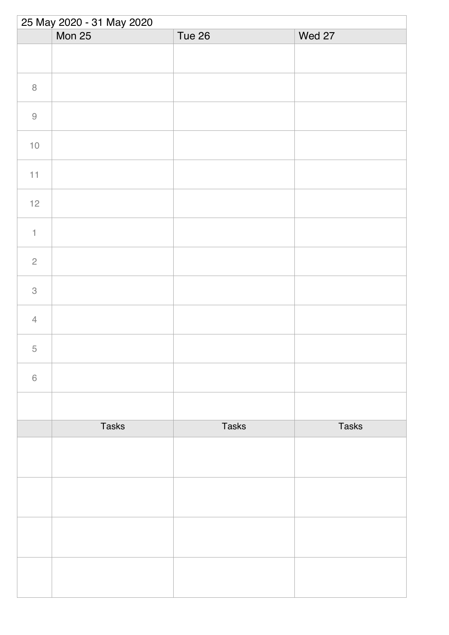| 25 May 2020 - 31 May 2020 |              |              |              |  |
|---------------------------|--------------|--------------|--------------|--|
|                           | Mon 25       | Tue 26       | Wed 27       |  |
|                           |              |              |              |  |
| $\, 8$                    |              |              |              |  |
| $\hbox{9}$                |              |              |              |  |
| $10$                      |              |              |              |  |
| $11\,$                    |              |              |              |  |
| $12$                      |              |              |              |  |
| $\uparrow$                |              |              |              |  |
| $\overline{c}$            |              |              |              |  |
| $\,3$                     |              |              |              |  |
| $\overline{4}$            |              |              |              |  |
| 5                         |              |              |              |  |
| $\,$ $\,$ $\,$            |              |              |              |  |
|                           |              |              |              |  |
|                           | <b>Tasks</b> | <b>Tasks</b> | <b>Tasks</b> |  |
|                           |              |              |              |  |
|                           |              |              |              |  |
|                           |              |              |              |  |
|                           |              |              |              |  |
|                           |              |              |              |  |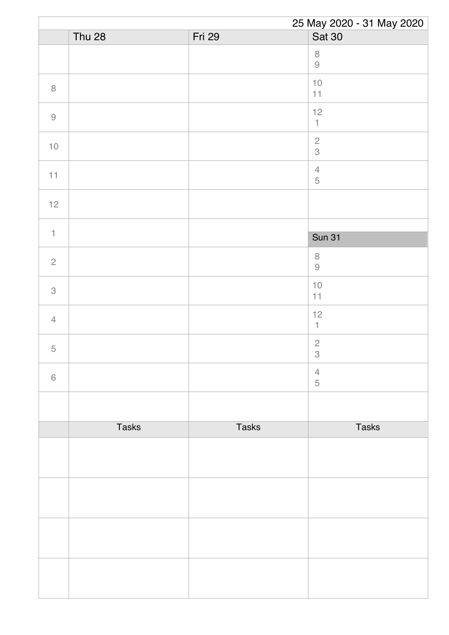|                |               |              | 25 May 2020 - 31 May 2020     |
|----------------|---------------|--------------|-------------------------------|
|                | <b>Thu 28</b> | Fri 29       | Sat 30                        |
|                |               |              | $\, 8$<br>$\hbox{9}$          |
| $\,8\,$        |               |              | $10$<br>11                    |
| $\hbox{9}$     |               |              | 12<br>$\mathbbm{1}$           |
| $10$           |               |              | $\sqrt{2}$<br>$\mathcal S$    |
| 11             |               |              | $\overline{4}$<br>$\mathbf 5$ |
| 12             |               |              |                               |
|                |               |              |                               |
| $\mathbf{1}$   |               |              | <b>Sun 31</b>                 |
| $\sqrt{2}$     |               |              | $\,8\,$<br>$\Theta$           |
| $\mathcal{S}$  |               |              | $10$<br>11                    |
| $\overline{4}$ |               |              | $12$<br>$\mathbb{1}$          |
| $\mathbf 5$    |               |              | $\sqrt{2}$<br>$\,3$           |
| $\,6\,$        |               |              | $\overline{4}$<br>$\sqrt{5}$  |
|                |               |              |                               |
|                | <b>Tasks</b>  | <b>Tasks</b> | <b>Tasks</b>                  |
|                |               |              |                               |
|                |               |              |                               |
|                |               |              |                               |
|                |               |              |                               |
|                |               |              |                               |
|                |               |              |                               |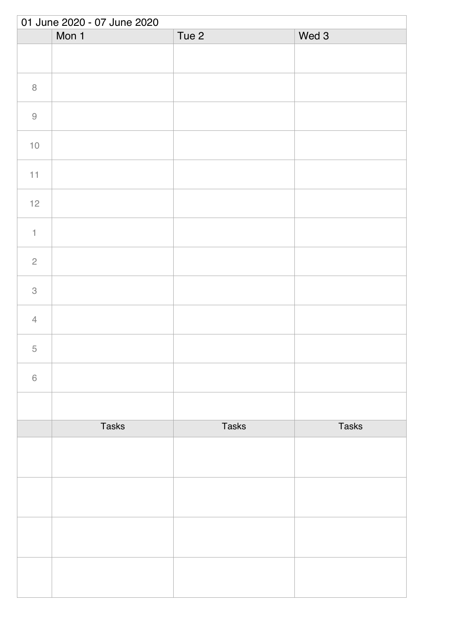|                           | 01 June 2020 - 07 June 2020 |                  |              |  |  |
|---------------------------|-----------------------------|------------------|--------------|--|--|
|                           | Mon 1                       | Tue <sub>2</sub> | Wed 3        |  |  |
|                           |                             |                  |              |  |  |
| $\, 8$                    |                             |                  |              |  |  |
| $\hbox{9}$                |                             |                  |              |  |  |
| $10$                      |                             |                  |              |  |  |
| 11                        |                             |                  |              |  |  |
| $12$                      |                             |                  |              |  |  |
| $\mathbf{1}$              |                             |                  |              |  |  |
| $\sqrt{2}$                |                             |                  |              |  |  |
| $\ensuremath{\mathsf{3}}$ |                             |                  |              |  |  |
| $\overline{4}$            |                             |                  |              |  |  |
| $\overline{5}$            |                             |                  |              |  |  |
| $\,$ $\,$ $\,$            |                             |                  |              |  |  |
|                           |                             |                  |              |  |  |
|                           | <b>Tasks</b>                | Tasks            | <b>Tasks</b> |  |  |
|                           |                             |                  |              |  |  |
|                           |                             |                  |              |  |  |
|                           |                             |                  |              |  |  |
|                           |                             |                  |              |  |  |
|                           |                             |                  |              |  |  |
|                           |                             |                  |              |  |  |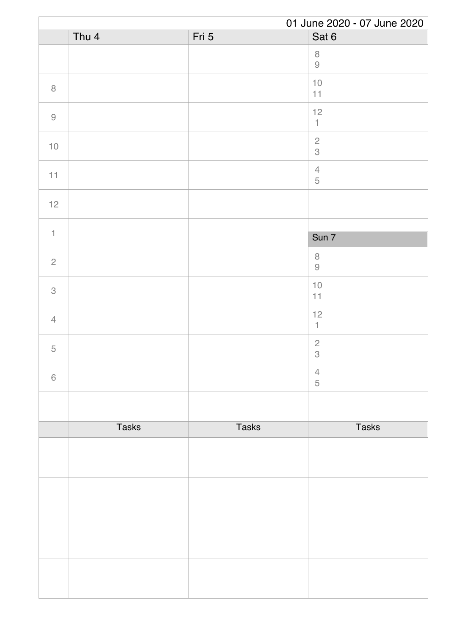| 01 June 2020 - 07 June 2020                               |              |              |                                                                     |
|-----------------------------------------------------------|--------------|--------------|---------------------------------------------------------------------|
|                                                           | Thu 4        | Fri 5        | Sat 6                                                               |
|                                                           |              |              | $\, 8$<br>$\mathcal{G}% _{M_{1},M_{2}}^{\alpha,\beta}(\mathcal{A})$ |
| $\, 8$                                                    |              |              | $10$<br>11                                                          |
| $\mathcal{G}% _{M_{1},M_{2}}^{\alpha,\beta}(\mathcal{A})$ |              |              | 12<br>$\mathbbm{1}$                                                 |
| $10$                                                      |              |              | $\sqrt{2}$<br>3                                                     |
| 11                                                        |              |              | $\sqrt{4}$<br>$\mathbf 5$                                           |
| $12$                                                      |              |              |                                                                     |
| $\mathbf{1}$                                              |              |              | Sun 7                                                               |
| $\overline{c}$                                            |              |              | $\, 8$<br>$\mathcal{G}% _{M_{1},M_{2}}^{\alpha,\beta}(\mathcal{A})$ |
| 3                                                         |              |              | $10$<br>11                                                          |
| $\overline{4}$                                            |              |              | 12<br>$\mathbf{1}$                                                  |
| 5                                                         |              |              | $\sqrt{2}$<br>$\,3$                                                 |
| $6\,$                                                     |              |              | $\overline{4}$<br>5                                                 |
|                                                           |              |              |                                                                     |
|                                                           | <b>Tasks</b> | <b>Tasks</b> | <b>Tasks</b>                                                        |
|                                                           |              |              |                                                                     |
|                                                           |              |              |                                                                     |
|                                                           |              |              |                                                                     |
|                                                           |              |              |                                                                     |
|                                                           |              |              |                                                                     |
|                                                           |              |              |                                                                     |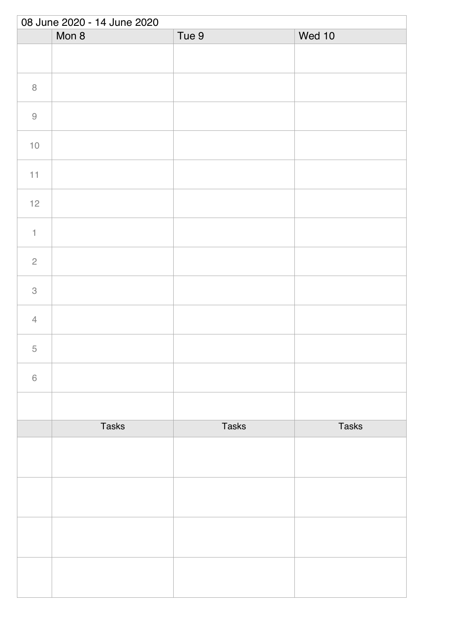| 08 June 2020 - 14 June 2020 |              |       |              |  |
|-----------------------------|--------------|-------|--------------|--|
|                             | Mon 8        | Tue 9 | Wed 10       |  |
|                             |              |       |              |  |
| $\, 8$                      |              |       |              |  |
| $\hbox{9}$                  |              |       |              |  |
| $10\,$                      |              |       |              |  |
| 11                          |              |       |              |  |
| $12$                        |              |       |              |  |
| $\ensuremath{\mathsf{1}}$   |              |       |              |  |
| $\sqrt{2}$                  |              |       |              |  |
| $\ensuremath{\mathsf{3}}$   |              |       |              |  |
| $\overline{4}$              |              |       |              |  |
| $\overline{5}$              |              |       |              |  |
| $\,$ $\,$ $\,$              |              |       |              |  |
|                             |              |       |              |  |
|                             | <b>Tasks</b> | Tasks | <b>Tasks</b> |  |
|                             |              |       |              |  |
|                             |              |       |              |  |
|                             |              |       |              |  |
|                             |              |       |              |  |
|                             |              |       |              |  |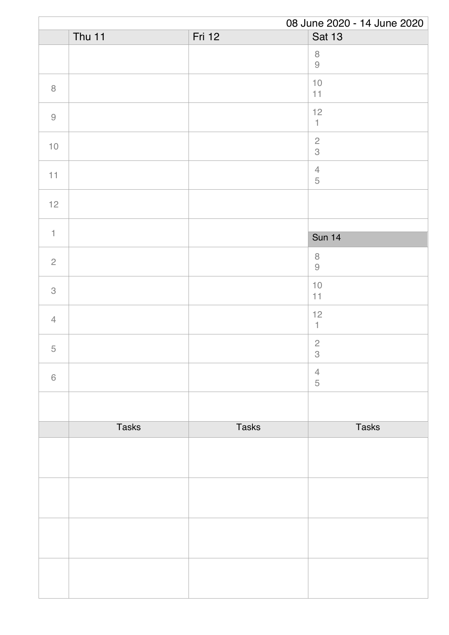|                                                           | 08 June 2020 - 14 June 2020 |              |                                                                     |
|-----------------------------------------------------------|-----------------------------|--------------|---------------------------------------------------------------------|
|                                                           | Thu $11$                    | Fri 12       | <b>Sat 13</b>                                                       |
|                                                           |                             |              | $\, 8$<br>$\mathcal{G}% _{M_{1},M_{2}}^{\alpha,\beta}(\mathcal{A})$ |
| $\, 8$                                                    |                             |              | $10$<br>11                                                          |
| $\mathcal{G}% _{M_{1},M_{2}}^{\alpha,\beta}(\mathcal{A})$ |                             |              | 12<br>$\uparrow$                                                    |
| $10$                                                      |                             |              | $\overline{c}$<br>$\mathcal S$                                      |
| 11                                                        |                             |              | $\sqrt{4}$<br>$\mathbf 5$                                           |
| $12$                                                      |                             |              |                                                                     |
| $\mathbf{1}$                                              |                             |              | <b>Sun 14</b>                                                       |
| $\overline{c}$                                            |                             |              | $\, 8$<br>$\hbox{9}$                                                |
| 3                                                         |                             |              | $10$<br>11                                                          |
| $\overline{4}$                                            |                             |              | 12<br>$\mathbf{1}$                                                  |
| 5                                                         |                             |              | $\sqrt{2}$<br>$\ensuremath{\mathsf{3}}$                             |
| $\,6\,$                                                   |                             |              | $\overline{4}$<br>5                                                 |
|                                                           |                             |              |                                                                     |
|                                                           | <b>Tasks</b>                | <b>Tasks</b> | <b>Tasks</b>                                                        |
|                                                           |                             |              |                                                                     |
|                                                           |                             |              |                                                                     |
|                                                           |                             |              |                                                                     |
|                                                           |                             |              |                                                                     |
|                                                           |                             |              |                                                                     |
|                                                           |                             |              |                                                                     |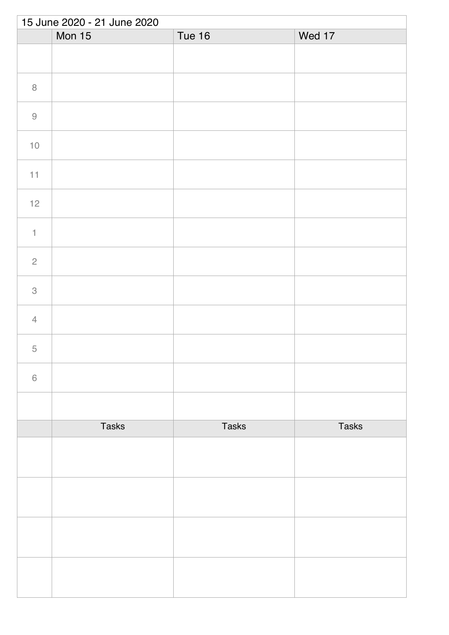| 15 June 2020 - 21 June 2020 |               |               |              |  |
|-----------------------------|---------------|---------------|--------------|--|
|                             | <b>Mon 15</b> | <b>Tue 16</b> | Wed 17       |  |
|                             |               |               |              |  |
| $\, 8$                      |               |               |              |  |
| $\hbox{9}$                  |               |               |              |  |
| $10\,$                      |               |               |              |  |
| 11                          |               |               |              |  |
| $12$                        |               |               |              |  |
| $\ensuremath{\mathsf{1}}$   |               |               |              |  |
| $\sqrt{2}$                  |               |               |              |  |
| $\ensuremath{\mathsf{3}}$   |               |               |              |  |
| $\overline{4}$              |               |               |              |  |
| $\overline{5}$              |               |               |              |  |
| $\,$ $\,$ $\,$              |               |               |              |  |
|                             |               |               |              |  |
|                             | <b>Tasks</b>  | <b>Tasks</b>  | <b>Tasks</b> |  |
|                             |               |               |              |  |
|                             |               |               |              |  |
|                             |               |               |              |  |
|                             |               |               |              |  |
|                             |               |               |              |  |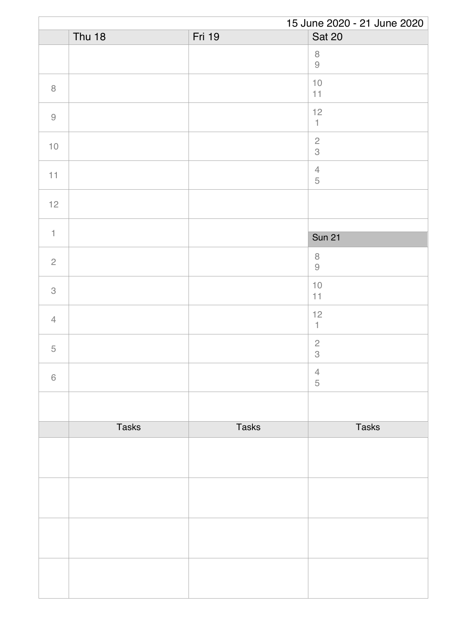|                | 15 June 2020 - 21 June 2020 |              |                                                                     |  |
|----------------|-----------------------------|--------------|---------------------------------------------------------------------|--|
|                | <b>Thu 18</b>               | Fri 19       | <b>Sat 20</b>                                                       |  |
|                |                             |              | $\, 8$<br>$\mathcal{G}% _{M_{1},M_{2}}^{\alpha,\beta}(\mathcal{A})$ |  |
| $\, 8$         |                             |              | $10$<br>11                                                          |  |
| $\hbox{9}$     |                             |              | 12<br>$\uparrow$                                                    |  |
| $10$           |                             |              | $\sqrt{2}$<br>3                                                     |  |
| 11             |                             |              | $\overline{4}$<br>$\sqrt{5}$                                        |  |
| $12$           |                             |              |                                                                     |  |
| $\mathbf{1}$   |                             |              | <b>Sun 21</b>                                                       |  |
|                |                             |              | $\,8\,$                                                             |  |
| $\sqrt{2}$     |                             |              | $\Theta$                                                            |  |
| $\mathcal{S}$  |                             |              | $10$<br>11                                                          |  |
| $\overline{4}$ |                             |              | $12$<br>$\mathbf{1}$                                                |  |
| 5              |                             |              | $\sqrt{2}$<br>$\ensuremath{\mathsf{3}}$                             |  |
| $\,6\,$        |                             |              | $\overline{4}$<br>5                                                 |  |
|                |                             |              |                                                                     |  |
|                | <b>Tasks</b>                | <b>Tasks</b> | <b>Tasks</b>                                                        |  |
|                |                             |              |                                                                     |  |
|                |                             |              |                                                                     |  |
|                |                             |              |                                                                     |  |
|                |                             |              |                                                                     |  |
|                |                             |              |                                                                     |  |
|                |                             |              |                                                                     |  |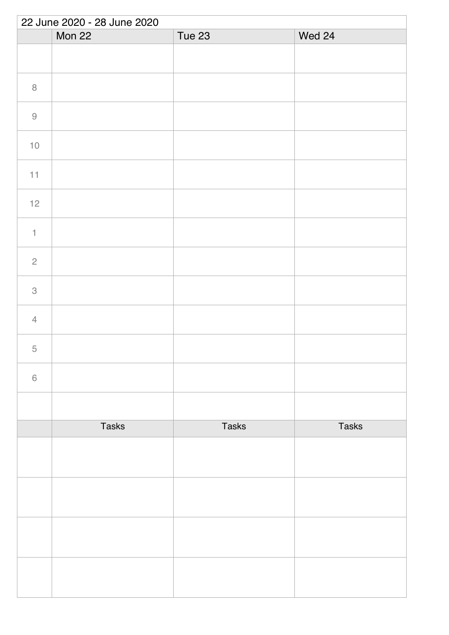| 22 June 2020 - 28 June 2020 |              |               |              |  |
|-----------------------------|--------------|---------------|--------------|--|
|                             | Mon 22       | <b>Tue 23</b> | Wed 24       |  |
|                             |              |               |              |  |
| $\,8\,$                     |              |               |              |  |
| $\hbox{9}$                  |              |               |              |  |
| $10$                        |              |               |              |  |
| 11                          |              |               |              |  |
| 12                          |              |               |              |  |
| $\ensuremath{\mathsf{1}}$   |              |               |              |  |
| $\mathbf{2}$                |              |               |              |  |
| $\mathcal{S}$               |              |               |              |  |
| $\overline{4}$              |              |               |              |  |
| 5                           |              |               |              |  |
| $\,$ $\,$ $\,$              |              |               |              |  |
|                             |              |               |              |  |
|                             | <b>Tasks</b> | <b>Tasks</b>  | <b>Tasks</b> |  |
|                             |              |               |              |  |
|                             |              |               |              |  |
|                             |              |               |              |  |
|                             |              |               |              |  |
|                             |              |               |              |  |
|                             |              |               |              |  |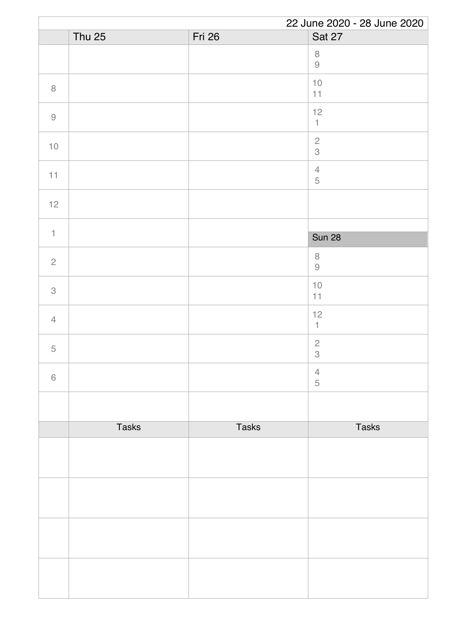|                | 22 June 2020 - 28 June 2020 |              |                                         |  |
|----------------|-----------------------------|--------------|-----------------------------------------|--|
|                | Thu $25$                    | Fri 26       | Sat 27                                  |  |
|                |                             |              | $\,8\,$<br>$\hbox{9}$                   |  |
| $\, 8$         |                             |              | $10$<br>11                              |  |
| $\hbox{9}$     |                             |              | 12<br>$\mathbf{1}$                      |  |
| $10$           |                             |              | $\mathbf{2}$<br>$\mathcal S$            |  |
| 11             |                             |              | $\sqrt{4}$<br>$\sqrt{5}$                |  |
| 12             |                             |              |                                         |  |
|                |                             |              |                                         |  |
| $\mathbf{1}$   |                             |              | <b>Sun 28</b>                           |  |
| $\sqrt{2}$     |                             |              | $\, 8$<br>$\Theta$                      |  |
| $\,3$          |                             |              | $10$<br>11                              |  |
| $\overline{4}$ |                             |              | 12<br>$\mathbf{1}$                      |  |
| 5              |                             |              | $\sqrt{2}$<br>$\ensuremath{\mathsf{3}}$ |  |
| $\,6\,$        |                             |              | $\overline{4}$<br>$\sqrt{5}$            |  |
|                |                             |              |                                         |  |
|                | <b>Tasks</b>                | <b>Tasks</b> | <b>Tasks</b>                            |  |
|                |                             |              |                                         |  |
|                |                             |              |                                         |  |
|                |                             |              |                                         |  |
|                |                             |              |                                         |  |
|                |                             |              |                                         |  |
|                |                             |              |                                         |  |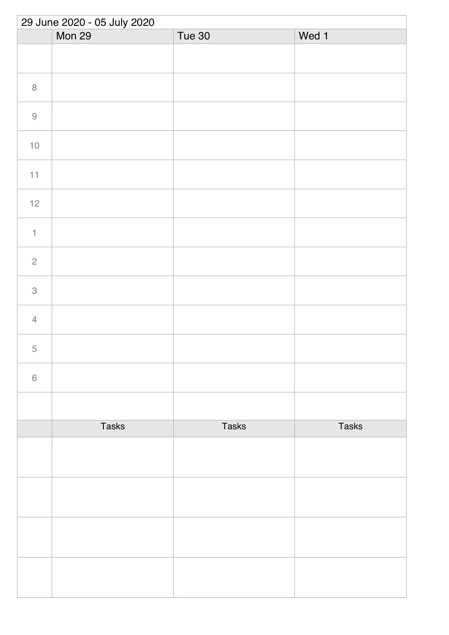|                | 29 June 2020 - 05 July 2020 |              |              |  |  |
|----------------|-----------------------------|--------------|--------------|--|--|
|                | Mon 29                      | Tue 30       | Wed 1        |  |  |
|                |                             |              |              |  |  |
| $\, 8$         |                             |              |              |  |  |
| $\Theta$       |                             |              |              |  |  |
| $10$           |                             |              |              |  |  |
| $11\,$         |                             |              |              |  |  |
| $12$           |                             |              |              |  |  |
| $\uparrow$     |                             |              |              |  |  |
| $\overline{c}$ |                             |              |              |  |  |
| $\,3$          |                             |              |              |  |  |
| $\overline{4}$ |                             |              |              |  |  |
| 5              |                             |              |              |  |  |
| $\,$ $\,$ $\,$ |                             |              |              |  |  |
|                |                             |              |              |  |  |
|                | <b>Tasks</b>                | <b>Tasks</b> | <b>Tasks</b> |  |  |
|                |                             |              |              |  |  |
|                |                             |              |              |  |  |
|                |                             |              |              |  |  |
|                |                             |              |              |  |  |
|                |                             |              |              |  |  |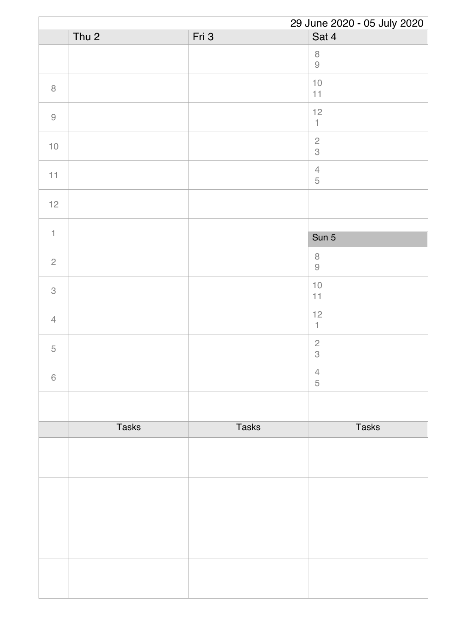|                | 29 June 2020 - 05 July 2020 |              |                           |
|----------------|-----------------------------|--------------|---------------------------|
|                | Thu <sub>2</sub>            | Fri 3        | Sat 4                     |
|                |                             |              | $\, 8$<br>$\hbox{9}$      |
| $\, 8$         |                             |              | $10$<br>$11$              |
| $\hbox{9}$     |                             |              | 12<br>$\mathbbm{1}$       |
| $10$           |                             |              | $\sqrt{2}$<br>3           |
| 11             |                             |              | $\sqrt{4}$<br>$\mathbf 5$ |
| $12$           |                             |              |                           |
| $\mathbf{1}$   |                             |              | Sun 5                     |
| $\overline{c}$ |                             |              | $\, 8$<br>$\hbox{9}$      |
| 3              |                             |              | $10$<br>11                |
| $\overline{4}$ |                             |              | $12$<br>$\mathbb{1}$      |
| 5              |                             |              | $\sqrt{2}$<br>$\,3$       |
| $\,6\,$        |                             |              | $\overline{4}$<br>5       |
|                |                             |              |                           |
|                | <b>Tasks</b>                | <b>Tasks</b> | <b>Tasks</b>              |
|                |                             |              |                           |
|                |                             |              |                           |
|                |                             |              |                           |
|                |                             |              |                           |
|                |                             |              |                           |
|                |                             |              |                           |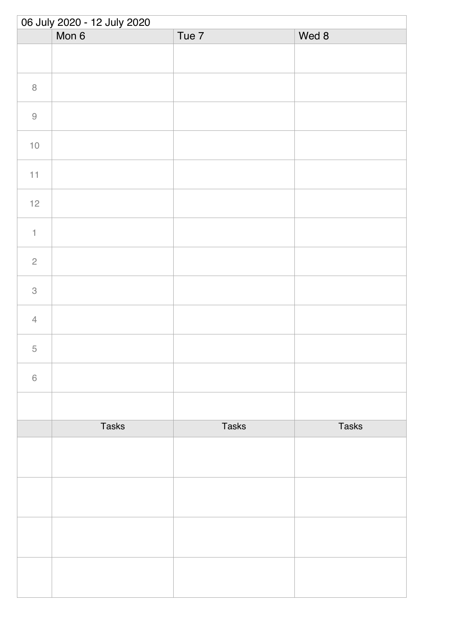| 06 July 2020 - 12 July 2020 |              |              |              |  |
|-----------------------------|--------------|--------------|--------------|--|
|                             | Mon 6        | Tue 7        | Wed 8        |  |
|                             |              |              |              |  |
| $\,8\,$                     |              |              |              |  |
| $\Theta$                    |              |              |              |  |
| $10\,$                      |              |              |              |  |
| 11                          |              |              |              |  |
| $12$                        |              |              |              |  |
| $\ensuremath{\mathsf{1}}$   |              |              |              |  |
| $\sqrt{2}$                  |              |              |              |  |
| $\ensuremath{\mathsf{3}}$   |              |              |              |  |
| $\overline{4}$              |              |              |              |  |
| 5                           |              |              |              |  |
| $\,$ $\,$ $\,$              |              |              |              |  |
|                             |              |              |              |  |
|                             | <b>Tasks</b> | <b>Tasks</b> | <b>Tasks</b> |  |
|                             |              |              |              |  |
|                             |              |              |              |  |
|                             |              |              |              |  |
|                             |              |              |              |  |
|                             |              |              |              |  |
|                             |              |              |              |  |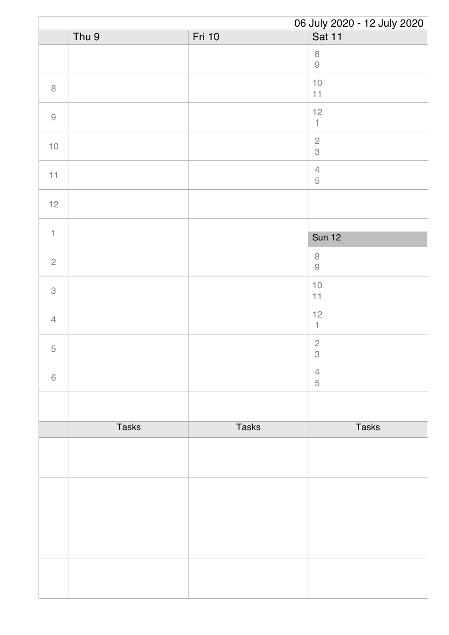|                | 06 July 2020 - 12 July 2020 |              |                              |
|----------------|-----------------------------|--------------|------------------------------|
|                | Thu 9                       | Fri 10       | Sat 11                       |
|                |                             |              | $\, 8$<br>$\hbox{9}$         |
| $\, 8$         |                             |              | $10$<br>11                   |
| $\hbox{9}$     |                             |              | 12<br>$\mathbbm{1}$          |
| $10$           |                             |              | $\sqrt{2}$<br>3              |
| 11             |                             |              | $\overline{4}$<br>$\sqrt{5}$ |
| $12$           |                             |              |                              |
| $\mathbf{1}$   |                             |              | <b>Sun 12</b>                |
| $\sqrt{2}$     |                             |              | $\, 8$<br>$\Theta$           |
| $\mathcal{S}$  |                             |              | $10$<br>11                   |
| $\overline{4}$ |                             |              | 12<br>$\mathbf{1}$           |
| $\mathbf 5$    |                             |              | $\sqrt{2}$<br>$\,3$          |
| $\,6\,$        |                             |              | $\overline{4}$<br>5          |
|                |                             |              |                              |
|                | <b>Tasks</b>                | <b>Tasks</b> | <b>Tasks</b>                 |
|                |                             |              |                              |
|                |                             |              |                              |
|                |                             |              |                              |
|                |                             |              |                              |
|                |                             |              |                              |
|                |                             |              |                              |
|                |                             |              |                              |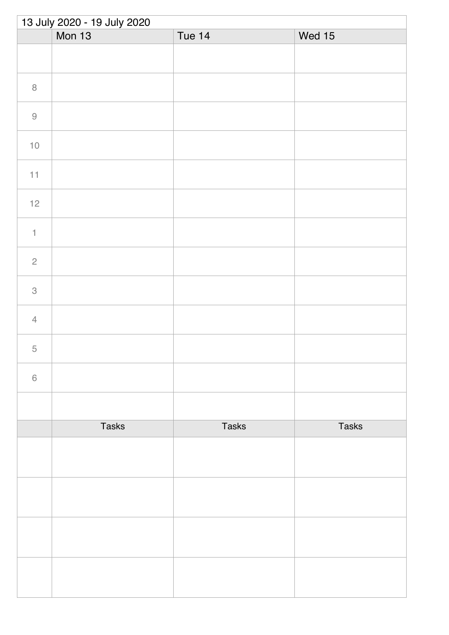| 13 July 2020 - 19 July 2020 |               |               |              |  |
|-----------------------------|---------------|---------------|--------------|--|
|                             | <b>Mon 13</b> | <b>Tue 14</b> | Wed 15       |  |
|                             |               |               |              |  |
| $\, 8$                      |               |               |              |  |
| $\Theta$                    |               |               |              |  |
| $10\,$                      |               |               |              |  |
| 11                          |               |               |              |  |
| $12$                        |               |               |              |  |
| $\ensuremath{\mathsf{1}}$   |               |               |              |  |
| $\sqrt{2}$                  |               |               |              |  |
| $\ensuremath{\mathsf{3}}$   |               |               |              |  |
| $\overline{4}$              |               |               |              |  |
| 5                           |               |               |              |  |
| $\,$ $\,$ $\,$              |               |               |              |  |
|                             |               |               |              |  |
|                             | <b>Tasks</b>  | <b>Tasks</b>  | <b>Tasks</b> |  |
|                             |               |               |              |  |
|                             |               |               |              |  |
|                             |               |               |              |  |
|                             |               |               |              |  |
|                             |               |               |              |  |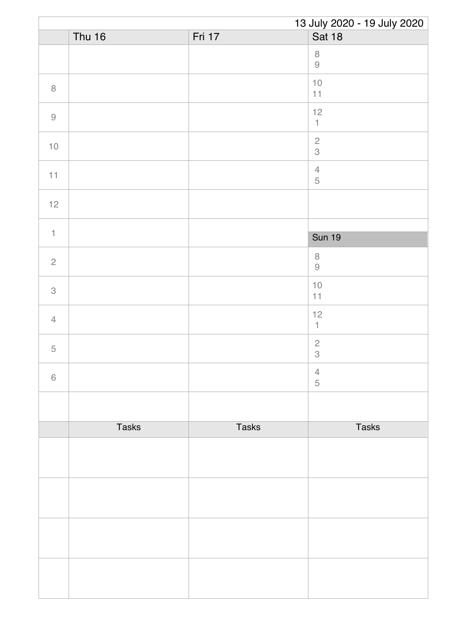|                | 13 July 2020 - 19 July 2020 |              |                                 |  |
|----------------|-----------------------------|--------------|---------------------------------|--|
|                | <b>Thu 16</b>               | Fri 17       | <b>Sat 18</b>                   |  |
|                |                             |              | $\, 8$<br>$\hbox{9}$            |  |
| $\, 8$         |                             |              | $10$<br>11                      |  |
| $\hbox{9}$     |                             |              | 12<br>$\ensuremath{\mathsf{1}}$ |  |
| $10$           |                             |              | $\overline{c}$<br>3             |  |
| 11             |                             |              | $\overline{4}$<br>$\sqrt{5}$    |  |
| $12$           |                             |              |                                 |  |
|                |                             |              |                                 |  |
| $\mathbf{1}$   |                             |              | <b>Sun 19</b>                   |  |
| $\sqrt{2}$     |                             |              | $\, 8$<br>$\Theta$              |  |
| 3              |                             |              | $10$<br>11                      |  |
| $\overline{4}$ |                             |              | 12<br>$\mathbf{1}$              |  |
| 5              |                             |              | $\mathbf{2}$<br>$\,3$           |  |
| $\,6\,$        |                             |              | $\overline{4}$<br>$\sqrt{5}$    |  |
|                |                             |              |                                 |  |
|                | <b>Tasks</b>                | <b>Tasks</b> | <b>Tasks</b>                    |  |
|                |                             |              |                                 |  |
|                |                             |              |                                 |  |
|                |                             |              |                                 |  |
|                |                             |              |                                 |  |
|                |                             |              |                                 |  |
|                |                             |              |                                 |  |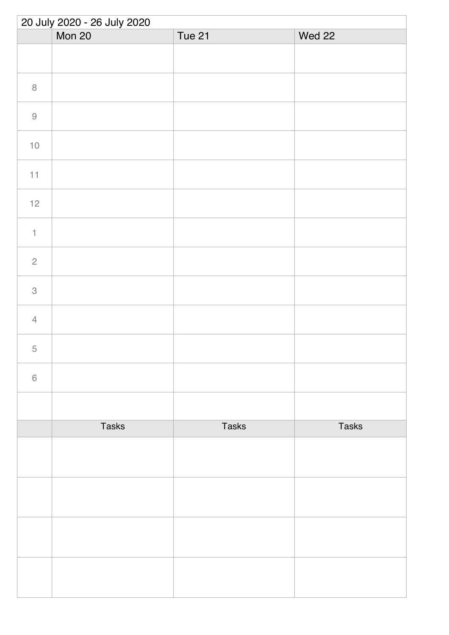| 20 July 2020 - 26 July 2020 |              |              |              |  |
|-----------------------------|--------------|--------------|--------------|--|
|                             | Mon 20       | Tue 21       | Wed 22       |  |
|                             |              |              |              |  |
| $\, 8$                      |              |              |              |  |
| $\hbox{9}$                  |              |              |              |  |
| $10$                        |              |              |              |  |
| $11$                        |              |              |              |  |
| $12$                        |              |              |              |  |
| $\uparrow$                  |              |              |              |  |
| $\sqrt{2}$                  |              |              |              |  |
| $\,3$                       |              |              |              |  |
| $\overline{4}$              |              |              |              |  |
| $\mathbf 5$                 |              |              |              |  |
| $\,6\,$                     |              |              |              |  |
|                             |              |              |              |  |
|                             | <b>Tasks</b> | <b>Tasks</b> | <b>Tasks</b> |  |
|                             |              |              |              |  |
|                             |              |              |              |  |
|                             |              |              |              |  |
|                             |              |              |              |  |
|                             |              |              |              |  |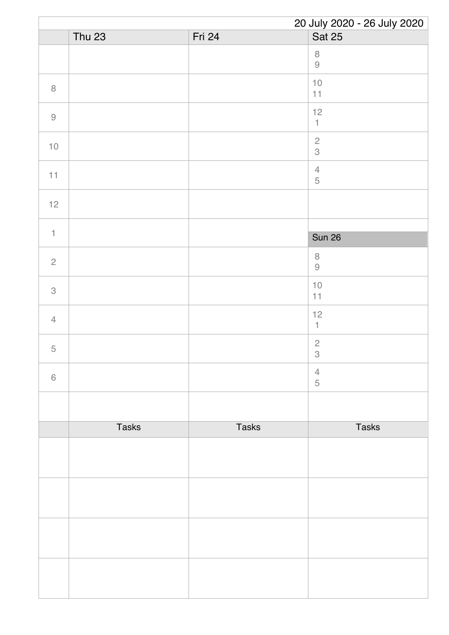|                |               |              | 20 July 2020 - 26 July 2020             |
|----------------|---------------|--------------|-----------------------------------------|
|                | <b>Thu 23</b> | Fri 24       | <b>Sat 25</b>                           |
|                |               |              | $\, 8$<br>$\hbox{9}$                    |
| $\,8\,$        |               |              | $10$<br>11                              |
| $\hbox{9}$     |               |              | 12<br>$\mathbbm{1}$                     |
| $10$           |               |              | $\sqrt{2}$<br>$\mathcal S$              |
| 11             |               |              | $\overline{4}$<br>$\mathbf 5$           |
| 12             |               |              |                                         |
|                |               |              |                                         |
| $\mathbf{1}$   |               |              | <b>Sun 26</b>                           |
| $\sqrt{2}$     |               |              | $\, 8$<br>$\Theta$                      |
| 3              |               |              | $10$<br>11                              |
| $\overline{4}$ |               |              | $12$<br>$\mathbb{1}$                    |
| $\mathbf 5$    |               |              | $\sqrt{2}$<br>$\ensuremath{\mathsf{3}}$ |
| $\,6\,$        |               |              | $\overline{4}$<br>$\sqrt{5}$            |
|                |               |              |                                         |
|                | <b>Tasks</b>  | <b>Tasks</b> | <b>Tasks</b>                            |
|                |               |              |                                         |
|                |               |              |                                         |
|                |               |              |                                         |
|                |               |              |                                         |
|                |               |              |                                         |
|                |               |              |                                         |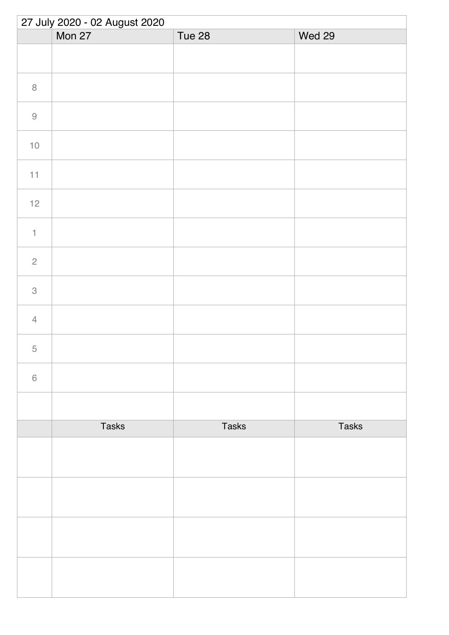| 27 July 2020 - 02 August 2020 |              |              |              |  |
|-------------------------------|--------------|--------------|--------------|--|
|                               | Mon 27       | Tue 28       | Wed 29       |  |
|                               |              |              |              |  |
| $\, 8$                        |              |              |              |  |
| $\hbox{9}$                    |              |              |              |  |
| $10$                          |              |              |              |  |
| 11                            |              |              |              |  |
| $12$                          |              |              |              |  |
| $\uparrow$                    |              |              |              |  |
| $\sqrt{2}$                    |              |              |              |  |
| $\ensuremath{\mathsf{3}}$     |              |              |              |  |
| $\overline{4}$                |              |              |              |  |
| 5                             |              |              |              |  |
| $\,$ $\,$ $\,$                |              |              |              |  |
|                               |              |              |              |  |
|                               | <b>Tasks</b> | <b>Tasks</b> | <b>Tasks</b> |  |
|                               |              |              |              |  |
|                               |              |              |              |  |
|                               |              |              |              |  |
|                               |              |              |              |  |
|                               |              |              |              |  |
|                               |              |              |              |  |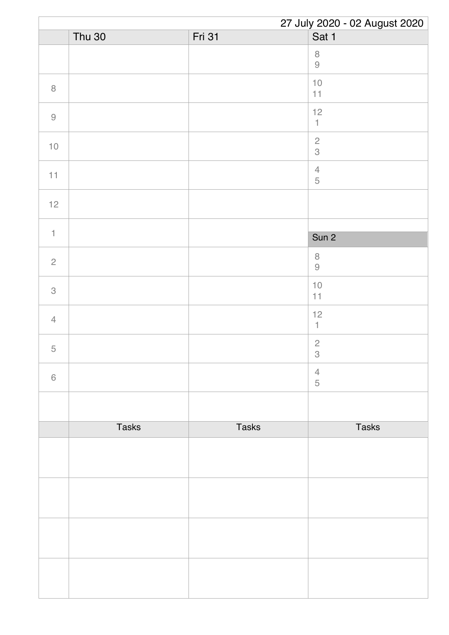|                |               |               | 27 July 2020 - 02 August 2020                                        |
|----------------|---------------|---------------|----------------------------------------------------------------------|
|                | <b>Thu 30</b> | <b>Fri 31</b> | Sat 1                                                                |
|                |               |               | $\,8\,$<br>$\mathcal{G}% _{M_{1},M_{2}}^{\alpha,\beta}(\mathcal{A})$ |
| $\, 8$         |               |               | $10$<br>$11$                                                         |
| $\hbox{9}$     |               |               | 12<br>$\uparrow$                                                     |
| $10$           |               |               | $\overline{c}$<br>3                                                  |
| 11             |               |               | $\sqrt{4}$<br>$\mathbf 5$                                            |
| $12$           |               |               |                                                                      |
| $\mathbf{1}$   |               |               |                                                                      |
|                |               |               | Sun 2                                                                |
| $\overline{c}$ |               |               | $\,8\,$<br>$\hbox{9}$                                                |
| 3              |               |               | $10$<br>11                                                           |
| $\overline{4}$ |               |               | $12$<br>$\mathbb{1}$                                                 |
| 5              |               |               | $\sqrt{2}$<br>$\ensuremath{\mathsf{3}}$                              |
| $\,6\,$        |               |               | $\overline{4}$<br>5                                                  |
|                |               |               |                                                                      |
|                | <b>Tasks</b>  | <b>Tasks</b>  | <b>Tasks</b>                                                         |
|                |               |               |                                                                      |
|                |               |               |                                                                      |
|                |               |               |                                                                      |
|                |               |               |                                                                      |
|                |               |               |                                                                      |
|                |               |               |                                                                      |
|                |               |               |                                                                      |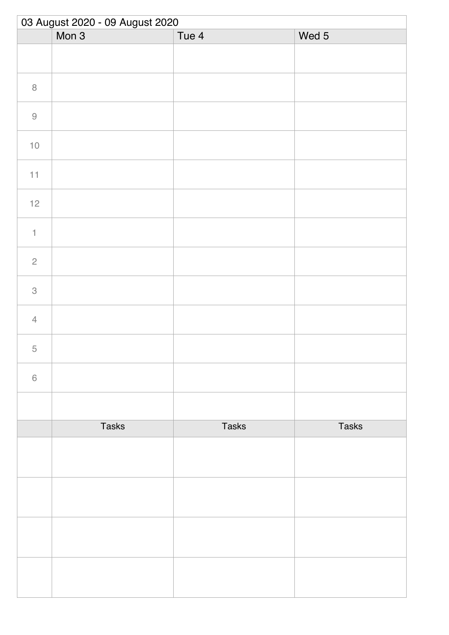| 03 August 2020 - 09 August 2020 |              |              |              |  |
|---------------------------------|--------------|--------------|--------------|--|
|                                 | Mon 3        | Tue 4        | Wed 5        |  |
|                                 |              |              |              |  |
| $\, 8$                          |              |              |              |  |
| $\hbox{9}$                      |              |              |              |  |
| $10$                            |              |              |              |  |
| 11                              |              |              |              |  |
| $12$                            |              |              |              |  |
| $\ensuremath{\mathsf{1}}$       |              |              |              |  |
| $\overline{c}$                  |              |              |              |  |
| $\ensuremath{\mathsf{3}}$       |              |              |              |  |
| $\sqrt{4}$                      |              |              |              |  |
| $\overline{5}$                  |              |              |              |  |
| $\,$ $\,$ $\,$                  |              |              |              |  |
|                                 |              |              |              |  |
|                                 | <b>Tasks</b> | <b>Tasks</b> | <b>Tasks</b> |  |
|                                 |              |              |              |  |
|                                 |              |              |              |  |
|                                 |              |              |              |  |
|                                 |              |              |              |  |
|                                 |              |              |              |  |
|                                 |              |              |              |  |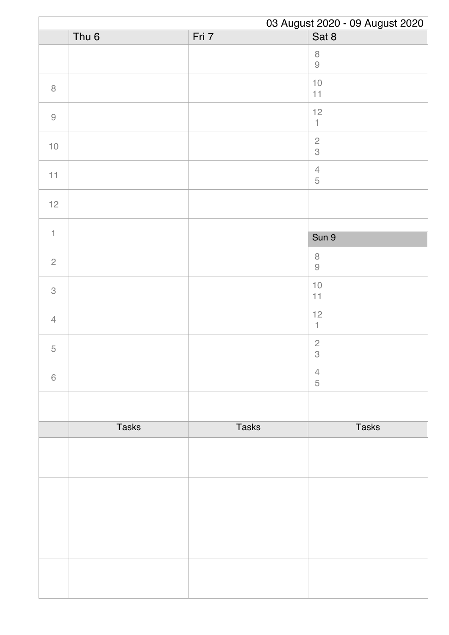|                | 03 August 2020 - 09 August 2020 |              |                                 |
|----------------|---------------------------------|--------------|---------------------------------|
|                | Thu <sub>6</sub>                | Fri 7        | Sat 8                           |
|                |                                 |              | $\, 8$<br>$\Theta$              |
| $\, 8$         |                                 |              | $10$<br>11                      |
| $\hbox{9}$     |                                 |              | 12<br>$\ensuremath{\mathsf{1}}$ |
| $10$           |                                 |              | $\frac{2}{3}$                   |
| 11             |                                 |              | $\sqrt{4}$<br>$\mathbf 5$       |
| 12             |                                 |              |                                 |
| $\mathbf{1}$   |                                 |              | Sun 9                           |
| $\overline{c}$ |                                 |              | $\,8\,$<br>$\Theta$             |
| 3              |                                 |              | $10$<br>11                      |
| $\overline{4}$ |                                 |              | 12<br>$\mathbf{1}$              |
| $\mathbf 5$    |                                 |              | $\mathbf{2}$<br>$\,$ 3 $\,$     |
| $\,$ 6 $\,$    |                                 |              | $\overline{4}$<br>$\sqrt{5}$    |
|                |                                 |              |                                 |
|                | <b>Tasks</b>                    | <b>Tasks</b> | <b>Tasks</b>                    |
|                |                                 |              |                                 |
|                |                                 |              |                                 |
|                |                                 |              |                                 |
|                |                                 |              |                                 |
|                |                                 |              |                                 |
|                |                                 |              |                                 |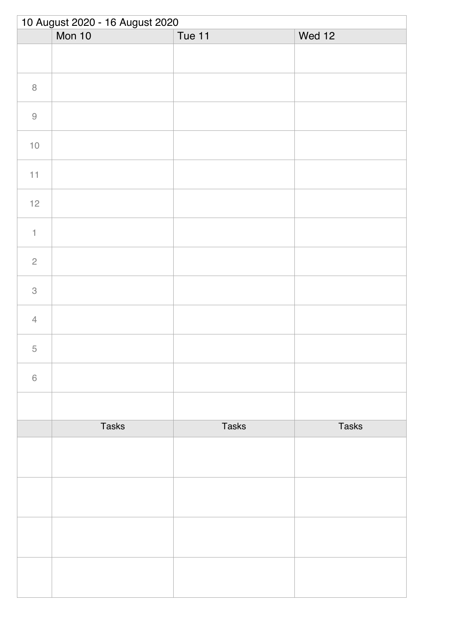| 10 August 2020 - 16 August 2020 |              |              |              |  |
|---------------------------------|--------------|--------------|--------------|--|
|                                 | Mon 10       | Tue 11       | Wed 12       |  |
|                                 |              |              |              |  |
| $\, 8$                          |              |              |              |  |
| $\hbox{9}$                      |              |              |              |  |
| $10\,$                          |              |              |              |  |
| 11                              |              |              |              |  |
| $12$                            |              |              |              |  |
| $\ensuremath{\mathsf{1}}$       |              |              |              |  |
| $\overline{c}$                  |              |              |              |  |
| $\ensuremath{\mathsf{3}}$       |              |              |              |  |
| $\overline{4}$                  |              |              |              |  |
| 5                               |              |              |              |  |
| $\,$ $\,$ $\,$                  |              |              |              |  |
|                                 |              |              |              |  |
|                                 | <b>Tasks</b> | <b>Tasks</b> | <b>Tasks</b> |  |
|                                 |              |              |              |  |
|                                 |              |              |              |  |
|                                 |              |              |              |  |
|                                 |              |              |              |  |
|                                 |              |              |              |  |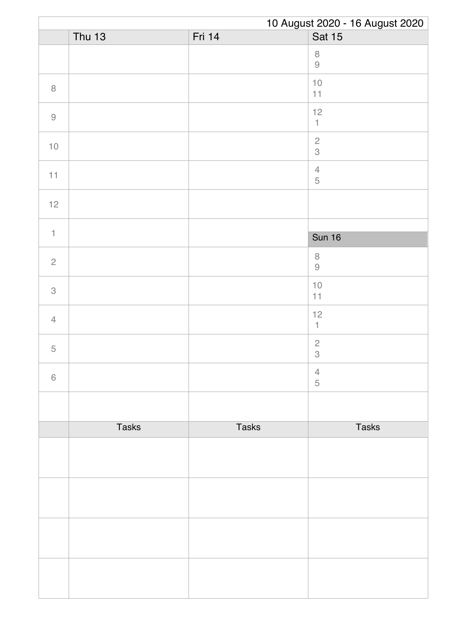|                | 10 August 2020 - 16 August 2020 |              |                                         |
|----------------|---------------------------------|--------------|-----------------------------------------|
|                | <b>Thu 13</b>                   | Fri 14       | <b>Sat 15</b>                           |
|                |                                 |              | $\,8\,$<br>$\Theta$                     |
| $\, 8$         |                                 |              | $10$<br>11                              |
| $\hbox{9}$     |                                 |              | 12<br>$\uparrow$                        |
| $10$           |                                 |              | $\overline{c}$<br>3                     |
| 11             |                                 |              | $\sqrt{4}$<br>$\mathbf 5$               |
| $12$           |                                 |              |                                         |
| $\mathbf{1}$   |                                 |              |                                         |
|                |                                 |              | <b>Sun 16</b>                           |
| $\overline{c}$ |                                 |              | $\,8\,$<br>$\Theta$                     |
| $\,$ 3 $\,$    |                                 |              | $10$<br>11                              |
| $\overline{4}$ |                                 |              | 12<br>$\mathbb{1}$                      |
| 5              |                                 |              | $\sqrt{2}$<br>$\ensuremath{\mathsf{3}}$ |
| $\,6\,$        |                                 |              | $\overline{4}$<br>5                     |
|                |                                 |              |                                         |
|                | <b>Tasks</b>                    | <b>Tasks</b> | <b>Tasks</b>                            |
|                |                                 |              |                                         |
|                |                                 |              |                                         |
|                |                                 |              |                                         |
|                |                                 |              |                                         |
|                |                                 |              |                                         |
|                |                                 |              |                                         |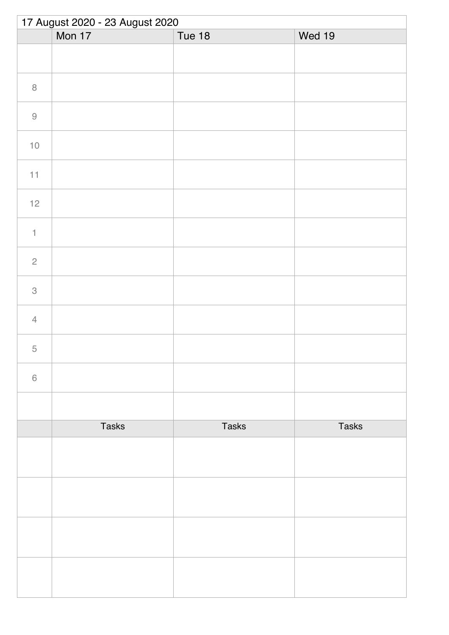| 17 August 2020 - 23 August 2020 |              |               |              |  |
|---------------------------------|--------------|---------------|--------------|--|
|                                 | Mon 17       | <b>Tue 18</b> | Wed 19       |  |
|                                 |              |               |              |  |
| $\, 8$                          |              |               |              |  |
| $\hbox{9}$                      |              |               |              |  |
| $10\,$                          |              |               |              |  |
| 11                              |              |               |              |  |
| $12$                            |              |               |              |  |
| $\ensuremath{\mathsf{1}}$       |              |               |              |  |
| $\overline{c}$                  |              |               |              |  |
| $\ensuremath{\mathsf{3}}$       |              |               |              |  |
| $\overline{4}$                  |              |               |              |  |
| $\overline{5}$                  |              |               |              |  |
| $\,$ $\,$ $\,$                  |              |               |              |  |
|                                 |              |               |              |  |
|                                 | <b>Tasks</b> | <b>Tasks</b>  | <b>Tasks</b> |  |
|                                 |              |               |              |  |
|                                 |              |               |              |  |
|                                 |              |               |              |  |
|                                 |              |               |              |  |
|                                 |              |               |              |  |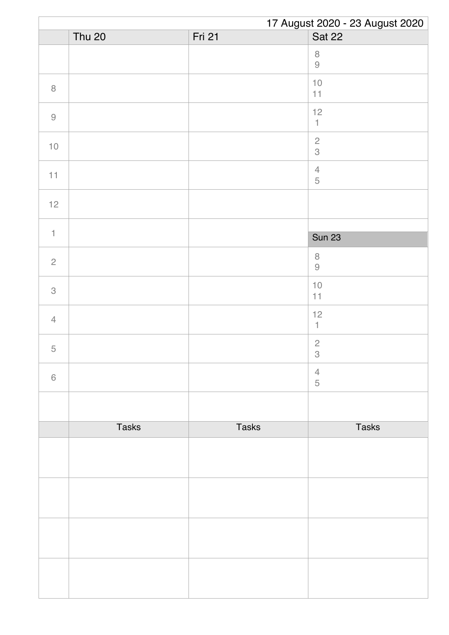|                | 17 August 2020 - 23 August 2020 |              |                           |  |
|----------------|---------------------------------|--------------|---------------------------|--|
|                | <b>Thu 20</b>                   | Fri 21       | <b>Sat 22</b>             |  |
|                |                                 |              | $\, 8$<br>$\Theta$        |  |
| $\, 8$         |                                 |              | $10$<br>11                |  |
| $\hbox{9}$     |                                 |              | 12<br>$\uparrow$          |  |
| $10$           |                                 |              | $\sqrt{2}$<br>3           |  |
| 11             |                                 |              | $\sqrt{4}$<br>$\mathbf 5$ |  |
| $12$           |                                 |              |                           |  |
| $\mathbf{1}$   |                                 |              |                           |  |
|                |                                 |              | <b>Sun 23</b>             |  |
| $\overline{c}$ |                                 |              | $\,8\,$<br>$\Theta$       |  |
| 3              |                                 |              | $10$<br>11                |  |
| $\overline{4}$ |                                 |              | 12<br>1                   |  |
| $\mathbf 5$    |                                 |              | $\sqrt{2}$<br>$\,$ 3 $\,$ |  |
| $\,6\,$        |                                 |              | $\overline{4}$<br>5       |  |
|                |                                 |              |                           |  |
|                | <b>Tasks</b>                    | <b>Tasks</b> | <b>Tasks</b>              |  |
|                |                                 |              |                           |  |
|                |                                 |              |                           |  |
|                |                                 |              |                           |  |
|                |                                 |              |                           |  |
|                |                                 |              |                           |  |
|                |                                 |              |                           |  |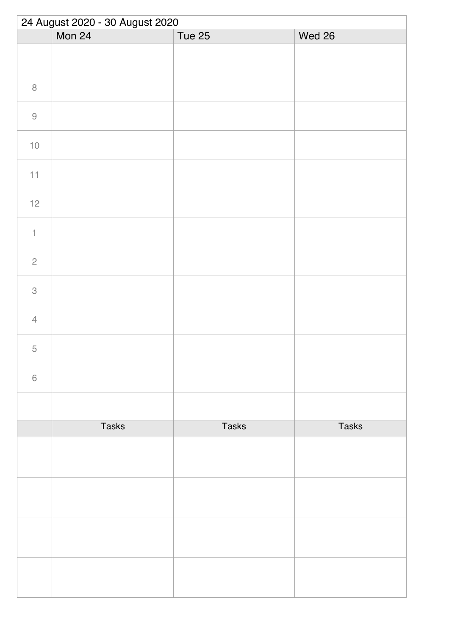| Mon 24       |              |              |
|--------------|--------------|--------------|
|              | Tue 25       | Wed 26       |
|              |              |              |
|              |              |              |
|              |              |              |
|              |              |              |
|              |              |              |
|              |              |              |
|              |              |              |
|              |              |              |
|              |              |              |
|              |              |              |
|              |              |              |
|              |              |              |
|              |              |              |
| <b>Tasks</b> | <b>Tasks</b> | <b>Tasks</b> |
|              |              |              |
|              |              |              |
|              |              |              |
|              |              |              |
|              |              |              |
|              |              |              |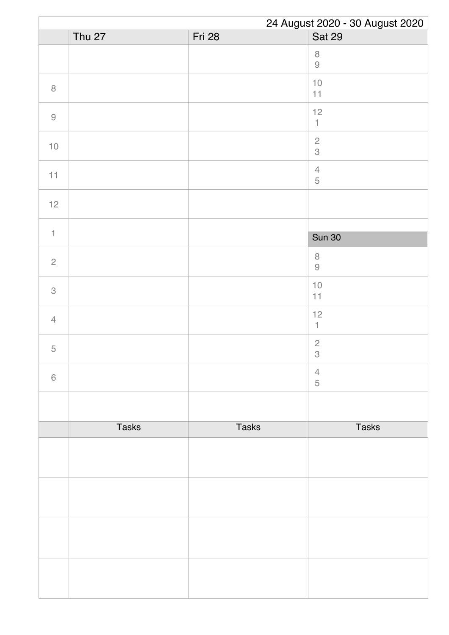|                | 24 August 2020 - 30 August 2020 |               |                                         |
|----------------|---------------------------------|---------------|-----------------------------------------|
|                | <b>Thu 27</b>                   | <b>Fri 28</b> | <b>Sat 29</b>                           |
|                |                                 |               | $\, 8$<br>$\Theta$                      |
| $\, 8$         |                                 |               | $10$<br>11                              |
| $\hbox{9}$     |                                 |               | 12<br>$\uparrow$                        |
| $10$           |                                 |               | $\overline{c}$<br>$\mathcal S$          |
| 11             |                                 |               | $\sqrt{4}$<br>$\mathbf 5$               |
| $12$           |                                 |               |                                         |
| $\mathbf{1}$   |                                 |               |                                         |
|                |                                 |               | <b>Sun 30</b>                           |
| $\overline{c}$ |                                 |               | $\,8\,$<br>$\Theta$                     |
| $\,$ 3 $\,$    |                                 |               | $10$<br>11                              |
| $\overline{4}$ |                                 |               | 12<br>$\mathbb{1}$                      |
| $\mathbf 5$    |                                 |               | $\sqrt{2}$<br>$\ensuremath{\mathsf{3}}$ |
| $\,6\,$        |                                 |               | $\overline{4}$<br>5                     |
|                |                                 |               |                                         |
|                | <b>Tasks</b>                    | <b>Tasks</b>  | <b>Tasks</b>                            |
|                |                                 |               |                                         |
|                |                                 |               |                                         |
|                |                                 |               |                                         |
|                |                                 |               |                                         |
|                |                                 |               |                                         |
|                |                                 |               |                                         |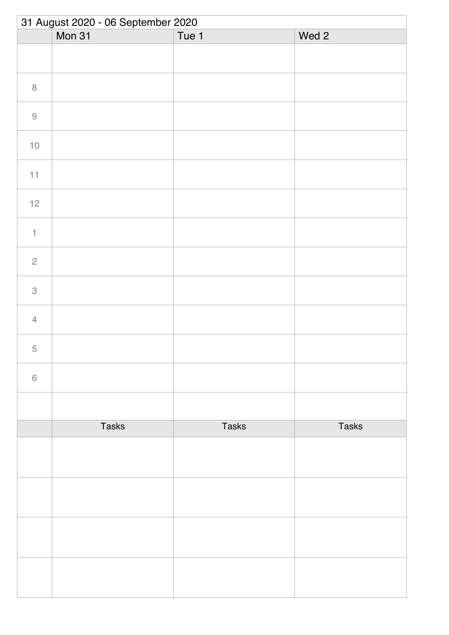| 31 August 2020 - 06 September 2020 |              |              |              |
|------------------------------------|--------------|--------------|--------------|
|                                    | Mon 31       | Tue 1        | Wed 2        |
|                                    |              |              |              |
| $\, 8$                             |              |              |              |
| $\Theta$                           |              |              |              |
| $10$                               |              |              |              |
| 11                                 |              |              |              |
| 12                                 |              |              |              |
| $\ensuremath{\mathsf{1}}$          |              |              |              |
| $\overline{c}$                     |              |              |              |
| $\ensuremath{\mathsf{3}}$          |              |              |              |
| $\overline{4}$                     |              |              |              |
| 5                                  |              |              |              |
| $\,$ $\,$ $\,$                     |              |              |              |
|                                    |              |              |              |
|                                    | <b>Tasks</b> | <b>Tasks</b> | <b>Tasks</b> |
|                                    |              |              |              |
|                                    |              |              |              |
|                                    |              |              |              |
|                                    |              |              |              |
|                                    |              |              |              |
|                                    |              |              |              |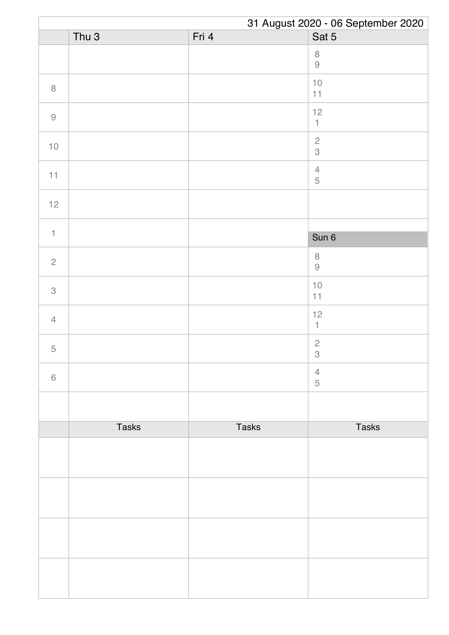|                | 31 August 2020 - 06 September 2020 |              |                                 |  |
|----------------|------------------------------------|--------------|---------------------------------|--|
|                | Thu <sub>3</sub>                   | Fri 4        | Sat 5                           |  |
|                |                                    |              | $\,8\,$<br>$\Theta$             |  |
| $\, 8$         |                                    |              | $10$<br>11                      |  |
| $\hbox{9}$     |                                    |              | 12<br>$\ensuremath{\mathsf{1}}$ |  |
| $10$           |                                    |              | $\frac{2}{3}$                   |  |
| 11             |                                    |              | $\ensuremath{\mathsf{4}}$<br>5  |  |
| 12             |                                    |              |                                 |  |
| $\uparrow$     |                                    |              |                                 |  |
|                |                                    |              | Sun 6                           |  |
| $\mathbf{2}$   |                                    |              | $\,8\,$<br>$\Theta$             |  |
| 3              |                                    |              | $10$<br>11                      |  |
| $\overline{4}$ |                                    |              | 12<br>$\mathbf{1}$              |  |
| $\mathbf 5$    |                                    |              | $\overline{c}$<br>$\,3$         |  |
| $\,$ 6 $\,$    |                                    |              | $\overline{4}$<br>$\sqrt{5}$    |  |
|                |                                    |              |                                 |  |
|                | <b>Tasks</b>                       | <b>Tasks</b> | <b>Tasks</b>                    |  |
|                |                                    |              |                                 |  |
|                |                                    |              |                                 |  |
|                |                                    |              |                                 |  |
|                |                                    |              |                                 |  |
|                |                                    |              |                                 |  |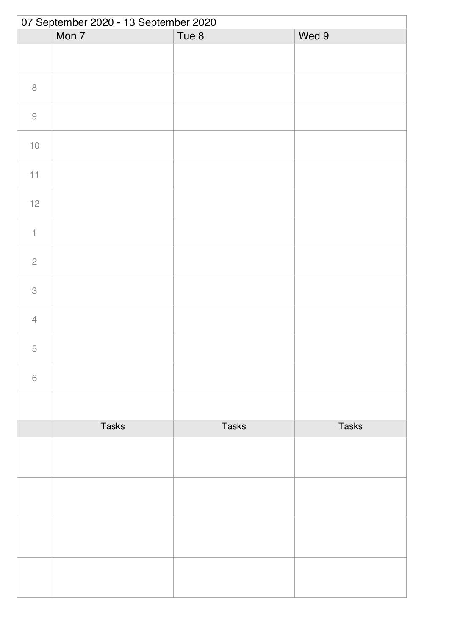| 07 September 2020 - 13 September 2020 |              |              |              |  |
|---------------------------------------|--------------|--------------|--------------|--|
|                                       | Mon 7        | Tue 8        | Wed 9        |  |
|                                       |              |              |              |  |
| $\,8\,$                               |              |              |              |  |
| $\hbox{9}$                            |              |              |              |  |
| $10$                                  |              |              |              |  |
| 11                                    |              |              |              |  |
| $12$                                  |              |              |              |  |
| $\ensuremath{\mathsf{1}}$             |              |              |              |  |
| $\sqrt{2}$                            |              |              |              |  |
| $\ensuremath{\mathsf{3}}$             |              |              |              |  |
| $\overline{4}$                        |              |              |              |  |
| $\overline{5}$                        |              |              |              |  |
| $\,$ $\,$ $\,$                        |              |              |              |  |
|                                       |              |              |              |  |
|                                       | <b>Tasks</b> | <b>Tasks</b> | <b>Tasks</b> |  |
|                                       |              |              |              |  |
|                                       |              |              |              |  |
|                                       |              |              |              |  |
|                                       |              |              |              |  |
|                                       |              |              |              |  |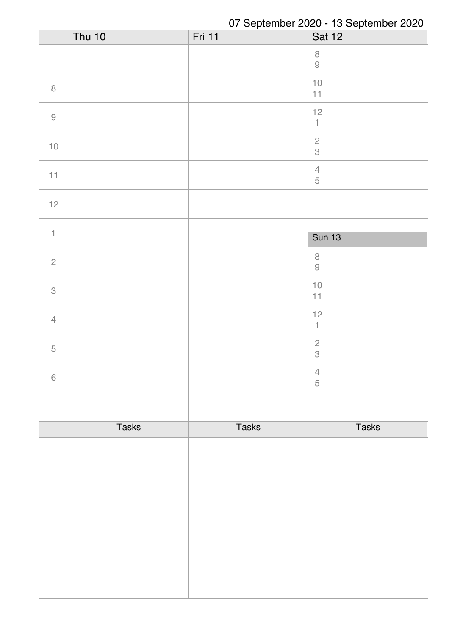|                                                           | 07 September 2020 - 13 September 2020 |              |                                             |  |
|-----------------------------------------------------------|---------------------------------------|--------------|---------------------------------------------|--|
|                                                           | <b>Thu 10</b>                         | Fri 11       | <b>Sat 12</b>                               |  |
|                                                           |                                       |              | $\, 8$<br>$\Theta$                          |  |
| $\, 8$                                                    |                                       |              | $10$<br>11                                  |  |
| $\mathcal{G}% _{M_{1},M_{2}}^{\alpha,\beta}(\mathcal{A})$ |                                       |              | 12<br>$\mathbb{1}$                          |  |
| $10$                                                      |                                       |              | $\frac{2}{3}$                               |  |
| 11                                                        |                                       |              | $\ensuremath{\mathsf{4}}$<br>$\overline{5}$ |  |
| $12$                                                      |                                       |              |                                             |  |
|                                                           |                                       |              |                                             |  |
| $\uparrow$                                                |                                       |              | <b>Sun 13</b>                               |  |
| $\sqrt{2}$                                                |                                       |              | $\,8\,$<br>$\Theta$                         |  |
| 3                                                         |                                       |              | $10$<br>11                                  |  |
| $\overline{4}$                                            |                                       |              | 12<br>$\mathbf{1}$                          |  |
| $\mathbf 5$                                               |                                       |              | $\overline{c}$<br>$\,$ 3 $\,$               |  |
| $\,$ 6 $\,$                                               |                                       |              | $\overline{4}$<br>5                         |  |
|                                                           |                                       |              |                                             |  |
|                                                           | <b>Tasks</b>                          | <b>Tasks</b> | <b>Tasks</b>                                |  |
|                                                           |                                       |              |                                             |  |
|                                                           |                                       |              |                                             |  |
|                                                           |                                       |              |                                             |  |
|                                                           |                                       |              |                                             |  |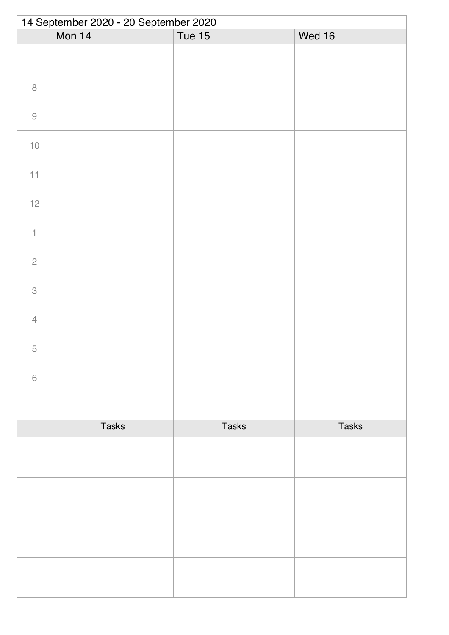|                           | 14 September 2020 - 20 September 2020 |              |              |  |  |
|---------------------------|---------------------------------------|--------------|--------------|--|--|
|                           | Mon 14                                | Tue 15       | Wed 16       |  |  |
|                           |                                       |              |              |  |  |
| $\,8\,$                   |                                       |              |              |  |  |
| $\hbox{9}$                |                                       |              |              |  |  |
| $10$                      |                                       |              |              |  |  |
| 11                        |                                       |              |              |  |  |
| $12$                      |                                       |              |              |  |  |
| $\ensuremath{\mathsf{1}}$ |                                       |              |              |  |  |
| $\sqrt{2}$                |                                       |              |              |  |  |
| $\ensuremath{\mathsf{3}}$ |                                       |              |              |  |  |
| $\overline{4}$            |                                       |              |              |  |  |
| $\overline{5}$            |                                       |              |              |  |  |
| $\,$ $\,$ $\,$            |                                       |              |              |  |  |
|                           |                                       |              |              |  |  |
|                           | <b>Tasks</b>                          | <b>Tasks</b> | <b>Tasks</b> |  |  |
|                           |                                       |              |              |  |  |
|                           |                                       |              |              |  |  |
|                           |                                       |              |              |  |  |
|                           |                                       |              |              |  |  |
|                           |                                       |              |              |  |  |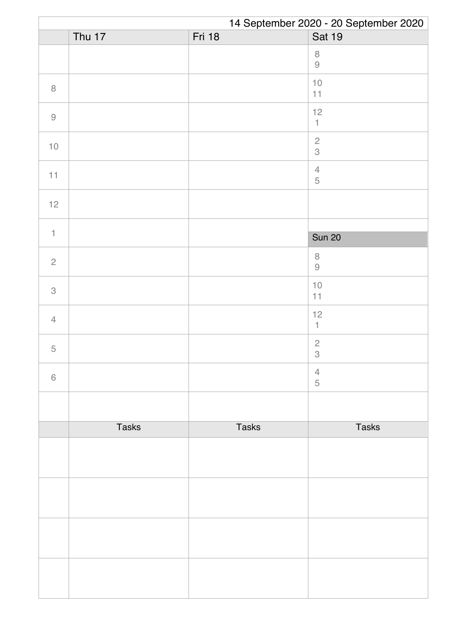|                                                           | 14 September 2020 - 20 September 2020 |               |                                             |  |
|-----------------------------------------------------------|---------------------------------------|---------------|---------------------------------------------|--|
|                                                           | Thu 17                                | <b>Fri 18</b> | <b>Sat 19</b>                               |  |
|                                                           |                                       |               | $\, 8$<br>$\Theta$                          |  |
| $\, 8$                                                    |                                       |               | $10$<br>11                                  |  |
| $\mathcal{G}% _{M_{1},M_{2}}^{\alpha,\beta}(\mathcal{A})$ |                                       |               | 12<br>$\mathbb{1}$                          |  |
| $10$                                                      |                                       |               | $\frac{2}{3}$                               |  |
| 11                                                        |                                       |               | $\ensuremath{\mathsf{4}}$<br>$\overline{5}$ |  |
| $12$                                                      |                                       |               |                                             |  |
|                                                           |                                       |               |                                             |  |
| $\uparrow$                                                |                                       |               | <b>Sun 20</b>                               |  |
| $\sqrt{2}$                                                |                                       |               | $\,8\,$<br>$\Theta$                         |  |
| 3                                                         |                                       |               | $10$<br>11                                  |  |
| $\overline{4}$                                            |                                       |               | 12<br>$\mathbf{1}$                          |  |
| $\mathbf 5$                                               |                                       |               | $\overline{c}$<br>$\,$ 3 $\,$               |  |
| $\,$ 6 $\,$                                               |                                       |               | $\overline{4}$<br>5                         |  |
|                                                           |                                       |               |                                             |  |
|                                                           | <b>Tasks</b>                          | <b>Tasks</b>  | <b>Tasks</b>                                |  |
|                                                           |                                       |               |                                             |  |
|                                                           |                                       |               |                                             |  |
|                                                           |                                       |               |                                             |  |
|                                                           |                                       |               |                                             |  |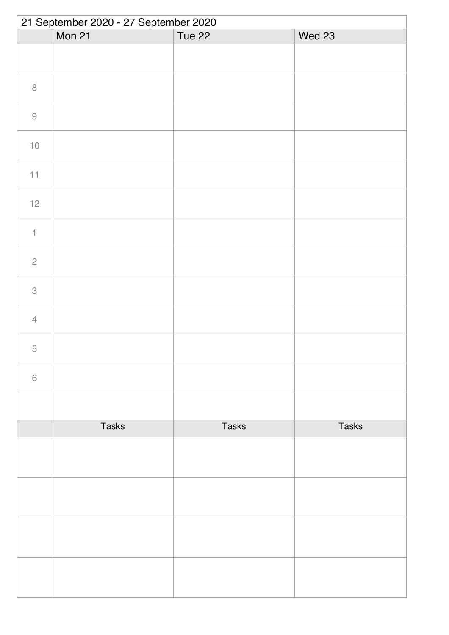|                           | 21 September 2020 - 27 September 2020 |              |              |  |  |
|---------------------------|---------------------------------------|--------------|--------------|--|--|
|                           | Mon 21                                | Tue 22       | Wed 23       |  |  |
|                           |                                       |              |              |  |  |
| $\,8\,$                   |                                       |              |              |  |  |
| $\Theta$                  |                                       |              |              |  |  |
| $10$                      |                                       |              |              |  |  |
| 11                        |                                       |              |              |  |  |
| $12$                      |                                       |              |              |  |  |
| $\ensuremath{\mathsf{1}}$ |                                       |              |              |  |  |
| $\sqrt{2}$                |                                       |              |              |  |  |
| $\ensuremath{\mathsf{3}}$ |                                       |              |              |  |  |
| $\overline{4}$            |                                       |              |              |  |  |
| $\overline{5}$            |                                       |              |              |  |  |
| $\,$ $\,$ $\,$            |                                       |              |              |  |  |
|                           |                                       |              |              |  |  |
|                           | <b>Tasks</b>                          | <b>Tasks</b> | <b>Tasks</b> |  |  |
|                           |                                       |              |              |  |  |
|                           |                                       |              |              |  |  |
|                           |                                       |              |              |  |  |
|                           |                                       |              |              |  |  |
|                           |                                       |              |              |  |  |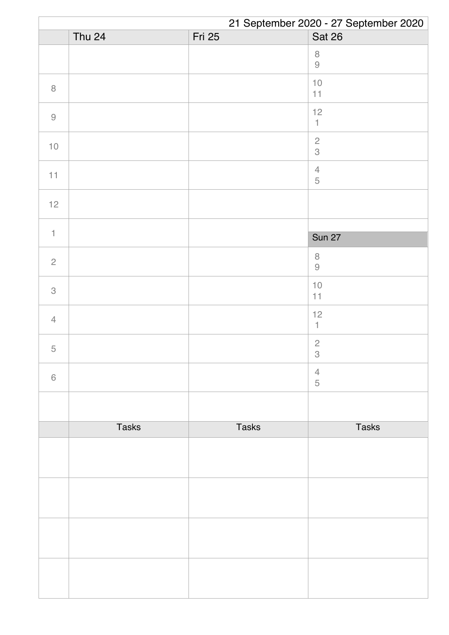|                                                           | 21 September 2020 - 27 September 2020 |               |                              |  |
|-----------------------------------------------------------|---------------------------------------|---------------|------------------------------|--|
|                                                           | <b>Thu 24</b>                         | <b>Fri 25</b> | <b>Sat 26</b>                |  |
|                                                           |                                       |               | $\, 8$<br>$\Theta$           |  |
| $\, 8$                                                    |                                       |               | $10$<br>11                   |  |
| $\mathcal{G}% _{M_{1},M_{2}}^{\alpha,\beta}(\mathcal{A})$ |                                       |               | 12<br>$\mathbb{1}$           |  |
| $10$                                                      |                                       |               | $\frac{2}{3}$                |  |
| 11                                                        |                                       |               | $\sqrt{4}$<br>$\overline{5}$ |  |
| $12$                                                      |                                       |               |                              |  |
|                                                           |                                       |               |                              |  |
| $\mathbf{1}$                                              |                                       |               | <b>Sun 27</b>                |  |
| $\sqrt{2}$                                                |                                       |               | $\,8\,$<br>$\Theta$          |  |
| $\,$ 3 $\,$                                               |                                       |               | $10$<br>11                   |  |
| $\overline{4}$                                            |                                       |               | 12<br>$\mathbf{1}$           |  |
| $\mathbf 5$                                               |                                       |               | $\sqrt{2}$<br>$\,3$          |  |
| $\,$ 6 $\,$                                               |                                       |               | $\overline{4}$<br>5          |  |
|                                                           |                                       |               |                              |  |
|                                                           | <b>Tasks</b>                          | <b>Tasks</b>  | <b>Tasks</b>                 |  |
|                                                           |                                       |               |                              |  |
|                                                           |                                       |               |                              |  |
|                                                           |                                       |               |                              |  |
|                                                           |                                       |               |                              |  |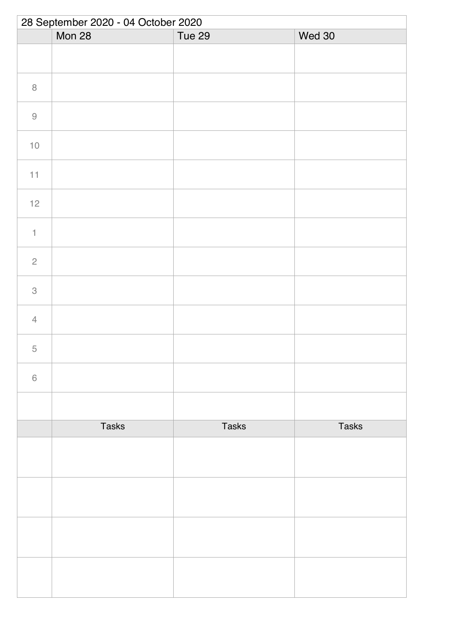| 28 September 2020 - 04 October 2020 |              |              |              |  |
|-------------------------------------|--------------|--------------|--------------|--|
|                                     | Mon 28       | Tue 29       | Wed 30       |  |
|                                     |              |              |              |  |
| $\,8\,$                             |              |              |              |  |
| $\hbox{9}$                          |              |              |              |  |
| $10$                                |              |              |              |  |
| 11                                  |              |              |              |  |
| $12$                                |              |              |              |  |
| $\ensuremath{\mathsf{1}}$           |              |              |              |  |
| $\sqrt{2}$                          |              |              |              |  |
| $\ensuremath{\mathsf{3}}$           |              |              |              |  |
| $\overline{4}$                      |              |              |              |  |
| 5                                   |              |              |              |  |
| $\,$ $\,$ $\,$                      |              |              |              |  |
|                                     |              |              |              |  |
|                                     | <b>Tasks</b> | <b>Tasks</b> | <b>Tasks</b> |  |
|                                     |              |              |              |  |
|                                     |              |              |              |  |
|                                     |              |              |              |  |
|                                     |              |              |              |  |
|                                     |              |              |              |  |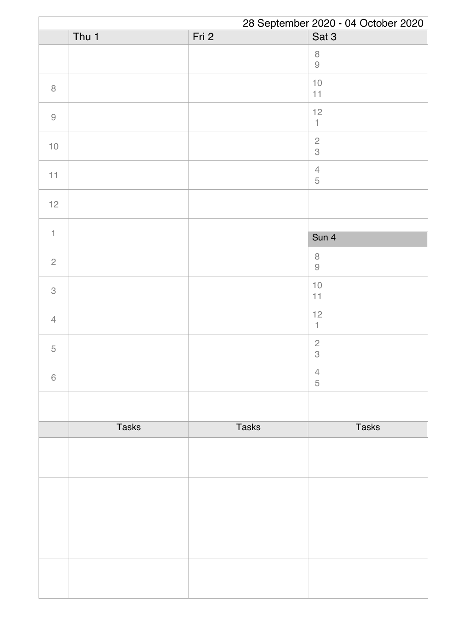|                | 28 September 2020 - 04 October 2020 |              |                                             |
|----------------|-------------------------------------|--------------|---------------------------------------------|
|                | Thu $1$                             | Fri 2        | Sat 3                                       |
|                |                                     |              | $\,8\,$<br>$\Theta$                         |
| $\, 8$         |                                     |              | $10$<br>11                                  |
| $\hbox{9}$     |                                     |              | 12<br>$\ensuremath{\mathsf{1}}$             |
| $10$           |                                     |              | $\frac{2}{3}$                               |
| 11             |                                     |              | $\overline{4}$<br>$\overline{5}$            |
| 12             |                                     |              |                                             |
|                |                                     |              |                                             |
| $\uparrow$     |                                     |              | Sun 4                                       |
| $\sqrt{2}$     |                                     |              | $\,8\,$<br>$\Theta$                         |
| 3              |                                     |              | $10$<br>11                                  |
| $\overline{4}$ |                                     |              | 12<br>1                                     |
| $\mathbf 5$    |                                     |              | $\overline{c}$<br>$\ensuremath{\mathsf{3}}$ |
| 6              |                                     |              | $\overline{4}$<br>5                         |
|                |                                     |              |                                             |
|                | <b>Tasks</b>                        | <b>Tasks</b> | <b>Tasks</b>                                |
|                |                                     |              |                                             |
|                |                                     |              |                                             |
|                |                                     |              |                                             |
|                |                                     |              |                                             |
|                |                                     |              |                                             |
|                |                                     |              |                                             |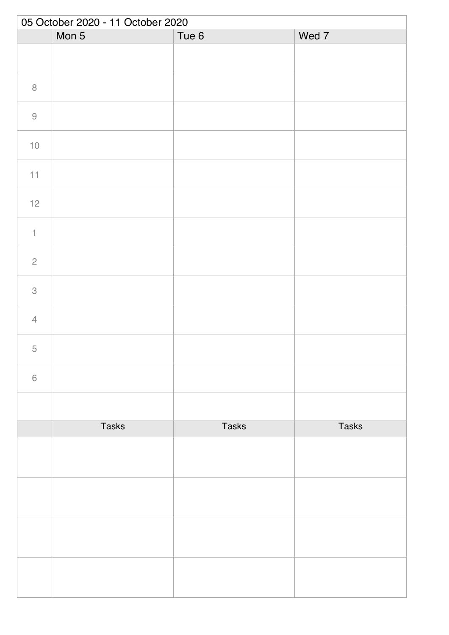|                           | 05 October 2020 - 11 October 2020 |              |              |  |  |
|---------------------------|-----------------------------------|--------------|--------------|--|--|
|                           | Mon 5                             | Tue 6        | Wed 7        |  |  |
|                           |                                   |              |              |  |  |
| $\, 8$                    |                                   |              |              |  |  |
| $\Theta$                  |                                   |              |              |  |  |
| $10$                      |                                   |              |              |  |  |
| 11                        |                                   |              |              |  |  |
| $12$                      |                                   |              |              |  |  |
| $\mathbf{1}$              |                                   |              |              |  |  |
| $\sqrt{2}$                |                                   |              |              |  |  |
| $\ensuremath{\mathsf{3}}$ |                                   |              |              |  |  |
| $\overline{4}$            |                                   |              |              |  |  |
| $\overline{5}$            |                                   |              |              |  |  |
| $\,$ $\,$ $\,$            |                                   |              |              |  |  |
|                           |                                   |              |              |  |  |
|                           | <b>Tasks</b>                      | <b>Tasks</b> | <b>Tasks</b> |  |  |
|                           |                                   |              |              |  |  |
|                           |                                   |              |              |  |  |
|                           |                                   |              |              |  |  |
|                           |                                   |              |              |  |  |
|                           |                                   |              |              |  |  |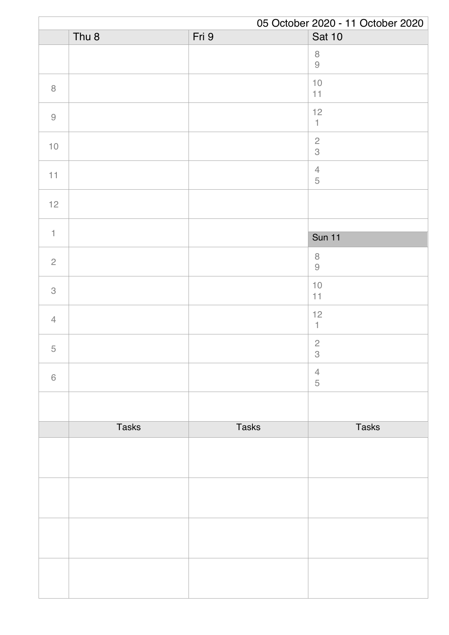|                |                  |              | 05 October 2020 - 11 October 2020                                    |
|----------------|------------------|--------------|----------------------------------------------------------------------|
|                | Thu <sub>8</sub> | Fri 9        | <b>Sat 10</b>                                                        |
|                |                  |              | $\, 8$<br>$\hbox{9}$                                                 |
| $\, 8$         |                  |              | $10$<br>11                                                           |
| $\hbox{9}$     |                  |              | 12<br>$\mathbbm{1}$                                                  |
| $10$           |                  |              | $\frac{2}{3}$                                                        |
| 11             |                  |              | $\sqrt{4}$<br>$\mathbf 5$                                            |
| $12$           |                  |              |                                                                      |
| $\uparrow$     |                  |              |                                                                      |
|                |                  |              | <b>Sun 11</b>                                                        |
| $\overline{c}$ |                  |              | $\,8\,$<br>$\mathcal{G}% _{M_{1},M_{2}}^{\alpha,\beta}(\mathcal{A})$ |
| $\mathcal{S}$  |                  |              | $10$<br>11                                                           |
| $\overline{4}$ |                  |              | 12<br>$\mathbf{1}$                                                   |
| $\mathbf 5$    |                  |              | $\overline{c}$<br>$\,3$                                              |
| $\,$ 6 $\,$    |                  |              | $\overline{4}$<br>$\sqrt{5}$                                         |
|                |                  |              |                                                                      |
|                | <b>Tasks</b>     | <b>Tasks</b> | <b>Tasks</b>                                                         |
|                |                  |              |                                                                      |
|                |                  |              |                                                                      |
|                |                  |              |                                                                      |
|                |                  |              |                                                                      |
|                |                  |              |                                                                      |
|                |                  |              |                                                                      |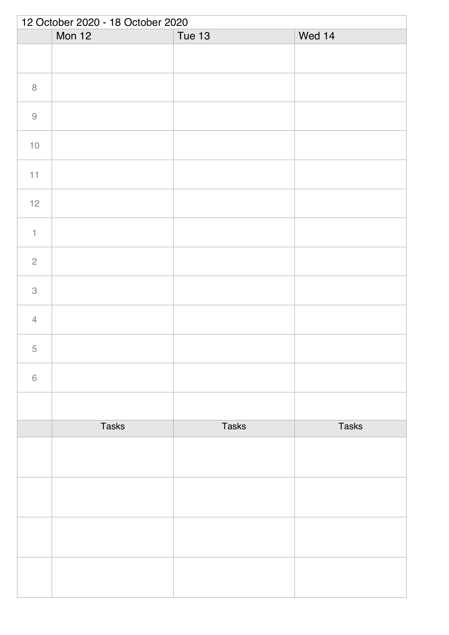| 12 October 2020 - 18 October 2020 |              |               |              |  |
|-----------------------------------|--------------|---------------|--------------|--|
|                                   | Mon 12       | <b>Tue 13</b> | Wed 14       |  |
|                                   |              |               |              |  |
| $\,8\,$                           |              |               |              |  |
| $\hbox{9}$                        |              |               |              |  |
| $10$                              |              |               |              |  |
| 11                                |              |               |              |  |
| $12$                              |              |               |              |  |
| $\mathbf{1}$                      |              |               |              |  |
| $\overline{c}$                    |              |               |              |  |
| $\ensuremath{\mathsf{3}}$         |              |               |              |  |
| $\overline{4}$                    |              |               |              |  |
| 5                                 |              |               |              |  |
| $\,$ $\,$ $\,$                    |              |               |              |  |
|                                   |              |               |              |  |
|                                   | <b>Tasks</b> | <b>Tasks</b>  | <b>Tasks</b> |  |
|                                   |              |               |              |  |
|                                   |              |               |              |  |
|                                   |              |               |              |  |
|                                   |              |               |              |  |
|                                   |              |               |              |  |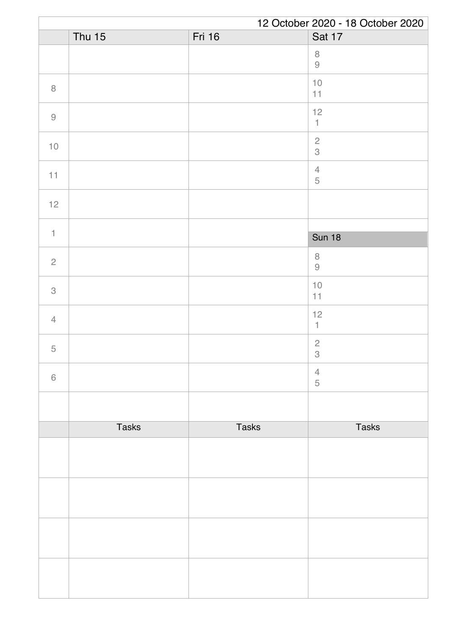|                | 12 October 2020 - 18 October 2020 |               |                                                                     |  |
|----------------|-----------------------------------|---------------|---------------------------------------------------------------------|--|
|                | Thu $15$                          | <b>Fri 16</b> | Sat 17                                                              |  |
|                |                                   |               | $\, 8$<br>$\hbox{9}$                                                |  |
| $\, 8$         |                                   |               | $10$<br>11                                                          |  |
| $\hbox{9}$     |                                   |               | 12<br>$\mathbbm{1}$                                                 |  |
| $10$           |                                   |               | $\sqrt{2}$<br>3                                                     |  |
| 11             |                                   |               | $\sqrt{4}$<br>$\mathbf 5$                                           |  |
| $12$           |                                   |               |                                                                     |  |
|                |                                   |               |                                                                     |  |
| $\uparrow$     |                                   |               | <b>Sun 18</b>                                                       |  |
| $\overline{2}$ |                                   |               | $\, 8$<br>$\mathcal{G}% _{M_{1},M_{2}}^{\alpha,\beta}(\mathcal{A})$ |  |
| 3              |                                   |               | $10$<br>11                                                          |  |
| $\overline{4}$ |                                   |               | 12<br>$\mathbf{1}$                                                  |  |
| $\mathbf 5$    |                                   |               | $\sqrt{2}$<br>$\,3$                                                 |  |
| $\,6\,$        |                                   |               | $\overline{4}$<br>5                                                 |  |
|                |                                   |               |                                                                     |  |
|                | <b>Tasks</b>                      | <b>Tasks</b>  | <b>Tasks</b>                                                        |  |
|                |                                   |               |                                                                     |  |
|                |                                   |               |                                                                     |  |
|                |                                   |               |                                                                     |  |
|                |                                   |               |                                                                     |  |
|                |                                   |               |                                                                     |  |
|                |                                   |               |                                                                     |  |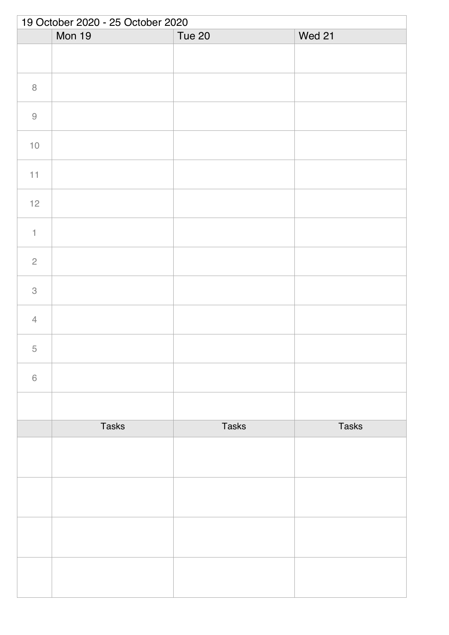| 19 October 2020 - 25 October 2020 |               |              |              |  |
|-----------------------------------|---------------|--------------|--------------|--|
|                                   | <b>Mon 19</b> | Tue 20       | Wed 21       |  |
|                                   |               |              |              |  |
| $\,8\,$                           |               |              |              |  |
| $\hbox{9}$                        |               |              |              |  |
| $10$                              |               |              |              |  |
| 11                                |               |              |              |  |
| $12$                              |               |              |              |  |
| $\ensuremath{\mathsf{1}}$         |               |              |              |  |
| $\sqrt{2}$                        |               |              |              |  |
| $\ensuremath{\mathsf{3}}$         |               |              |              |  |
| $\overline{4}$                    |               |              |              |  |
| 5                                 |               |              |              |  |
| $\,$ $\,$ $\,$                    |               |              |              |  |
|                                   |               |              |              |  |
|                                   | <b>Tasks</b>  | <b>Tasks</b> | <b>Tasks</b> |  |
|                                   |               |              |              |  |
|                                   |               |              |              |  |
|                                   |               |              |              |  |
|                                   |               |              |              |  |
|                                   |               |              |              |  |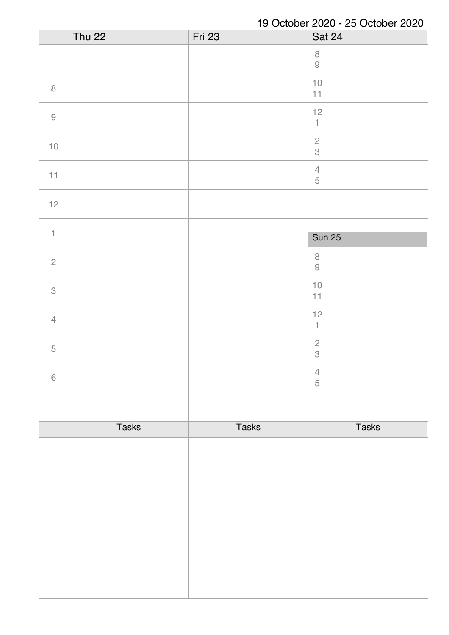|                | 19 October 2020 - 25 October 2020 |               |                             |  |
|----------------|-----------------------------------|---------------|-----------------------------|--|
|                | <b>Thu 22</b>                     | <b>Fri 23</b> | Sat 24                      |  |
|                |                                   |               | $\, 8$<br>$\hbox{9}$        |  |
| $\, 8$         |                                   |               | $10$<br>11                  |  |
| $\hbox{9}$     |                                   |               | 12<br>$\uparrow$            |  |
| $10$           |                                   |               | $\sqrt{2}$<br>$\mathcal S$  |  |
| 11             |                                   |               | $\sqrt{4}$<br>$\mathbf 5$   |  |
| $12$           |                                   |               |                             |  |
| $\mathbf{1}$   |                                   |               |                             |  |
|                |                                   |               | <b>Sun 25</b>               |  |
| $\overline{2}$ |                                   |               | $\,8\,$<br>$\Theta$         |  |
| 3              |                                   |               | $10$<br>11                  |  |
| $\overline{4}$ |                                   |               | 12<br>$\mathbf{1}$          |  |
| 5              |                                   |               | $\sqrt{2}$<br>$\mathcal{S}$ |  |
| $\,6\,$        |                                   |               | $\overline{4}$<br>5         |  |
|                |                                   |               |                             |  |
|                | <b>Tasks</b>                      | <b>Tasks</b>  | <b>Tasks</b>                |  |
|                |                                   |               |                             |  |
|                |                                   |               |                             |  |
|                |                                   |               |                             |  |
|                |                                   |               |                             |  |
|                |                                   |               |                             |  |
|                |                                   |               |                             |  |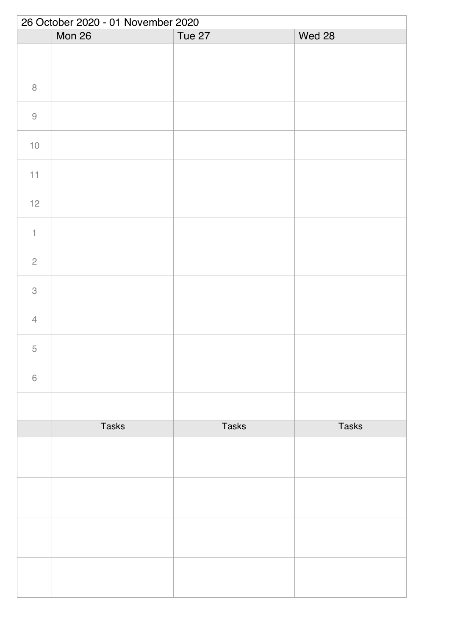|                           | 26 October 2020 - 01 November 2020 |              |              |  |  |
|---------------------------|------------------------------------|--------------|--------------|--|--|
|                           | Mon 26                             | Tue 27       | Wed 28       |  |  |
|                           |                                    |              |              |  |  |
| $\,8\,$                   |                                    |              |              |  |  |
| $\Theta$                  |                                    |              |              |  |  |
| $10$                      |                                    |              |              |  |  |
| 11                        |                                    |              |              |  |  |
| $12$                      |                                    |              |              |  |  |
| $\ensuremath{\mathsf{1}}$ |                                    |              |              |  |  |
| $\sqrt{2}$                |                                    |              |              |  |  |
| $\ensuremath{\mathsf{3}}$ |                                    |              |              |  |  |
| $\overline{4}$            |                                    |              |              |  |  |
| 5                         |                                    |              |              |  |  |
| $\,$ $\,$ $\,$            |                                    |              |              |  |  |
|                           |                                    |              |              |  |  |
|                           | <b>Tasks</b>                       | <b>Tasks</b> | <b>Tasks</b> |  |  |
|                           |                                    |              |              |  |  |
|                           |                                    |              |              |  |  |
|                           |                                    |              |              |  |  |
|                           |                                    |              |              |  |  |
|                           |                                    |              |              |  |  |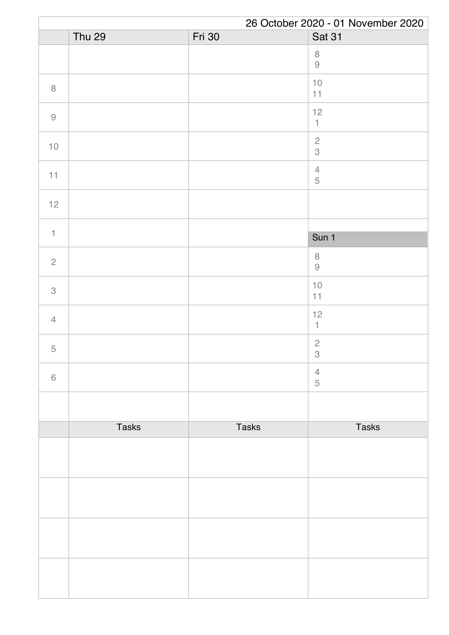| 26 October 2020 - 01 November 2020 |               |               |                                 |
|------------------------------------|---------------|---------------|---------------------------------|
|                                    | <b>Thu 29</b> | <b>Fri</b> 30 | Sat 31                          |
|                                    |               |               | $\,8\,$<br>$\hbox{9}$           |
| $\, 8$                             |               |               | $10$<br>11                      |
| $\hbox{9}$                         |               |               | 12<br>$\mathbbm{1}$             |
| $10$                               |               |               | $\frac{2}{3}$                   |
| 11                                 |               |               | $\overline{4}$<br>$\mathbf 5$   |
| 12                                 |               |               |                                 |
| $\uparrow$                         |               |               |                                 |
|                                    |               |               | Sun 1                           |
| $\sqrt{2}$                         |               |               | $\,8\,$<br>$\Theta$             |
| $\mathcal{S}$                      |               |               | $10$<br>11                      |
| $\overline{4}$                     |               |               | 12<br>$\mathbf{1}$              |
| $\mathbf 5$                        |               |               | $\overline{c}$<br>$\mathcal{S}$ |
| $\,$ 6 $\,$                        |               |               | $\overline{4}$<br>$\sqrt{5}$    |
|                                    |               |               |                                 |
|                                    | <b>Tasks</b>  | <b>Tasks</b>  | <b>Tasks</b>                    |
|                                    |               |               |                                 |
|                                    |               |               |                                 |
|                                    |               |               |                                 |
|                                    |               |               |                                 |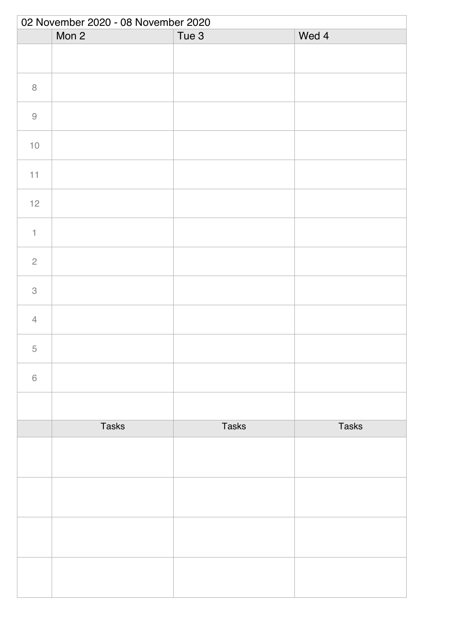| 02 November 2020 - 08 November 2020 |              |              |              |  |
|-------------------------------------|--------------|--------------|--------------|--|
|                                     | Mon 2        | Tue 3        | Wed 4        |  |
|                                     |              |              |              |  |
| $\, 8$                              |              |              |              |  |
| $\Theta$                            |              |              |              |  |
| $10$                                |              |              |              |  |
| 11                                  |              |              |              |  |
| 12                                  |              |              |              |  |
| $\mathbf{1}$                        |              |              |              |  |
| $\sqrt{2}$                          |              |              |              |  |
| $\ensuremath{\mathsf{3}}$           |              |              |              |  |
| $\overline{4}$                      |              |              |              |  |
| 5                                   |              |              |              |  |
| $\,$ $\,$ $\,$                      |              |              |              |  |
|                                     |              |              |              |  |
|                                     | <b>Tasks</b> | <b>Tasks</b> | <b>Tasks</b> |  |
|                                     |              |              |              |  |
|                                     |              |              |              |  |
|                                     |              |              |              |  |
|                                     |              |              |              |  |
|                                     |              |              |              |  |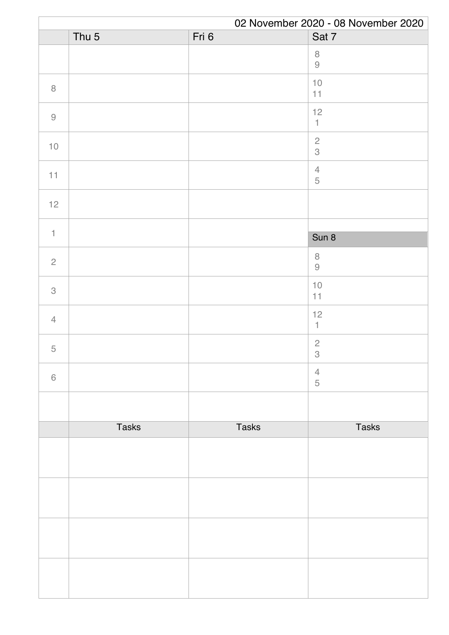|                                                           | 02 November 2020 - 08 November 2020 |              |                                             |  |
|-----------------------------------------------------------|-------------------------------------|--------------|---------------------------------------------|--|
|                                                           | Thu <sub>5</sub>                    | Fri 6        | Sat 7                                       |  |
|                                                           |                                     |              | $\,8\,$<br>$\Theta$                         |  |
| $\, 8$                                                    |                                     |              | $10$<br>11                                  |  |
| $\mathcal{G}% _{M_{1},M_{2}}^{\alpha,\beta}(\mathcal{A})$ |                                     |              | 12<br>$\mathbbm{1}$                         |  |
| $10$                                                      |                                     |              | $\frac{2}{3}$                               |  |
| 11                                                        |                                     |              | $\ensuremath{\mathsf{4}}$<br>$\mathbf 5$    |  |
| 12                                                        |                                     |              |                                             |  |
|                                                           |                                     |              |                                             |  |
| $\uparrow$                                                |                                     |              | Sun 8                                       |  |
| $\overline{2}$                                            |                                     |              | $\,8\,$<br>$\Theta$                         |  |
| 3                                                         |                                     |              | $10$<br>11                                  |  |
| $\overline{4}$                                            |                                     |              | 12<br>$\mathbf{1}$                          |  |
| $\mathbf 5$                                               |                                     |              | $\overline{c}$<br>$\ensuremath{\mathsf{3}}$ |  |
| $\,$ 6 $\,$                                               |                                     |              | $\overline{4}$<br>5                         |  |
|                                                           |                                     |              |                                             |  |
|                                                           | <b>Tasks</b>                        | <b>Tasks</b> | <b>Tasks</b>                                |  |
|                                                           |                                     |              |                                             |  |
|                                                           |                                     |              |                                             |  |
|                                                           |                                     |              |                                             |  |
|                                                           |                                     |              |                                             |  |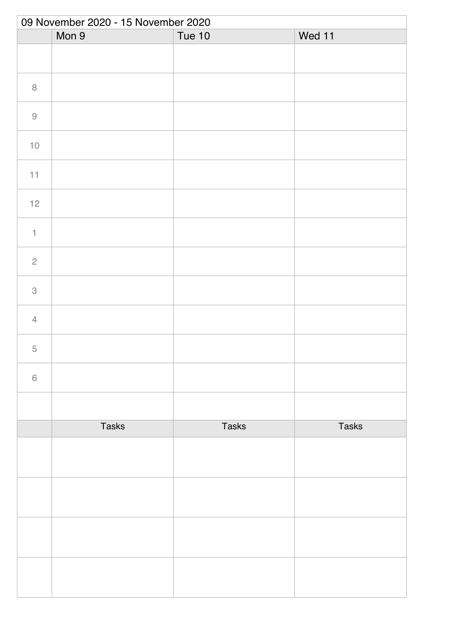| 09 November 2020 - 15 November 2020 |              |               |              |  |
|-------------------------------------|--------------|---------------|--------------|--|
|                                     | Mon 9        | <b>Tue 10</b> | Wed 11       |  |
|                                     |              |               |              |  |
| $\, 8$                              |              |               |              |  |
| $\hbox{9}$                          |              |               |              |  |
| $10$                                |              |               |              |  |
| 11                                  |              |               |              |  |
| $12$                                |              |               |              |  |
| $\ensuremath{\mathsf{1}}$           |              |               |              |  |
| $\sqrt{2}$                          |              |               |              |  |
| $\ensuremath{\mathsf{3}}$           |              |               |              |  |
| $\overline{4}$                      |              |               |              |  |
| 5                                   |              |               |              |  |
| $\,$ $\,$ $\,$                      |              |               |              |  |
|                                     |              |               |              |  |
|                                     | <b>Tasks</b> | <b>Tasks</b>  | <b>Tasks</b> |  |
|                                     |              |               |              |  |
|                                     |              |               |              |  |
|                                     |              |               |              |  |
|                                     |              |               |              |  |
|                                     |              |               |              |  |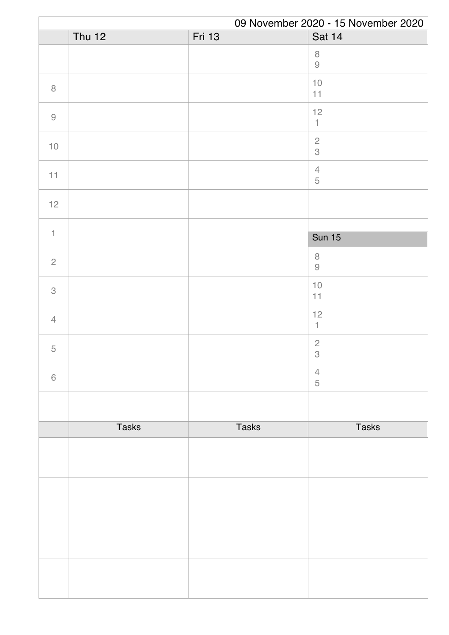|                                                           | 09 November 2020 - 15 November 2020 |               |                                                                      |  |
|-----------------------------------------------------------|-------------------------------------|---------------|----------------------------------------------------------------------|--|
|                                                           | Thu $12$                            | <b>Fri 13</b> | <b>Sat 14</b>                                                        |  |
|                                                           |                                     |               | $\, 8$<br>$\hbox{9}$                                                 |  |
| $\, 8$                                                    |                                     |               | $10$<br>11                                                           |  |
| $\mathcal{G}% _{M_{1},M_{2}}^{\alpha,\beta}(\mathcal{A})$ |                                     |               | 12<br>$\mathbbm{1}$                                                  |  |
| $10$                                                      |                                     |               | $\sqrt{2}$<br>$\mathcal S$                                           |  |
| 11                                                        |                                     |               | $\sqrt{4}$<br>$\mathbf 5$                                            |  |
| $12$                                                      |                                     |               |                                                                      |  |
| $\mathbf{1}$                                              |                                     |               |                                                                      |  |
|                                                           |                                     |               | <b>Sun 15</b>                                                        |  |
| $\overline{2}$                                            |                                     |               | $\,8\,$<br>$\mathcal{G}% _{M_{1},M_{2}}^{\alpha,\beta}(\mathcal{A})$ |  |
| 3                                                         |                                     |               | $10$<br>11                                                           |  |
| $\overline{4}$                                            |                                     |               | 12<br>$\mathbf{1}$                                                   |  |
| $\mathbf 5$                                               |                                     |               | $\sqrt{2}$<br>$\,3$                                                  |  |
| $\,6\,$                                                   |                                     |               | $\overline{4}$<br>5                                                  |  |
|                                                           |                                     |               |                                                                      |  |
|                                                           | <b>Tasks</b>                        | <b>Tasks</b>  | <b>Tasks</b>                                                         |  |
|                                                           |                                     |               |                                                                      |  |
|                                                           |                                     |               |                                                                      |  |
|                                                           |                                     |               |                                                                      |  |
|                                                           |                                     |               |                                                                      |  |
|                                                           |                                     |               |                                                                      |  |
|                                                           |                                     |               |                                                                      |  |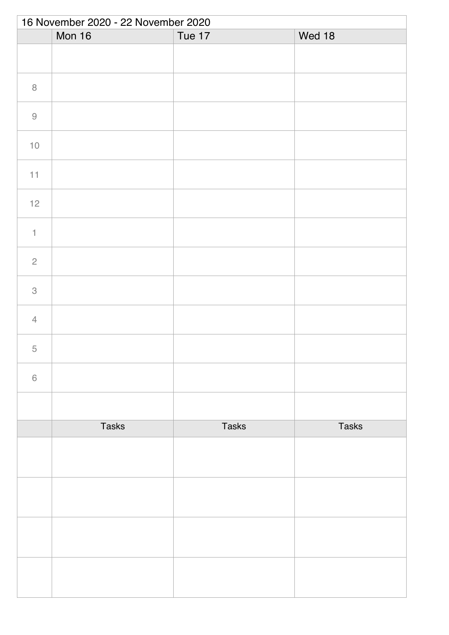|                           | 16 November 2020 - 22 November 2020 |               |              |  |  |
|---------------------------|-------------------------------------|---------------|--------------|--|--|
|                           | Mon 16                              | <b>Tue 17</b> | Wed 18       |  |  |
|                           |                                     |               |              |  |  |
| $\,8\,$                   |                                     |               |              |  |  |
| $\Theta$                  |                                     |               |              |  |  |
| $10$                      |                                     |               |              |  |  |
| 11                        |                                     |               |              |  |  |
| $12$                      |                                     |               |              |  |  |
| $\ensuremath{\mathsf{1}}$ |                                     |               |              |  |  |
| $\sqrt{2}$                |                                     |               |              |  |  |
| $\ensuremath{\mathsf{3}}$ |                                     |               |              |  |  |
| $\overline{4}$            |                                     |               |              |  |  |
| 5                         |                                     |               |              |  |  |
| $\,$ $\,$ $\,$            |                                     |               |              |  |  |
|                           |                                     |               |              |  |  |
|                           | <b>Tasks</b>                        | <b>Tasks</b>  | <b>Tasks</b> |  |  |
|                           |                                     |               |              |  |  |
|                           |                                     |               |              |  |  |
|                           |                                     |               |              |  |  |
|                           |                                     |               |              |  |  |
|                           |                                     |               |              |  |  |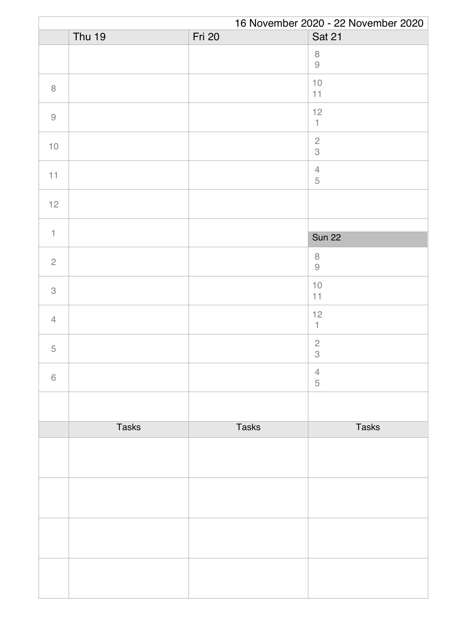|                | 16 November 2020 - 22 November 2020 |               |                           |  |
|----------------|-------------------------------------|---------------|---------------------------|--|
|                | <b>Thu 19</b>                       | <b>Fri 20</b> | <b>Sat 21</b>             |  |
|                |                                     |               | $\,8\,$<br>$\Theta$       |  |
| $\, 8$         |                                     |               | $10$<br>11                |  |
| $\hbox{9}$     |                                     |               | 12<br>$\uparrow$          |  |
| $10$           |                                     |               | $\frac{2}{3}$             |  |
| 11             |                                     |               | $\sqrt{4}$<br>$\mathbf 5$ |  |
| 12             |                                     |               |                           |  |
|                |                                     |               |                           |  |
| $\uparrow$     |                                     |               | <b>Sun 22</b>             |  |
| $\overline{c}$ |                                     |               | $\,8\,$<br>$\Theta$       |  |
| $\mathcal{S}$  |                                     |               | $10$<br>11                |  |
| $\overline{4}$ |                                     |               | 12<br>1                   |  |
| 5              |                                     |               | $\sqrt{2}$<br>$\,$ 3 $\,$ |  |
| $\,$ 6 $\,$    |                                     |               | $\overline{4}$<br>5       |  |
|                |                                     |               |                           |  |
|                | <b>Tasks</b>                        | <b>Tasks</b>  | <b>Tasks</b>              |  |
|                |                                     |               |                           |  |
|                |                                     |               |                           |  |
|                |                                     |               |                           |  |
|                |                                     |               |                           |  |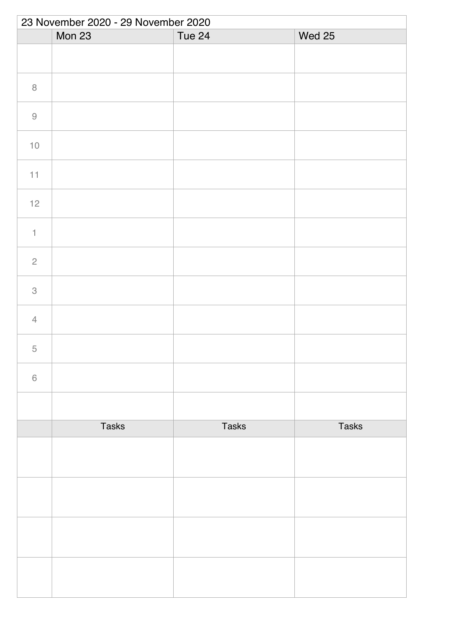|                           | 23 November 2020 - 29 November 2020 |              |               |  |  |
|---------------------------|-------------------------------------|--------------|---------------|--|--|
|                           | Mon 23                              | Tue 24       | <b>Wed 25</b> |  |  |
|                           |                                     |              |               |  |  |
| $\,8\,$                   |                                     |              |               |  |  |
| $\Theta$                  |                                     |              |               |  |  |
| $10$                      |                                     |              |               |  |  |
| 11                        |                                     |              |               |  |  |
| 12                        |                                     |              |               |  |  |
| $\ensuremath{\mathsf{1}}$ |                                     |              |               |  |  |
| $\overline{c}$            |                                     |              |               |  |  |
| $\ensuremath{\mathsf{3}}$ |                                     |              |               |  |  |
| $\overline{4}$            |                                     |              |               |  |  |
| 5                         |                                     |              |               |  |  |
| $\,$ $\,$ $\,$            |                                     |              |               |  |  |
|                           |                                     |              |               |  |  |
|                           | <b>Tasks</b>                        | <b>Tasks</b> | <b>Tasks</b>  |  |  |
|                           |                                     |              |               |  |  |
|                           |                                     |              |               |  |  |
|                           |                                     |              |               |  |  |
|                           |                                     |              |               |  |  |
|                           |                                     |              |               |  |  |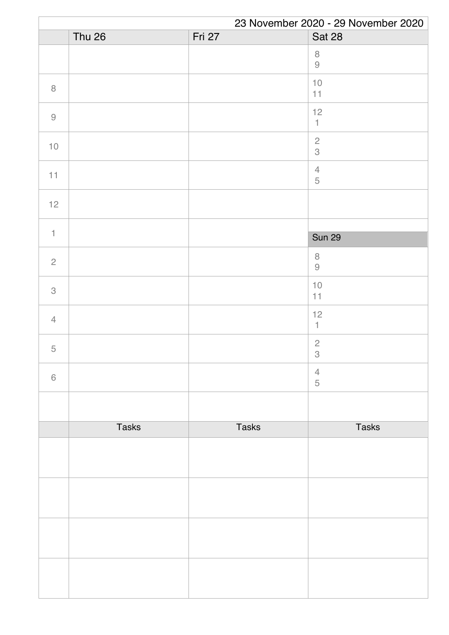|                | 23 November 2020 - 29 November 2020 |              |                           |  |
|----------------|-------------------------------------|--------------|---------------------------|--|
|                | <b>Thu 26</b>                       | Fri 27       | <b>Sat 28</b>             |  |
|                |                                     |              | $\,8\,$<br>$\Theta$       |  |
| $\, 8$         |                                     |              | $10$<br>11                |  |
| $\hbox{9}$     |                                     |              | 12<br>$\uparrow$          |  |
| $10$           |                                     |              | $\frac{2}{3}$             |  |
| 11             |                                     |              | $\sqrt{4}$<br>$\mathbf 5$ |  |
| 12             |                                     |              |                           |  |
|                |                                     |              |                           |  |
| $\mathbf{1}$   |                                     |              | <b>Sun 29</b>             |  |
| $\overline{c}$ |                                     |              | $\,8\,$<br>$\Theta$       |  |
| $\mathcal{S}$  |                                     |              | $10$<br>11                |  |
| $\overline{4}$ |                                     |              | 12<br>1                   |  |
| 5              |                                     |              | $\sqrt{2}$<br>$\,$ 3 $\,$ |  |
| $\,$ 6 $\,$    |                                     |              | $\overline{4}$<br>5       |  |
|                |                                     |              |                           |  |
|                | <b>Tasks</b>                        | <b>Tasks</b> | <b>Tasks</b>              |  |
|                |                                     |              |                           |  |
|                |                                     |              |                           |  |
|                |                                     |              |                           |  |
|                |                                     |              |                           |  |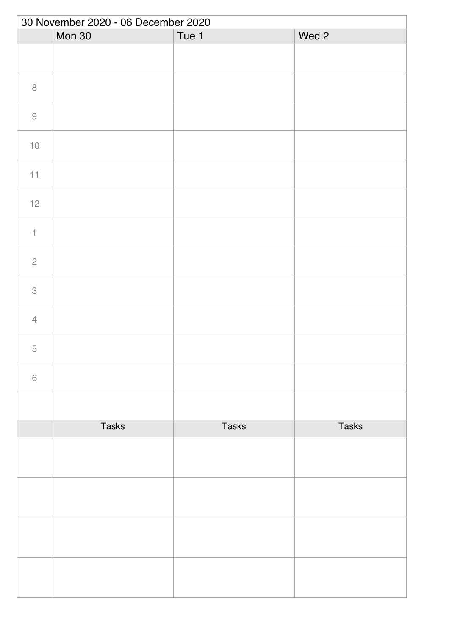|                           | 30 November 2020 - 06 December 2020 |              |              |  |  |
|---------------------------|-------------------------------------|--------------|--------------|--|--|
|                           | Mon 30                              | Tue 1        | Wed 2        |  |  |
|                           |                                     |              |              |  |  |
| $\,8\,$                   |                                     |              |              |  |  |
| $\Theta$                  |                                     |              |              |  |  |
| $10$                      |                                     |              |              |  |  |
| 11                        |                                     |              |              |  |  |
| 12                        |                                     |              |              |  |  |
| $\ensuremath{\mathsf{1}}$ |                                     |              |              |  |  |
| $\overline{c}$            |                                     |              |              |  |  |
| $\mathcal{S}$             |                                     |              |              |  |  |
| $\overline{4}$            |                                     |              |              |  |  |
| 5                         |                                     |              |              |  |  |
| $\,$ $\,$ $\,$            |                                     |              |              |  |  |
|                           |                                     |              |              |  |  |
|                           | <b>Tasks</b>                        | <b>Tasks</b> | <b>Tasks</b> |  |  |
|                           |                                     |              |              |  |  |
|                           |                                     |              |              |  |  |
|                           |                                     |              |              |  |  |
|                           |                                     |              |              |  |  |
|                           |                                     |              |              |  |  |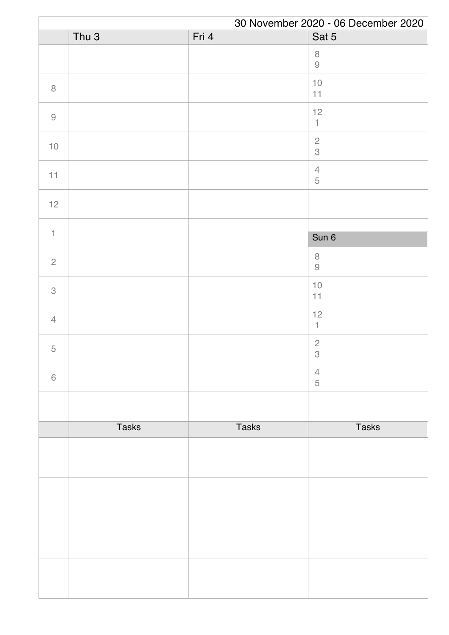| 30 November 2020 - 06 December 2020 |                  |              |                                 |
|-------------------------------------|------------------|--------------|---------------------------------|
|                                     | Thu <sub>3</sub> | Fri 4        | Sat 5                           |
|                                     |                  |              | $\,8\,$<br>$\Theta$             |
| $\, 8$                              |                  |              | $10$<br>11                      |
| $\hbox{9}$                          |                  |              | 12<br>$\mathbbm{1}$             |
| $10$                                |                  |              | $\frac{2}{3}$                   |
| 11                                  |                  |              | $\overline{4}$<br>$\mathbf 5$   |
| 12                                  |                  |              |                                 |
|                                     |                  |              |                                 |
| $\uparrow$                          |                  |              | Sun 6                           |
| $\sqrt{2}$                          |                  |              | $\,8\,$<br>$\Theta$             |
| $\mathcal{S}$                       |                  |              | $10$<br>11                      |
| $\overline{4}$                      |                  |              | 12<br>$\mathbf{1}$              |
| $\mathbf 5$                         |                  |              | $\overline{c}$<br>$\mathcal{S}$ |
| $\,$ 6 $\,$                         |                  |              | $\overline{4}$<br>$\sqrt{5}$    |
|                                     |                  |              |                                 |
|                                     | <b>Tasks</b>     | <b>Tasks</b> | <b>Tasks</b>                    |
|                                     |                  |              |                                 |
|                                     |                  |              |                                 |
|                                     |                  |              |                                 |
|                                     |                  |              |                                 |
|                                     |                  |              |                                 |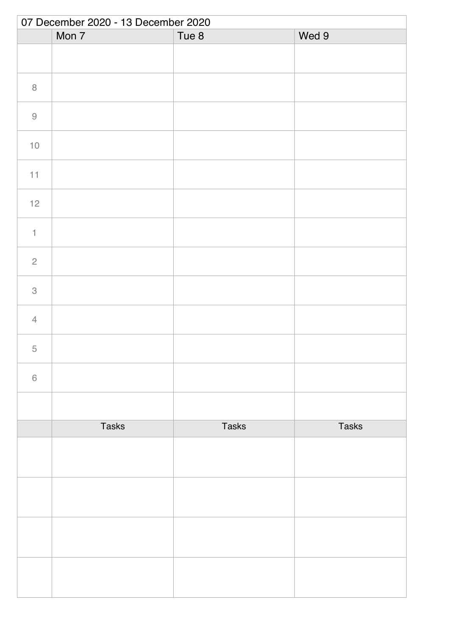| 07 December 2020 - 13 December 2020 |              |              |              |  |
|-------------------------------------|--------------|--------------|--------------|--|
|                                     | Mon 7        | Tue 8        | Wed 9        |  |
|                                     |              |              |              |  |
| $\, 8$                              |              |              |              |  |
| $\Theta$                            |              |              |              |  |
| $10$                                |              |              |              |  |
| 11                                  |              |              |              |  |
| $12$                                |              |              |              |  |
| $\ensuremath{\mathsf{1}}$           |              |              |              |  |
| $\overline{c}$                      |              |              |              |  |
| $\ensuremath{\mathsf{3}}$           |              |              |              |  |
| $\overline{4}$                      |              |              |              |  |
| 5                                   |              |              |              |  |
| $\,$ $\,$ $\,$                      |              |              |              |  |
|                                     |              |              |              |  |
|                                     | <b>Tasks</b> | <b>Tasks</b> | <b>Tasks</b> |  |
|                                     |              |              |              |  |
|                                     |              |              |              |  |
|                                     |              |              |              |  |
|                                     |              |              |              |  |
|                                     |              |              |              |  |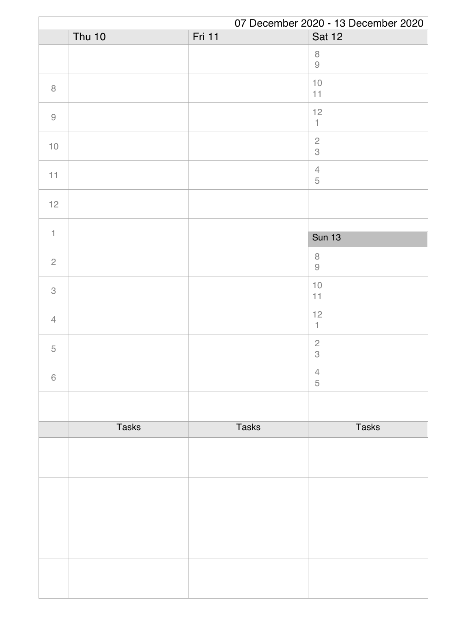|                                                           | 07 December 2020 - 13 December 2020 |              |                                                                      |  |
|-----------------------------------------------------------|-------------------------------------|--------------|----------------------------------------------------------------------|--|
|                                                           | Thu 10                              | Fri 11       | Sat 12                                                               |  |
|                                                           |                                     |              | $\,8\,$<br>$\mathcal{G}% _{M_{1},M_{2}}^{\alpha,\beta}(\mathcal{A})$ |  |
| $\, 8$                                                    |                                     |              | $10$<br>11                                                           |  |
| $\mathcal{G}% _{M_{1},M_{2}}^{\alpha,\beta}(\mathcal{A})$ |                                     |              | 12<br>$\uparrow$                                                     |  |
| $10$                                                      |                                     |              | $\frac{2}{3}$                                                        |  |
| 11                                                        |                                     |              | $\ensuremath{\mathsf{4}}$<br>$\mathbf 5$                             |  |
| 12                                                        |                                     |              |                                                                      |  |
|                                                           |                                     |              |                                                                      |  |
| $\uparrow$                                                |                                     |              | <b>Sun 13</b>                                                        |  |
| $\overline{2}$                                            |                                     |              | $\,8\,$<br>$\Theta$                                                  |  |
| 3                                                         |                                     |              | $10$<br>11                                                           |  |
| $\overline{4}$                                            |                                     |              | 12<br>$\mathbf{1}$                                                   |  |
| $\mathbf 5$                                               |                                     |              | $\sqrt{2}$<br>$\mathcal{S}$                                          |  |
| $\,$ 6 $\,$                                               |                                     |              | $\overline{4}$<br>5                                                  |  |
|                                                           |                                     |              |                                                                      |  |
|                                                           | <b>Tasks</b>                        | <b>Tasks</b> | <b>Tasks</b>                                                         |  |
|                                                           |                                     |              |                                                                      |  |
|                                                           |                                     |              |                                                                      |  |
|                                                           |                                     |              |                                                                      |  |
|                                                           |                                     |              |                                                                      |  |
|                                                           |                                     |              |                                                                      |  |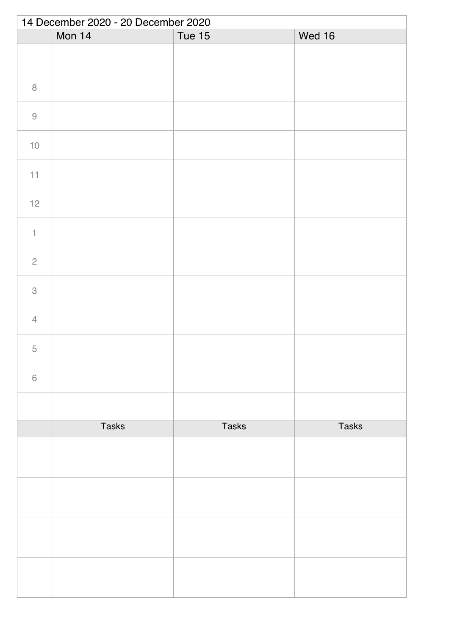| 14 December 2020 - 20 December 2020 |              |               |              |  |
|-------------------------------------|--------------|---------------|--------------|--|
|                                     | Mon 14       | <b>Tue 15</b> | Wed 16       |  |
|                                     |              |               |              |  |
| $\, 8$                              |              |               |              |  |
| $\hbox{9}$                          |              |               |              |  |
| $10$                                |              |               |              |  |
| 11                                  |              |               |              |  |
| 12                                  |              |               |              |  |
| $\ensuremath{\mathsf{1}}$           |              |               |              |  |
| $\overline{c}$                      |              |               |              |  |
| $\ensuremath{\mathsf{3}}$           |              |               |              |  |
| $\overline{4}$                      |              |               |              |  |
| 5                                   |              |               |              |  |
| $\,$ $\,$ $\,$                      |              |               |              |  |
|                                     |              |               |              |  |
|                                     | <b>Tasks</b> | <b>Tasks</b>  | <b>Tasks</b> |  |
|                                     |              |               |              |  |
|                                     |              |               |              |  |
|                                     |              |               |              |  |
|                                     |              |               |              |  |
|                                     |              |               |              |  |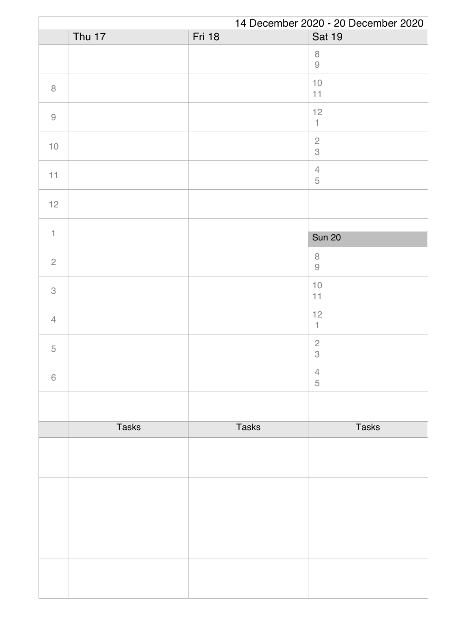| 14 December 2020 - 20 December 2020                       |              |               |                                                                      |
|-----------------------------------------------------------|--------------|---------------|----------------------------------------------------------------------|
|                                                           | Thu 17       | <b>Fri 18</b> | <b>Sat 19</b>                                                        |
|                                                           |              |               | $\,8\,$<br>$\mathcal{G}% _{M_{1},M_{2}}^{\alpha,\beta}(\mathcal{A})$ |
| $\, 8$                                                    |              |               | $10$<br>11                                                           |
| $\mathcal{G}% _{M_{1},M_{2}}^{\alpha,\beta}(\mathcal{A})$ |              |               | 12<br>$\mathbbm{1}$                                                  |
| $10$                                                      |              |               | $\overline{c}$<br>3                                                  |
| 11                                                        |              |               | $\sqrt{4}$<br>$\mathbf 5$                                            |
| 12                                                        |              |               |                                                                      |
|                                                           |              |               |                                                                      |
| $\mathbf{1}$                                              |              |               | <b>Sun 20</b>                                                        |
| $\overline{c}$                                            |              |               | $\,8\,$<br>$\Theta$                                                  |
| $\,3$                                                     |              |               | $10$<br>11                                                           |
| $\overline{4}$                                            |              |               | $12$<br>1                                                            |
| $\mathbf 5$                                               |              |               | $\sqrt{2}$<br>$\mathcal{S}$                                          |
| $\,6\,$                                                   |              |               | $\overline{4}$<br>$\sqrt{5}$                                         |
|                                                           |              |               |                                                                      |
|                                                           | <b>Tasks</b> | <b>Tasks</b>  | <b>Tasks</b>                                                         |
|                                                           |              |               |                                                                      |
|                                                           |              |               |                                                                      |
|                                                           |              |               |                                                                      |
|                                                           |              |               |                                                                      |
|                                                           |              |               |                                                                      |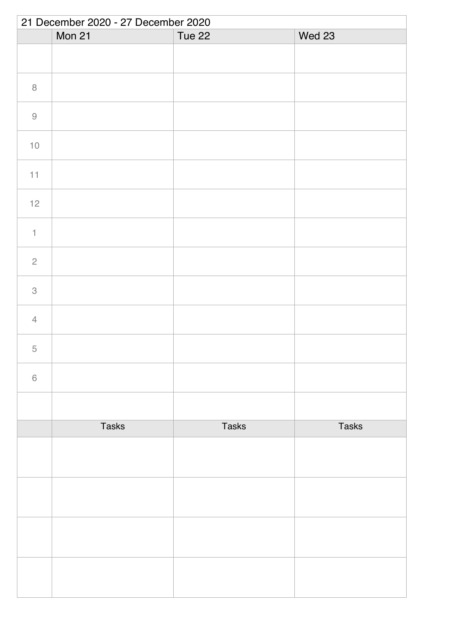|                                                           | 21 December 2020 - 27 December 2020 |              |              |  |  |
|-----------------------------------------------------------|-------------------------------------|--------------|--------------|--|--|
|                                                           | Mon 21                              | Tue 22       | Wed 23       |  |  |
|                                                           |                                     |              |              |  |  |
| $\,8\,$                                                   |                                     |              |              |  |  |
| $\mathcal{G}% _{M_{1},M_{2}}^{\alpha,\beta}(\mathcal{A})$ |                                     |              |              |  |  |
| $10$                                                      |                                     |              |              |  |  |
| 11                                                        |                                     |              |              |  |  |
| 12                                                        |                                     |              |              |  |  |
| $\uparrow$                                                |                                     |              |              |  |  |
| $\overline{c}$                                            |                                     |              |              |  |  |
| $\mathcal{S}$                                             |                                     |              |              |  |  |
| $\overline{4}$                                            |                                     |              |              |  |  |
| 5                                                         |                                     |              |              |  |  |
| $\,$ $\,$ $\,$                                            |                                     |              |              |  |  |
|                                                           |                                     |              |              |  |  |
|                                                           | <b>Tasks</b>                        | <b>Tasks</b> | <b>Tasks</b> |  |  |
|                                                           |                                     |              |              |  |  |
|                                                           |                                     |              |              |  |  |
|                                                           |                                     |              |              |  |  |
|                                                           |                                     |              |              |  |  |
|                                                           |                                     |              |              |  |  |
|                                                           |                                     |              |              |  |  |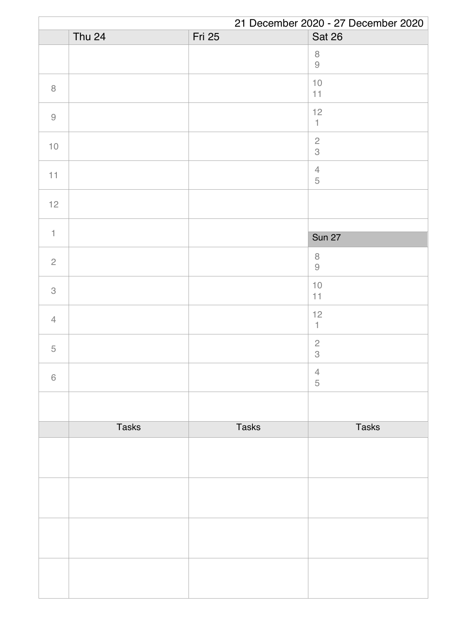|                | 21 December 2020 - 27 December 2020 |               |                           |  |
|----------------|-------------------------------------|---------------|---------------------------|--|
|                | Thu 24                              | <b>Fri 25</b> | Sat 26                    |  |
|                |                                     |               | $\, 8$<br>$\Theta$        |  |
| $\, 8$         |                                     |               | $10$<br>11                |  |
| $\hbox{9}$     |                                     |               | 12<br>$\uparrow$          |  |
| $10$           |                                     |               | $\frac{2}{3}$             |  |
| 11             |                                     |               | $\sqrt{4}$<br>$\mathbf 5$ |  |
| 12             |                                     |               |                           |  |
|                |                                     |               |                           |  |
| $\uparrow$     |                                     |               | <b>Sun 27</b>             |  |
| $\overline{c}$ |                                     |               | $\,8\,$<br>$\Theta$       |  |
| $\mathcal{S}$  |                                     |               | $10$<br>11                |  |
| $\overline{4}$ |                                     |               | 12<br>$\mathbf{1}$        |  |
| 5              |                                     |               | $\sqrt{2}$<br>$\,3$       |  |
| $\,$ 6 $\,$    |                                     |               | $\overline{4}$<br>5       |  |
|                |                                     |               |                           |  |
|                | <b>Tasks</b>                        | <b>Tasks</b>  | <b>Tasks</b>              |  |
|                |                                     |               |                           |  |
|                |                                     |               |                           |  |
|                |                                     |               |                           |  |
|                |                                     |               |                           |  |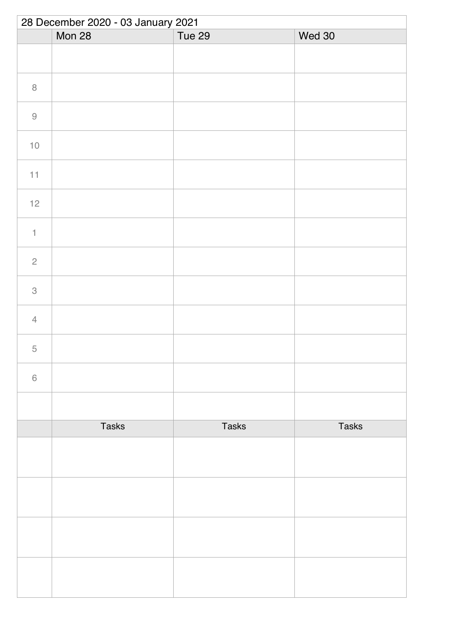|                           | 28 December 2020 - 03 January 2021 |              |              |  |  |
|---------------------------|------------------------------------|--------------|--------------|--|--|
|                           | Mon 28                             | Tue 29       | Wed 30       |  |  |
|                           |                                    |              |              |  |  |
| $\,8\,$                   |                                    |              |              |  |  |
| $\hbox{9}$                |                                    |              |              |  |  |
| $10$                      |                                    |              |              |  |  |
| 11                        |                                    |              |              |  |  |
| 12                        |                                    |              |              |  |  |
| $\mathbf 1$               |                                    |              |              |  |  |
| $\sqrt{2}$                |                                    |              |              |  |  |
| $\ensuremath{\mathsf{3}}$ |                                    |              |              |  |  |
| $\overline{4}$            |                                    |              |              |  |  |
| 5                         |                                    |              |              |  |  |
| $\,$ $\,$ $\,$            |                                    |              |              |  |  |
|                           |                                    |              |              |  |  |
|                           | <b>Tasks</b>                       | <b>Tasks</b> | <b>Tasks</b> |  |  |
|                           |                                    |              |              |  |  |
|                           |                                    |              |              |  |  |
|                           |                                    |              |              |  |  |
|                           |                                    |              |              |  |  |
|                           |                                    |              |              |  |  |
|                           |                                    |              |              |  |  |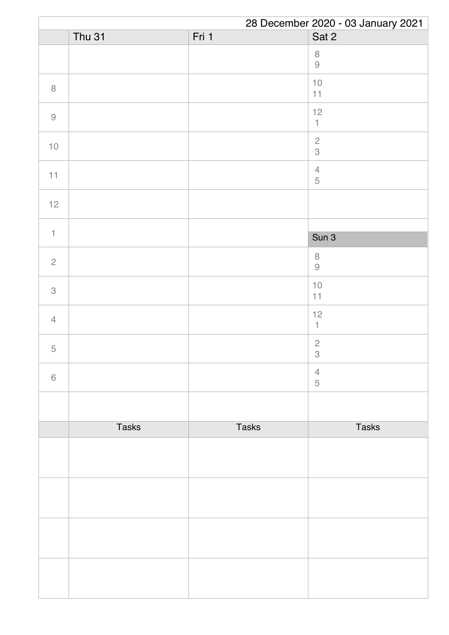| 28 December 2020 - 03 January 2021 |               |              |                                         |
|------------------------------------|---------------|--------------|-----------------------------------------|
|                                    | <b>Thu 31</b> | Fri 1        | Sat 2                                   |
|                                    |               |              | $\,8\,$<br>$\Theta$                     |
| $\, 8$                             |               |              | $10$<br>11                              |
| $\hbox{9}$                         |               |              | 12<br>$\ensuremath{\mathsf{1}}$         |
| $10$                               |               |              | $\frac{2}{3}$                           |
| 11                                 |               |              | $\ensuremath{\mathsf{4}}$<br>$\sqrt{5}$ |
| 12                                 |               |              |                                         |
|                                    |               |              |                                         |
| $\uparrow$                         |               |              | Sun 3                                   |
| $\sqrt{2}$                         |               |              | $\,8\,$<br>$\Theta$                     |
| 3                                  |               |              | $10$<br>11                              |
| $\overline{4}$                     |               |              | 12<br>$\mathbf{1}$                      |
| $\mathbf 5$                        |               |              | $\overline{c}$<br>$\,3$                 |
| $\,$ 6 $\,$                        |               |              | $\overline{4}$<br>$\sqrt{5}$            |
|                                    |               |              |                                         |
|                                    | <b>Tasks</b>  | <b>Tasks</b> | <b>Tasks</b>                            |
|                                    |               |              |                                         |
|                                    |               |              |                                         |
|                                    |               |              |                                         |
|                                    |               |              |                                         |
|                                    |               |              |                                         |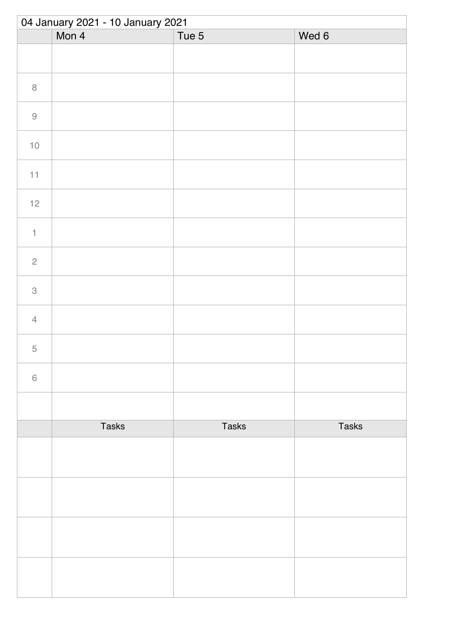| 04 January 2021 - 10 January 2021 |              |              |              |  |
|-----------------------------------|--------------|--------------|--------------|--|
|                                   | Mon 4        | Tue 5        | Wed 6        |  |
|                                   |              |              |              |  |
| $\, 8$                            |              |              |              |  |
| $\hbox{9}$                        |              |              |              |  |
| $10$                              |              |              |              |  |
| 11                                |              |              |              |  |
| $12$                              |              |              |              |  |
| $\ensuremath{\mathsf{1}}$         |              |              |              |  |
| $\sqrt{2}$                        |              |              |              |  |
| $\ensuremath{\mathsf{3}}$         |              |              |              |  |
| $\sqrt{4}$                        |              |              |              |  |
| 5                                 |              |              |              |  |
| $\,$ $\,$ $\,$                    |              |              |              |  |
|                                   |              |              |              |  |
|                                   | <b>Tasks</b> | <b>Tasks</b> | <b>Tasks</b> |  |
|                                   |              |              |              |  |
|                                   |              |              |              |  |
|                                   |              |              |              |  |
|                                   |              |              |              |  |
|                                   |              |              |              |  |
|                                   |              |              |              |  |
|                                   |              |              |              |  |